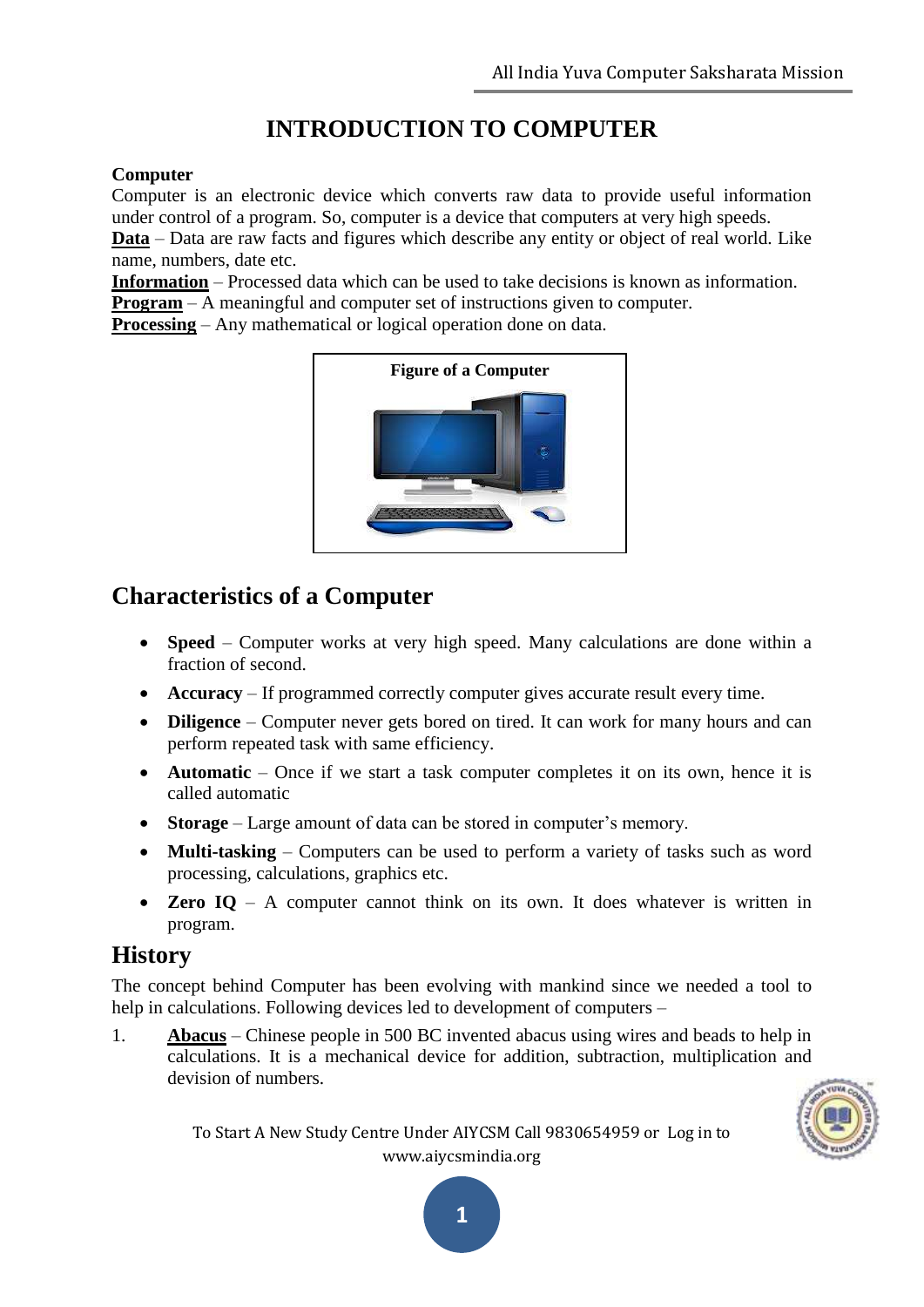# **INTRODUCTION TO COMPUTER**

#### **Computer**

Computer is an electronic device which converts raw data to provide useful information under control of a program. So, computer is a device that computers at very high speeds. **Data** – Data are raw facts and figures which describe any entity or object of real world. Like name, numbers, date etc.

**Information** – Processed data which can be used to take decisions is known as information. **Program** – A meaningful and computer set of instructions given to computer.

**Processing** – Any mathematical or logical operation done on data.



# **Characteristics of a Computer**

- **Speed** Computer works at very high speed. Many calculations are done within a fraction of second.
- **Accuracy** If programmed correctly computer gives accurate result every time.
- **Diligence** Computer never gets bored on tired. It can work for many hours and can perform repeated task with same efficiency.
- **Automatic** Once if we start a task computer completes it on its own, hence it is called automatic
- **Storage** Large amount of data can be stored in computer's memory.
- **Multi-tasking** Computers can be used to perform a variety of tasks such as word processing, calculations, graphics etc.
- **Zero IQ** A computer cannot think on its own. It does whatever is written in program.

# **History**

The concept behind Computer has been evolving with mankind since we needed a tool to help in calculations. Following devices led to development of computers –

1. **Abacus** – Chinese people in 500 BC invented abacus using wires and beads to help in calculations. It is a mechanical device for addition, subtraction, multiplication and devision of numbers.

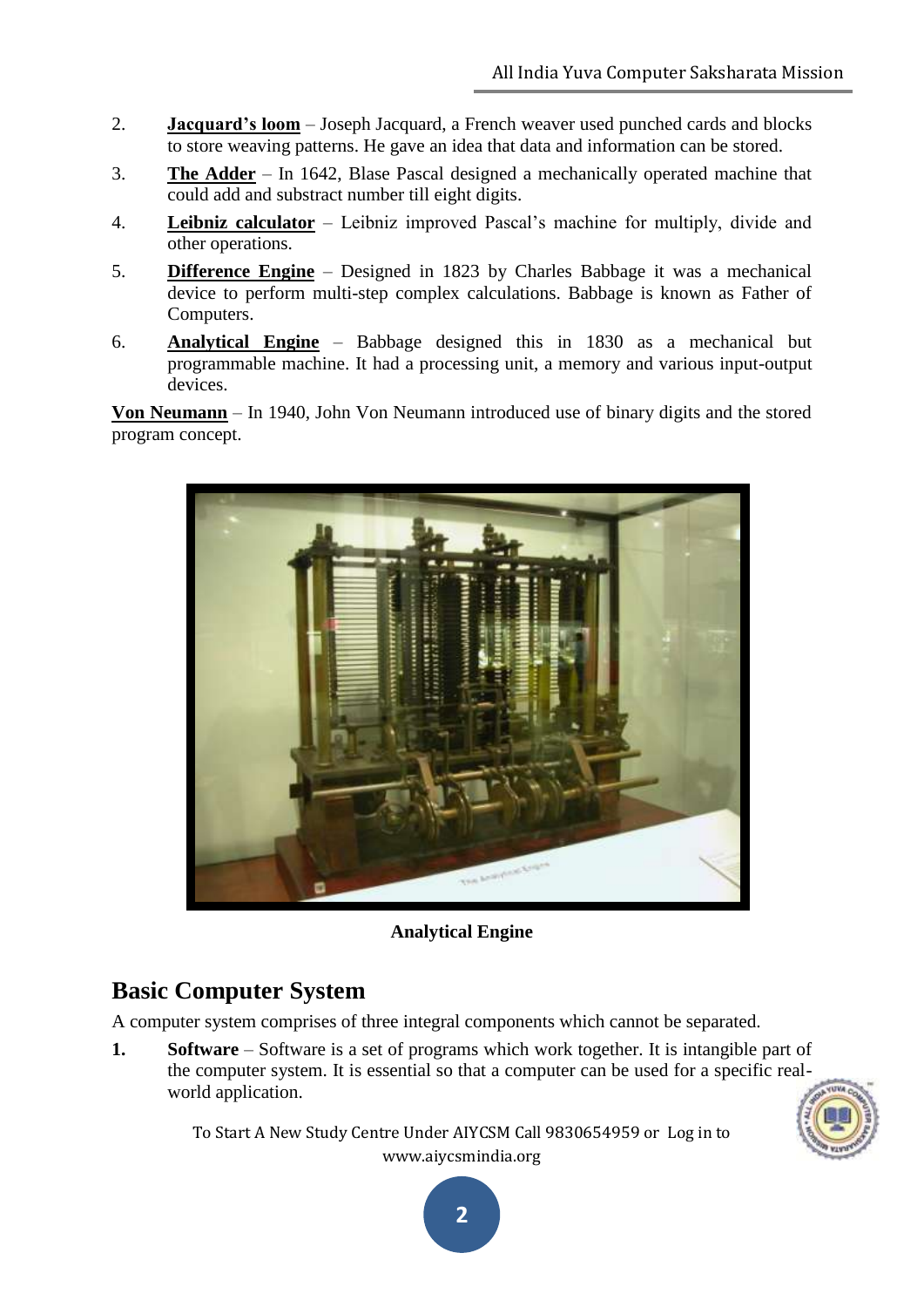- 2. **Jacquard's loom** Joseph Jacquard, a French weaver used punched cards and blocks to store weaving patterns. He gave an idea that data and information can be stored.
- 3. **The Adder** In 1642, Blase Pascal designed a mechanically operated machine that could add and substract number till eight digits.
- 4. **Leibniz calculator** Leibniz improved Pascal"s machine for multiply, divide and other operations.
- 5. **Difference Engine** Designed in 1823 by Charles Babbage it was a mechanical device to perform multi-step complex calculations. Babbage is known as Father of Computers.
- 6. **Analytical Engine** Babbage designed this in 1830 as a mechanical but programmable machine. It had a processing unit, a memory and various input-output devices.

**Von Neumann** – In 1940, John Von Neumann introduced use of binary digits and the stored program concept.



**Analytical Engine**

# **Basic Computer System**

A computer system comprises of three integral components which cannot be separated.

**1. Software** – Software is a set of programs which work together. It is intangible part of the computer system. It is essential so that a computer can be used for a specific realworld application.

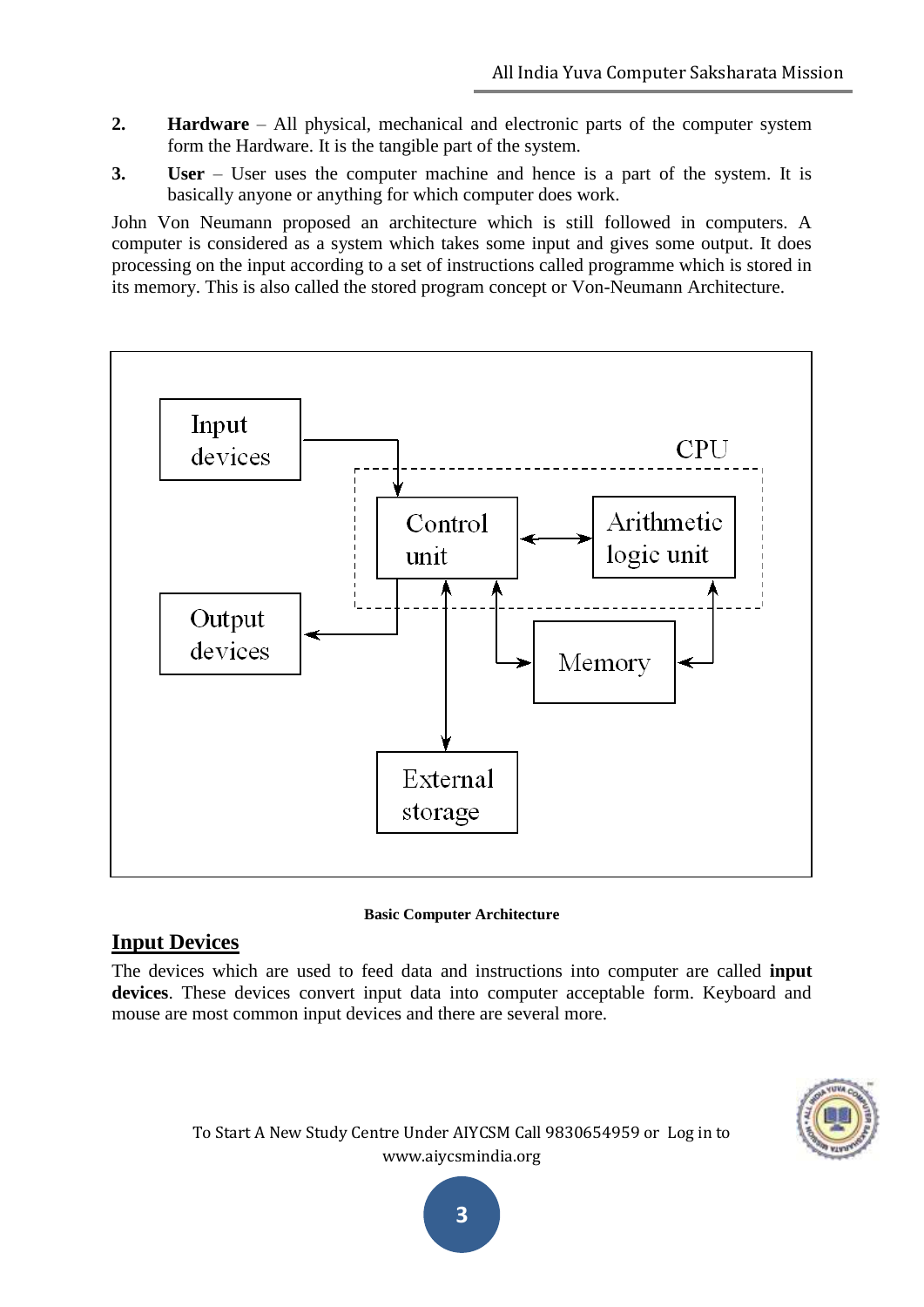- **2. Hardware** All physical, mechanical and electronic parts of the computer system form the Hardware. It is the tangible part of the system.
- **3. User** User uses the computer machine and hence is a part of the system. It is basically anyone or anything for which computer does work.

John Von Neumann proposed an architecture which is still followed in computers. A computer is considered as a system which takes some input and gives some output. It does processing on the input according to a set of instructions called programme which is stored in its memory. This is also called the stored program concept or Von-Neumann Architecture.



#### **Basic Computer Architecture**

#### **Input Devices**

The devices which are used to feed data and instructions into computer are called **input devices**. These devices convert input data into computer acceptable form. Keyboard and mouse are most common input devices and there are several more.

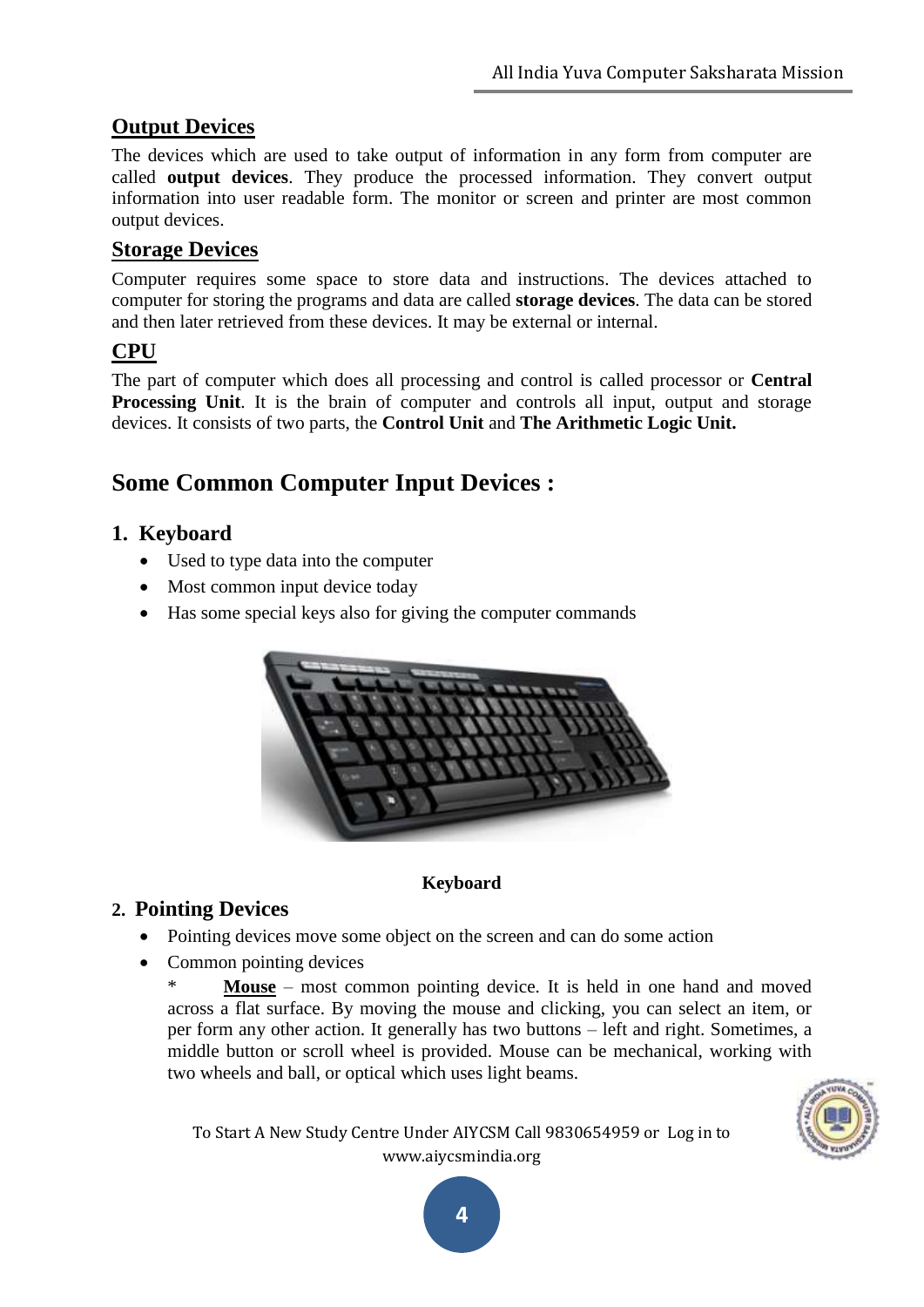# **Output Devices**

The devices which are used to take output of information in any form from computer are called **output devices**. They produce the processed information. They convert output information into user readable form. The monitor or screen and printer are most common output devices.

## **Storage Devices**

Computer requires some space to store data and instructions. The devices attached to computer for storing the programs and data are called **storage devices**. The data can be stored and then later retrieved from these devices. It may be external or internal.

# **CPU**

The part of computer which does all processing and control is called processor or **Central Processing Unit**. It is the brain of computer and controls all input, output and storage devices. It consists of two parts, the **Control Unit** and **The Arithmetic Logic Unit.**

# **Some Common Computer Input Devices :**

### **1. Keyboard**

- Used to type data into the computer
- Most common input device today
- Has some special keys also for giving the computer commands



#### **Keyboard**

#### **2. Pointing Devices**

- Pointing devices move some object on the screen and can do some action
- Common pointing devices

\* **Mouse** – most common pointing device. It is held in one hand and moved across a flat surface. By moving the mouse and clicking, you can select an item, or per form any other action. It generally has two buttons – left and right. Sometimes, a middle button or scroll wheel is provided. Mouse can be mechanical, working with two wheels and ball, or optical which uses light beams.

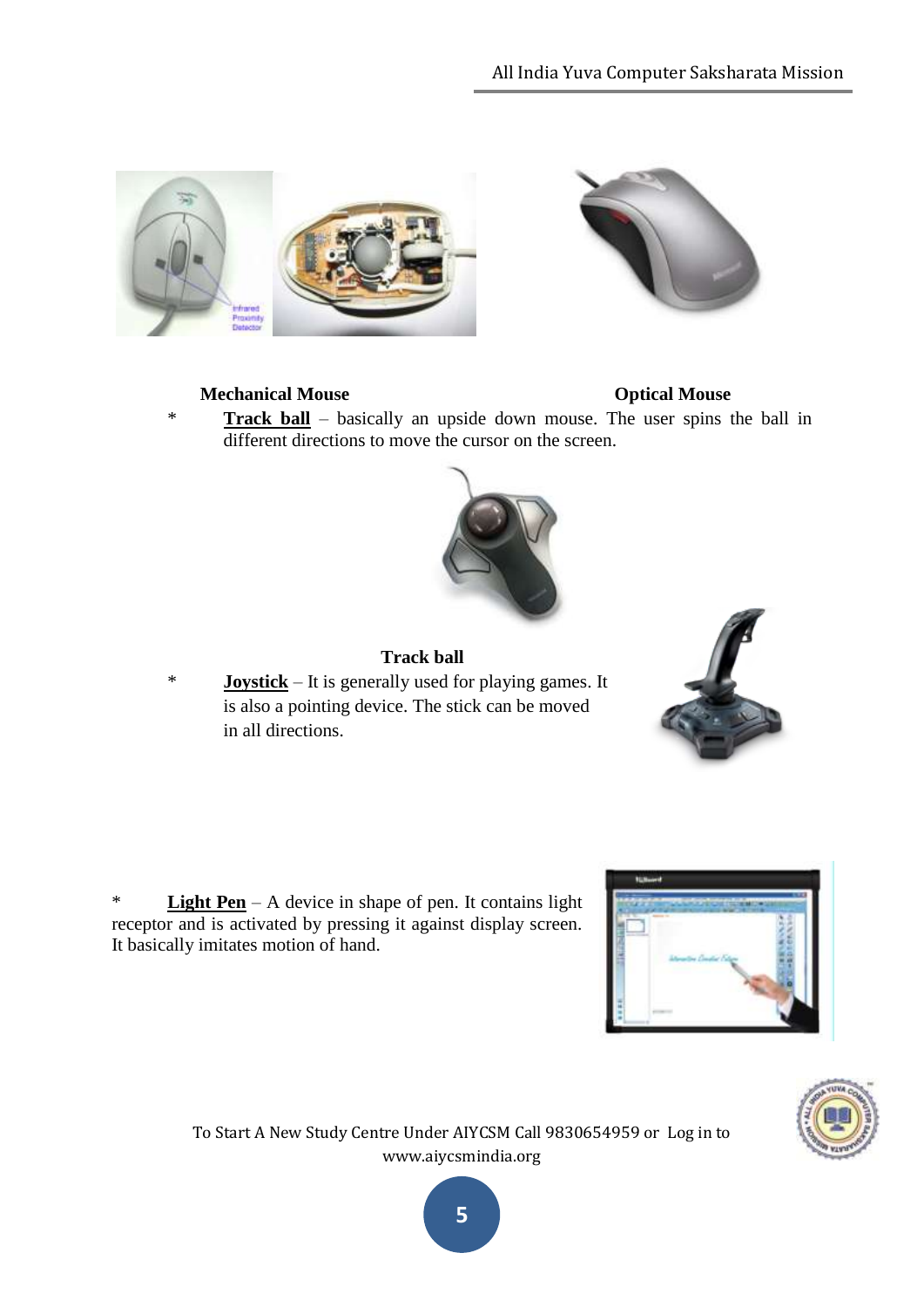

#### **Mechanical Mouse Community Community Community Community Community Community Community Community Community Community Community Community Community Community Community Community Community Community Community Community Comm**

**Track ball** – basically an upside down mouse. The user spins the ball in different directions to move the cursor on the screen.



#### **Track ball**

\* **Joystick** – It is generally used for playing games. It is also a pointing device. The stick can be moved in all directions.







To Start A New Study Centre Under AIYCSM Call 9830654959 or Log in to www.aiycsmindia.org

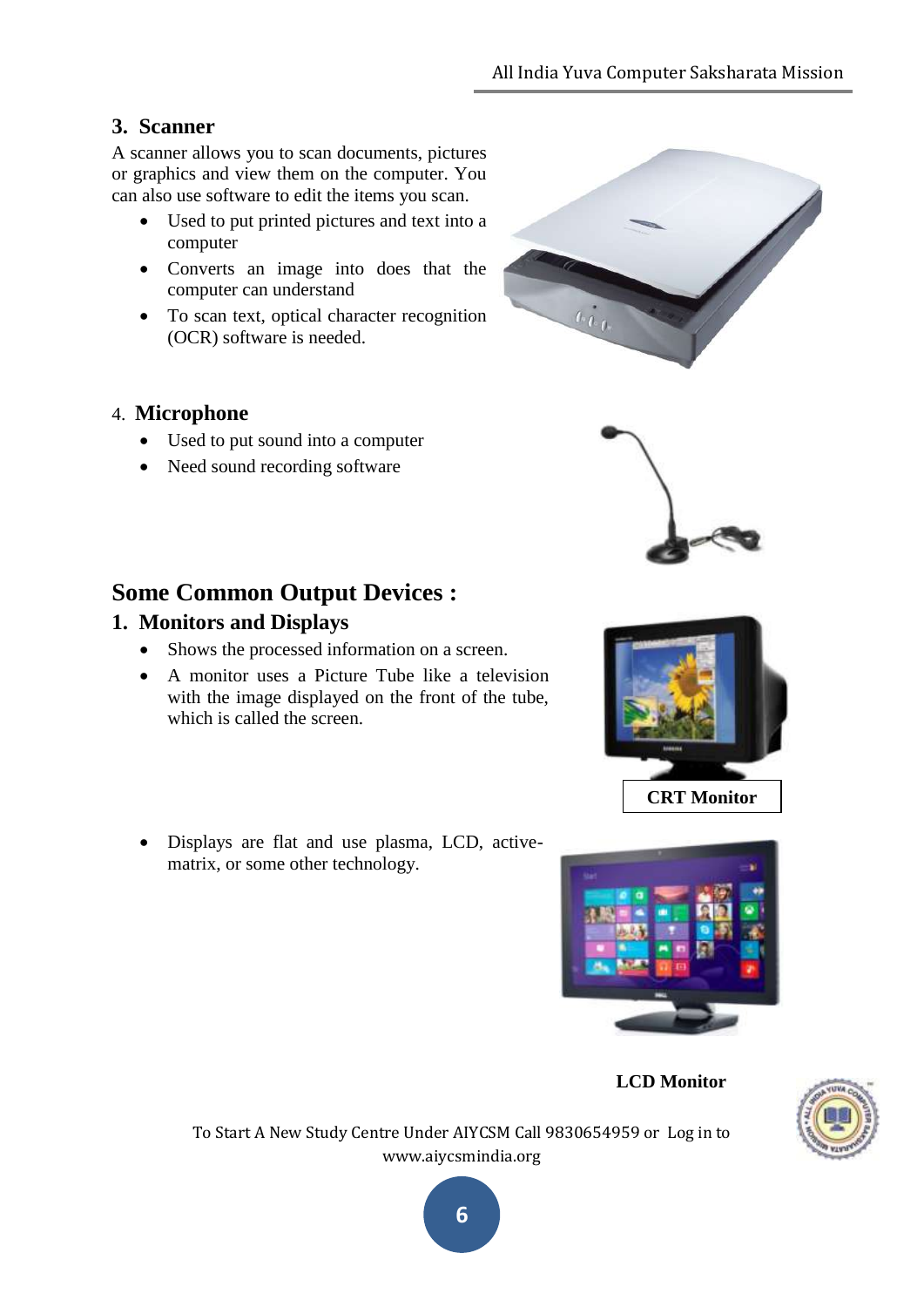#### **3. Scanner**

A scanner allows you to scan documents, pictures or graphics and view them on the computer. You can also use software to edit the items you scan.

- Used to put printed pictures and text into a computer
- Converts an image into does that the computer can understand
- To scan text, optical character recognition (OCR) software is needed.

#### 4. **Microphone**

- Used to put sound into a computer
- Need sound recording software



#### **1. Monitors and Displays**

- Shows the processed information on a screen.
- A monitor uses a Picture Tube like a television with the image displayed on the front of the tube, which is called the screen.
- Displays are flat and use plasma, LCD, activematrix, or some other technology.











To Start A New Study Centre Under AIYCSM Call 9830654959 or Log in to www.aiycsmindia.org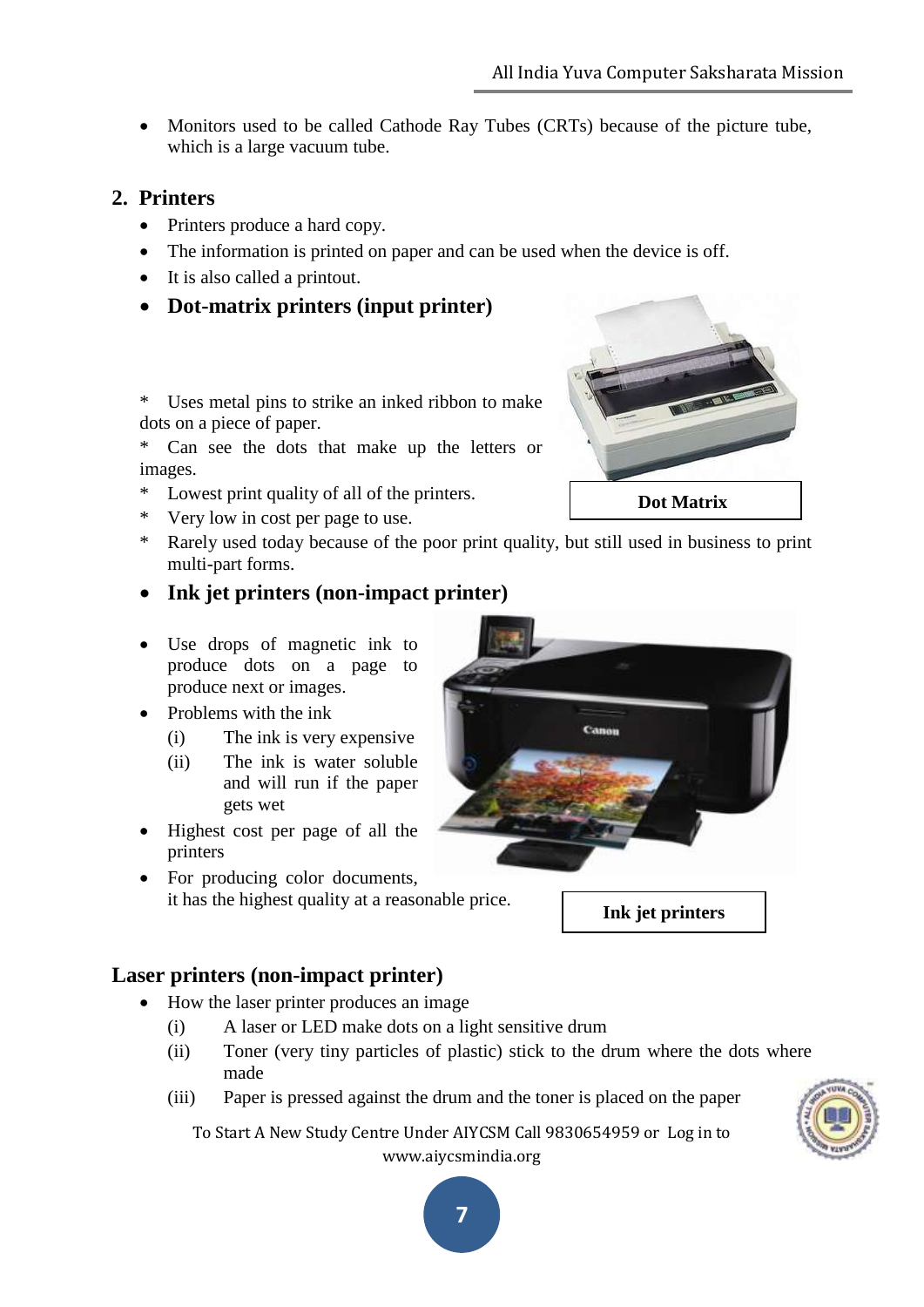To Start A New Study Centre Under AIYCSM Call 9830654959 or Log in to www.aiycsmindia.org

**7**

 Monitors used to be called Cathode Ray Tubes (CRTs) because of the picture tube, which is a large vacuum tube.

# **2. Printers**

- Printers produce a hard copy.
- The information is printed on paper and can be used when the device is off.
- It is also called a printout.
- **Dot-matrix printers (input printer)**

\* Uses metal pins to strike an inked ribbon to make dots on a piece of paper.

\* Can see the dots that make up the letters or images.

- \* Lowest print quality of all of the printers.
- \* Very low in cost per page to use.
- \* Rarely used today because of the poor print quality, but still used in business to print multi-part forms.
- **Ink jet printers (non-impact printer)**
- Use drops of magnetic ink to produce dots on a page to produce next or images.
- Problems with the ink
	- (i) The ink is very expensive
	- (ii) The ink is water soluble and will run if the paper gets wet
- Highest cost per page of all the printers
- For producing color documents, it has the highest quality at a reasonable price.

# **Laser printers (non-impact printer)**

- How the laser printer produces an image
	- (i) A laser or LED make dots on a light sensitive drum
	- (ii) Toner (very tiny particles of plastic) stick to the drum where the dots where made
	- (iii) Paper is pressed against the drum and the toner is placed on the paper





**Ink jet printers**

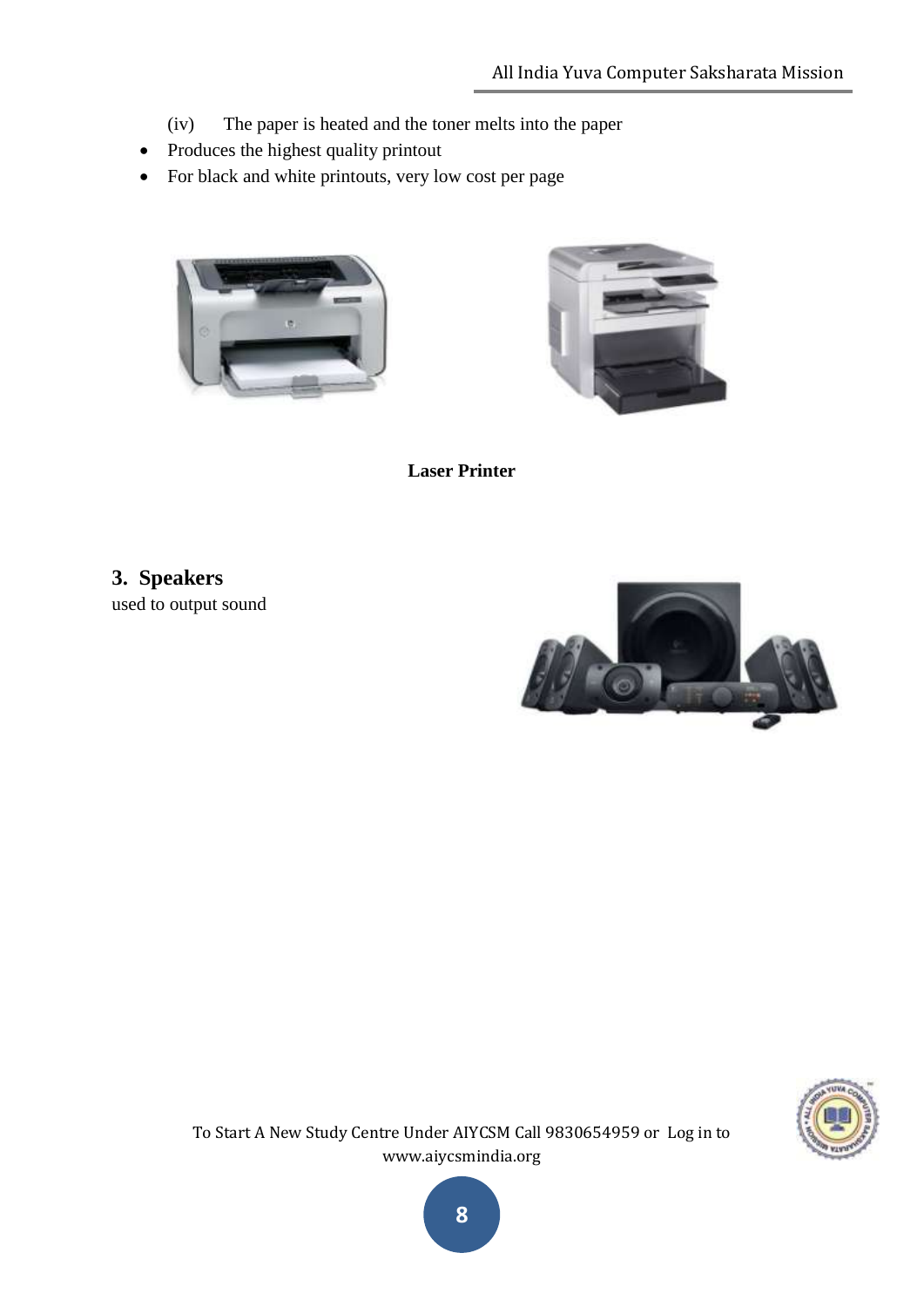- (iv) The paper is heated and the toner melts into the paper
- Produces the highest quality printout
- For black and white printouts, very low cost per page





**Laser Printer**

**3. Speakers** used to output sound





To Start A New Study Centre Under AIYCSM Call 9830654959 or Log in to www.aiycsmindia.org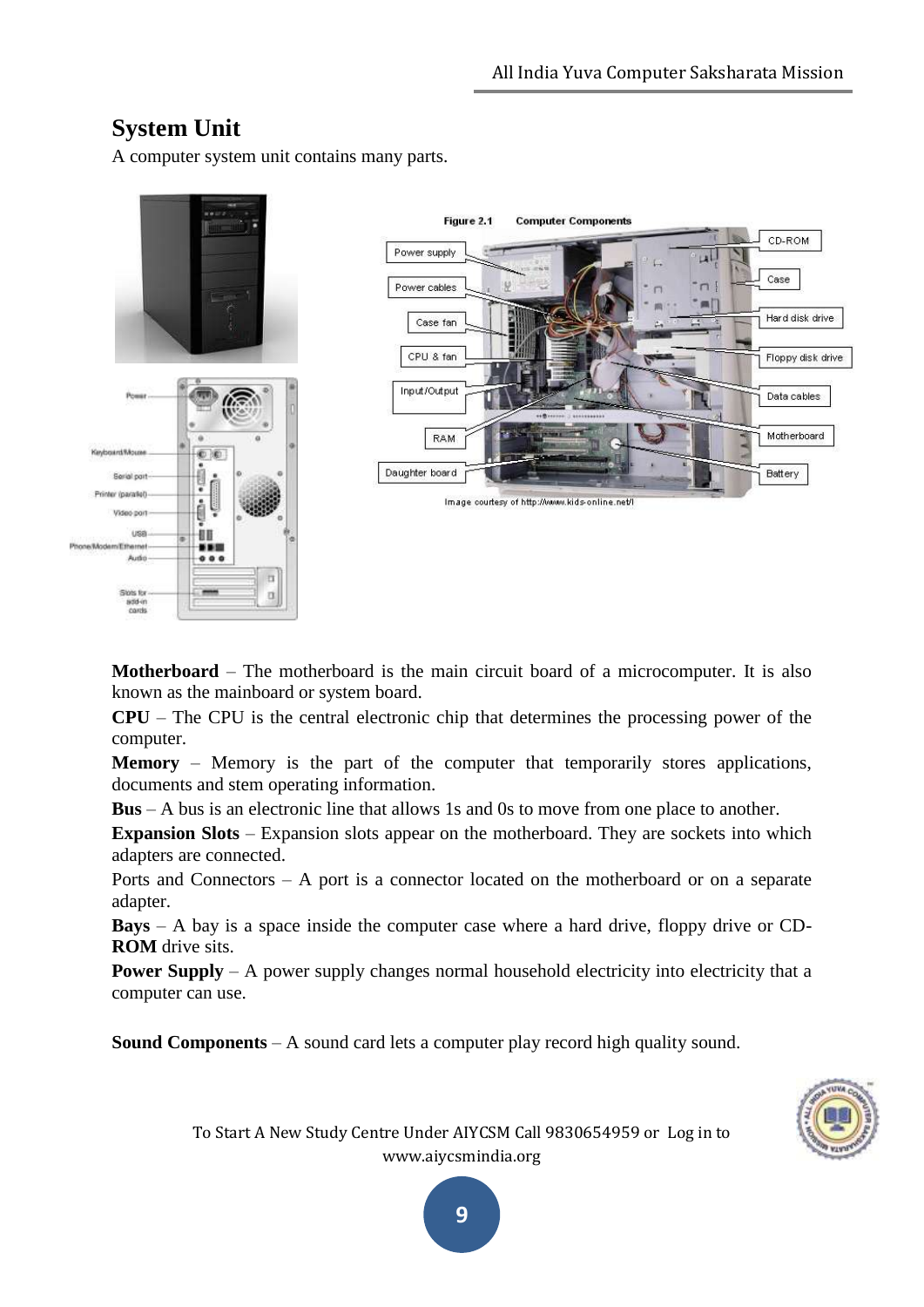# **System Unit**

A computer system unit contains many parts.



**Motherboard** – The motherboard is the main circuit board of a microcomputer. It is also known as the mainboard or system board.

**CPU** – The CPU is the central electronic chip that determines the processing power of the computer.

**Memory** – Memory is the part of the computer that temporarily stores applications, documents and stem operating information.

**Bus** – A bus is an electronic line that allows 1s and 0s to move from one place to another.

**Expansion Slots** – Expansion slots appear on the motherboard. They are sockets into which adapters are connected.

Ports and Connectors – A port is a connector located on the motherboard or on a separate adapter.

**Bays** – A bay is a space inside the computer case where a hard drive, floppy drive or CD-**ROM** drive sits.

**Power Supply** – A power supply changes normal household electricity into electricity that a computer can use.

**Sound Components** – A sound card lets a computer play record high quality sound.



To Start A New Study Centre Under AIYCSM Call 9830654959 or Log in to www.aiycsmindia.org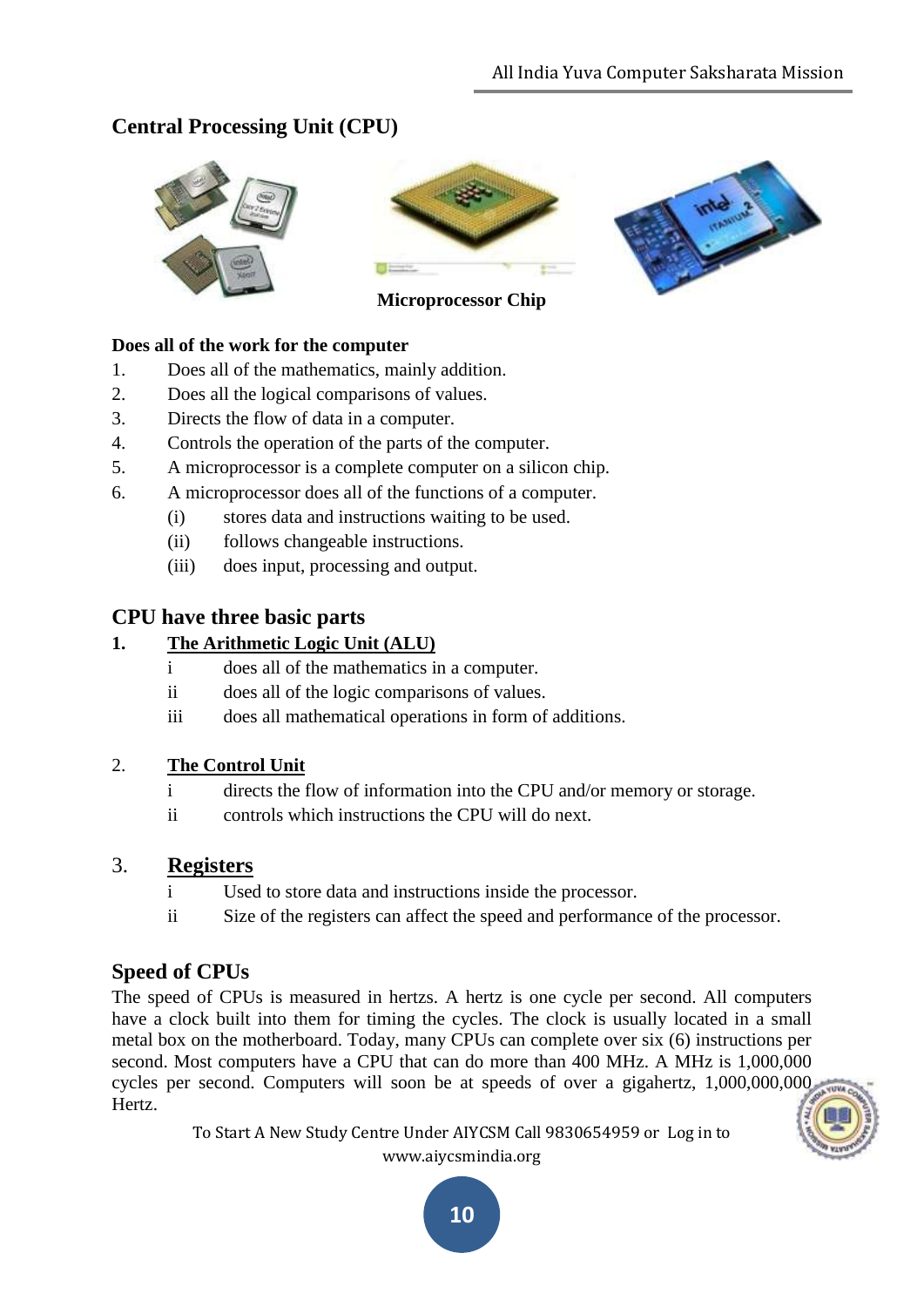# **Central Processing Unit (CPU)**





**Microprocessor Chip**



#### **Does all of the work for the computer**

- 1. Does all of the mathematics, mainly addition.
- 2. Does all the logical comparisons of values.
- 3. Directs the flow of data in a computer.
- 4. Controls the operation of the parts of the computer.
- 5. A microprocessor is a complete computer on a silicon chip.
- 6. A microprocessor does all of the functions of a computer.
	- (i) stores data and instructions waiting to be used.
	- (ii) follows changeable instructions.
	- (iii) does input, processing and output.

#### **CPU have three basic parts**

#### **1. The Arithmetic Logic Unit (ALU)**

- i does all of the mathematics in a computer.
- ii does all of the logic comparisons of values.
- iii does all mathematical operations in form of additions.

#### 2. **The Control Unit**

- i directs the flow of information into the CPU and/or memory or storage.
- ii controls which instructions the CPU will do next.

#### 3. **Registers**

- i Used to store data and instructions inside the processor.
- ii Size of the registers can affect the speed and performance of the processor.

#### **Speed of CPUs**

The speed of CPUs is measured in hertzs. A hertz is one cycle per second. All computers have a clock built into them for timing the cycles. The clock is usually located in a small metal box on the motherboard. Today, many CPUs can complete over six (6) instructions per second. Most computers have a CPU that can do more than 400 MHz. A MHz is 1,000,000 cycles per second. Computers will soon be at speeds of over a gigahertz, 1,000,000,000 Hertz.

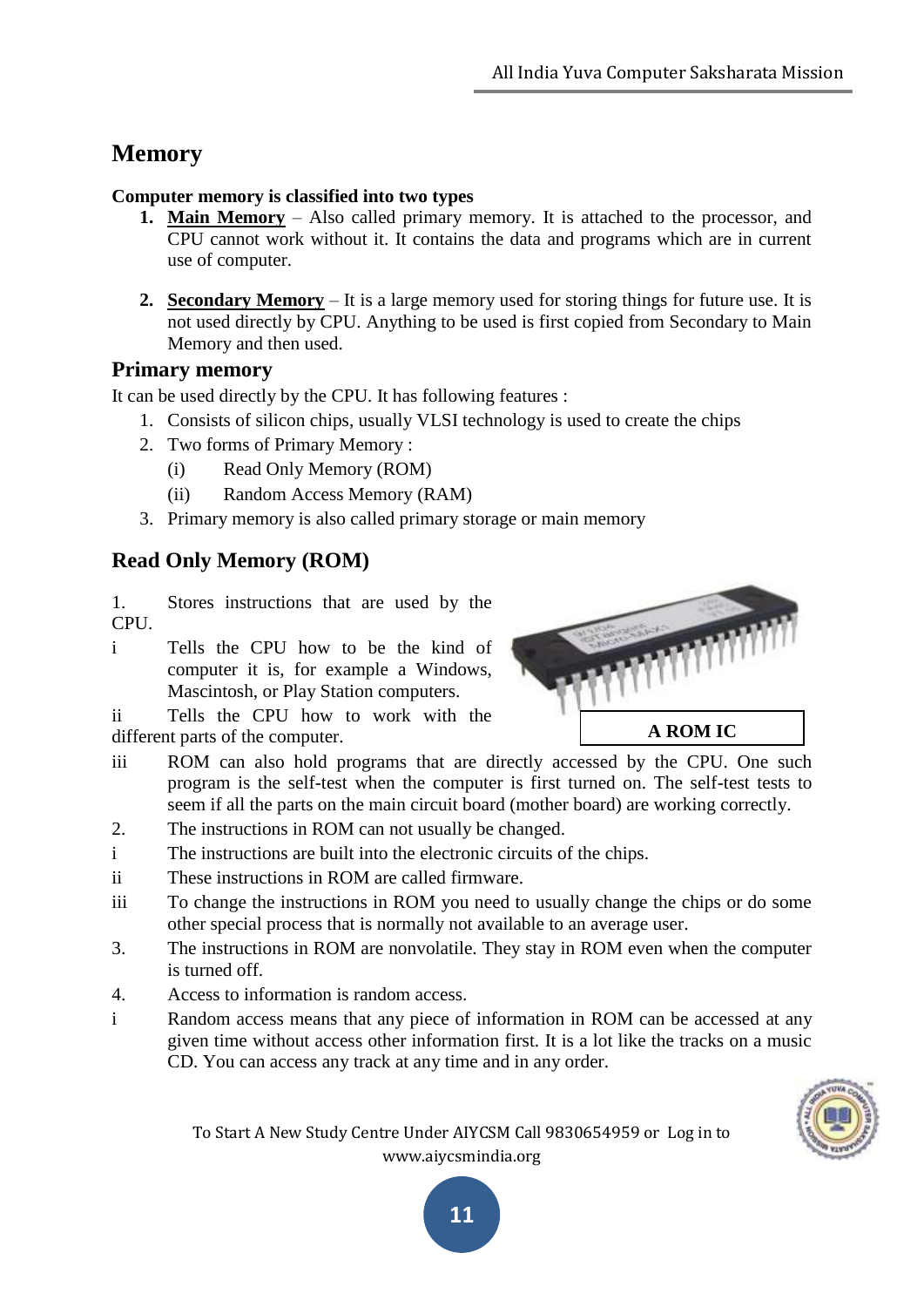# **Memory**

#### **Computer memory is classified into two types**

- **1. Main Memory** Also called primary memory. It is attached to the processor, and CPU cannot work without it. It contains the data and programs which are in current use of computer.
- **2. Secondary Memory** It is a large memory used for storing things for future use. It is not used directly by CPU. Anything to be used is first copied from Secondary to Main Memory and then used.

#### **Primary memory**

It can be used directly by the CPU. It has following features :

- 1. Consists of silicon chips, usually VLSI technology is used to create the chips
- 2. Two forms of Primary Memory :
	- (i) Read Only Memory (ROM)
	- (ii) Random Access Memory (RAM)
- 3. Primary memory is also called primary storage or main memory

# **Read Only Memory (ROM)**

1. Stores instructions that are used by the CPU.

i Tells the CPU how to be the kind of computer it is, for example a Windows, Mascintosh, or Play Station computers.

ii Tells the CPU how to work with the different parts of the computer.



- iii ROM can also hold programs that are directly accessed by the CPU. One such program is the self-test when the computer is first turned on. The self-test tests to seem if all the parts on the main circuit board (mother board) are working correctly.
- 2. The instructions in ROM can not usually be changed.
- i The instructions are built into the electronic circuits of the chips.
- ii These instructions in ROM are called firmware.
- iii To change the instructions in ROM you need to usually change the chips or do some other special process that is normally not available to an average user.
- 3. The instructions in ROM are nonvolatile. They stay in ROM even when the computer is turned off.
- 4. Access to information is random access.
- i Random access means that any piece of information in ROM can be accessed at any given time without access other information first. It is a lot like the tracks on a music CD. You can access any track at any time and in any order.

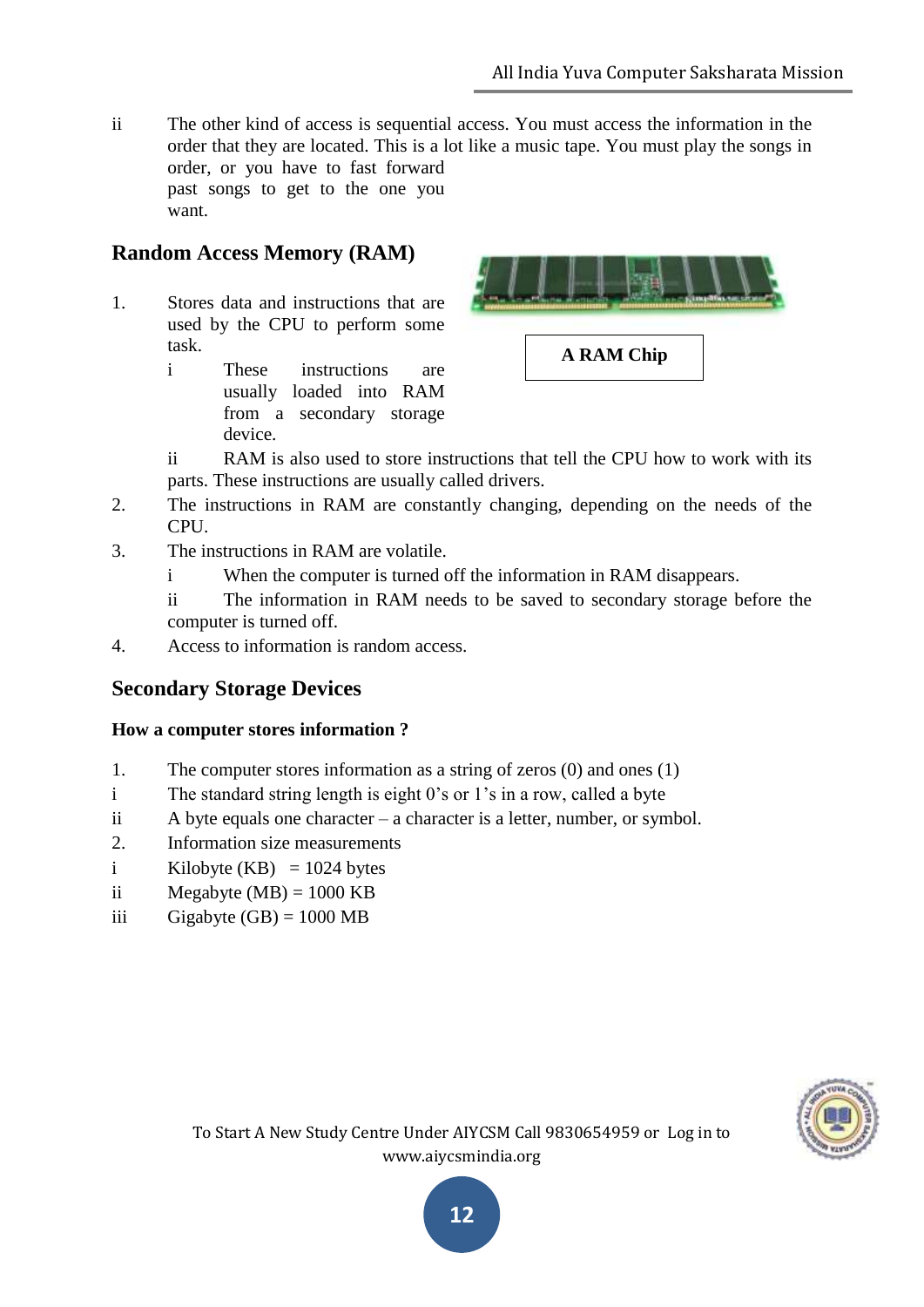ii The other kind of access is sequential access. You must access the information in the order that they are located. This is a lot like a music tape. You must play the songs in order, or you have to fast forward past songs to get to the one you want.

### **Random Access Memory (RAM)**

- 1. Stores data and instructions that are used by the CPU to perform some task.
	- i These instructions are usually loaded into RAM from a secondary storage device.



- ii RAM is also used to store instructions that tell the CPU how to work with its parts. These instructions are usually called drivers.
- 2. The instructions in RAM are constantly changing, depending on the needs of the CPU.
- 3. The instructions in RAM are volatile.
	- When the computer is turned off the information in RAM disappears.
	- ii The information in RAM needs to be saved to secondary storage before the computer is turned off.
- 4. Access to information is random access.

# **Secondary Storage Devices**

#### **How a computer stores information ?**

- 1. The computer stores information as a string of zeros (0) and ones (1)
- i The standard string length is eight 0"s or 1"s in a row, called a byte
- ii A byte equals one character a character is a letter, number, or symbol.
- 2. Information size measurements
- i Kilobyte (KB) =  $1024$  bytes
- ii Megabyte (MB) =  $1000$  KB
- iii Gigabyte  $(GB) = 1000 \text{ MB}$

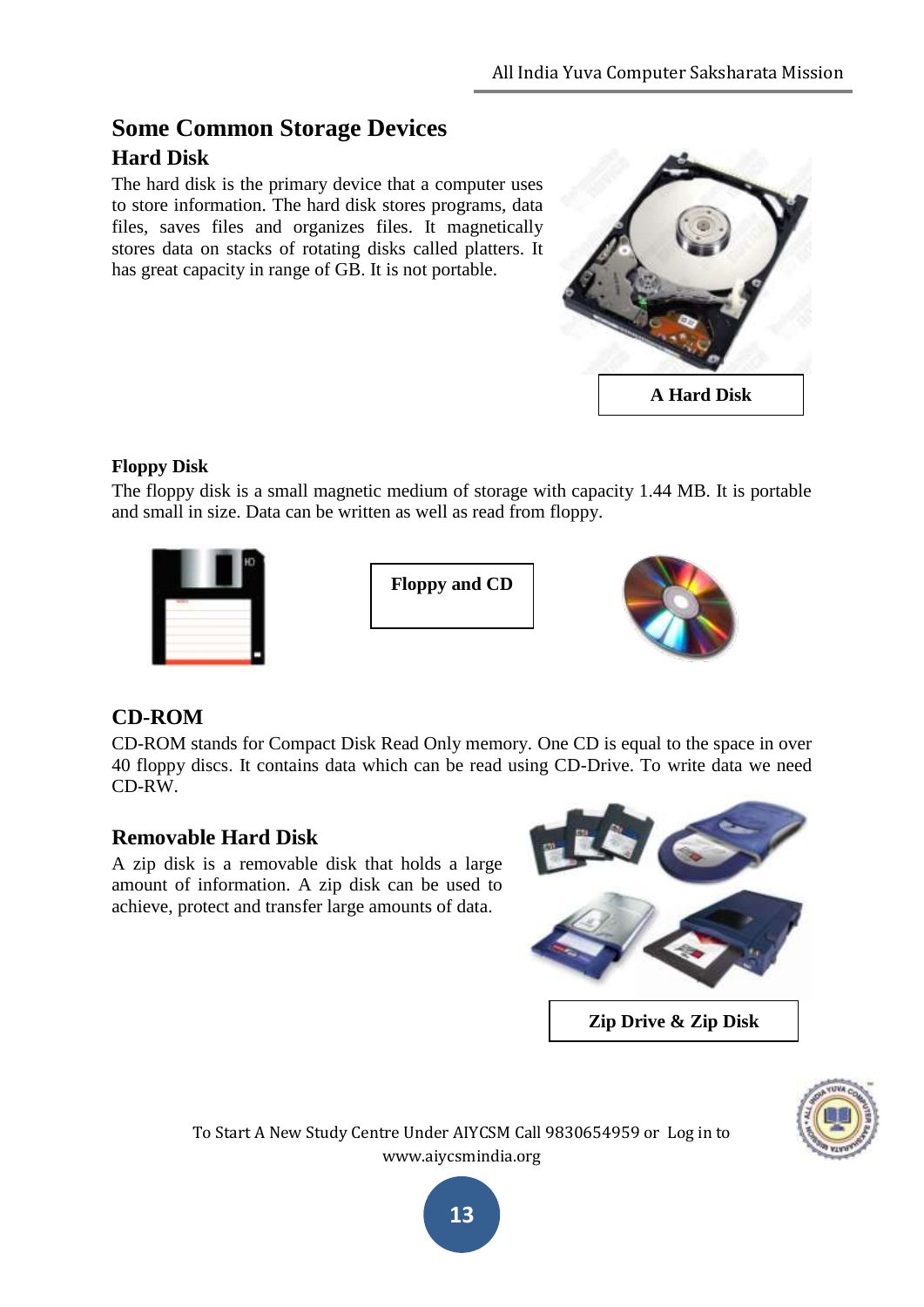# **Some Common Storage Devices Hard Disk**

The hard disk is the primary device that a computer uses to store information. The hard disk stores programs, data files, saves files and organizes files. It magnetically stores data on stacks of rotating disks called platters. It has great capacity in range of GB. It is not portable.



### **Floppy Disk**

The floppy disk is a small magnetic medium of storage with capacity 1.44 MB. It is portable and small in size. Data can be written as well as read from floppy.



**Floppy and CD**



# **CD-ROM**

CD-ROM stands for Compact Disk Read Only memory. One CD is equal to the space in over 40 floppy discs. It contains data which can be read using CD-Drive. To write data we need CD-RW.

# **Removable Hard Disk**

A zip disk is a removable disk that holds a large amount of information. A zip disk can be used to achieve, protect and transfer large amounts of data.



**Zip Drive & Zip Disk**



To Start A New Study Centre Under AIYCSM Call 9830654959 or Log in to www.aiycsmindia.org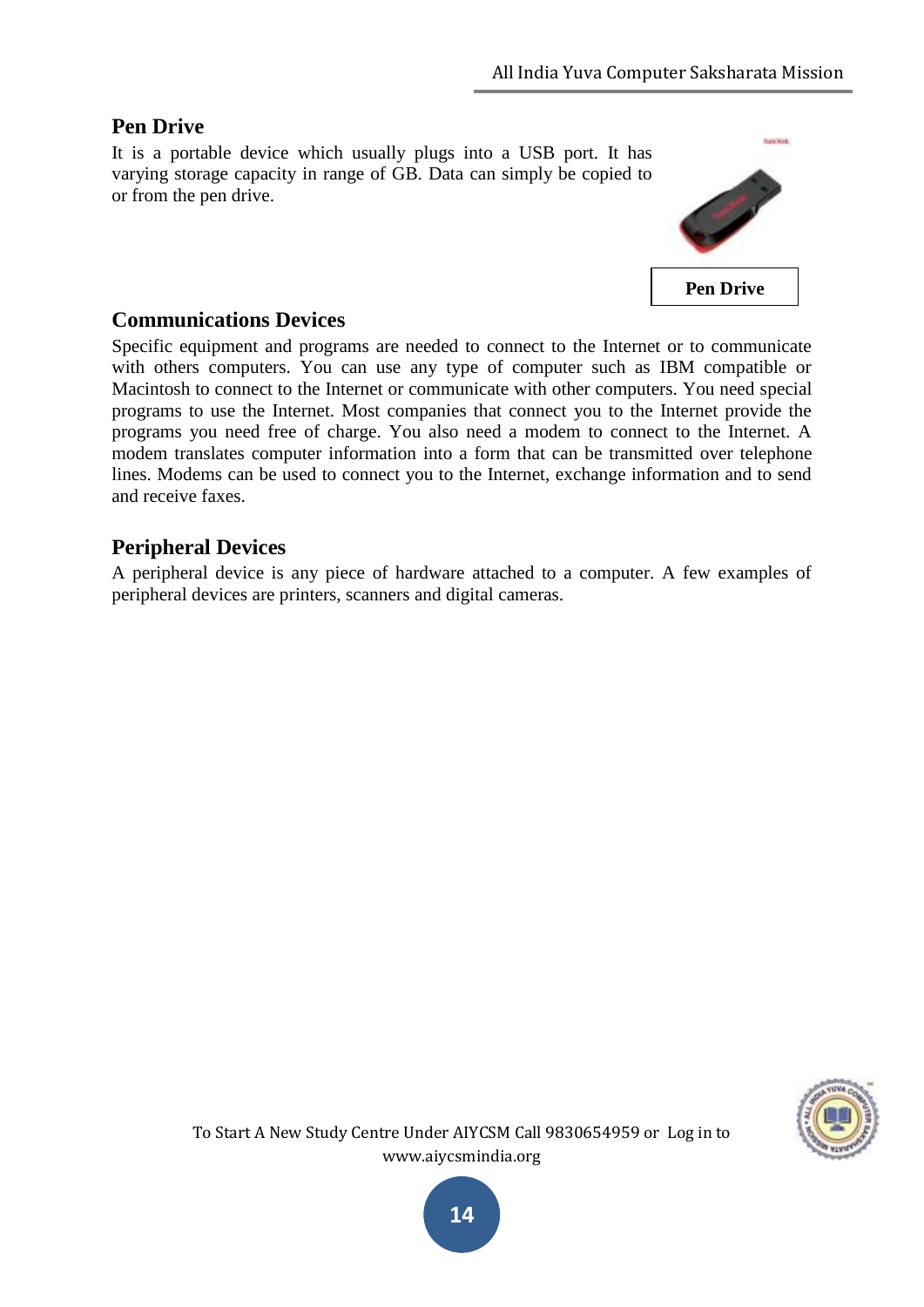### **Pen Drive**

It is a portable device which usually plugs into a USB port. It has varying storage capacity in range of GB. Data can simply be copied to or from the pen drive.



#### **Communications Devices**

Specific equipment and programs are needed to connect to the Internet or to communicate with others computers. You can use any type of computer such as IBM compatible or Macintosh to connect to the Internet or communicate with other computers. You need special programs to use the Internet. Most companies that connect you to the Internet provide the programs you need free of charge. You also need a modem to connect to the Internet. A modem translates computer information into a form that can be transmitted over telephone lines. Modems can be used to connect you to the Internet, exchange information and to send and receive faxes.

#### **Peripheral Devices**

A peripheral device is any piece of hardware attached to a computer. A few examples of peripheral devices are printers, scanners and digital cameras.

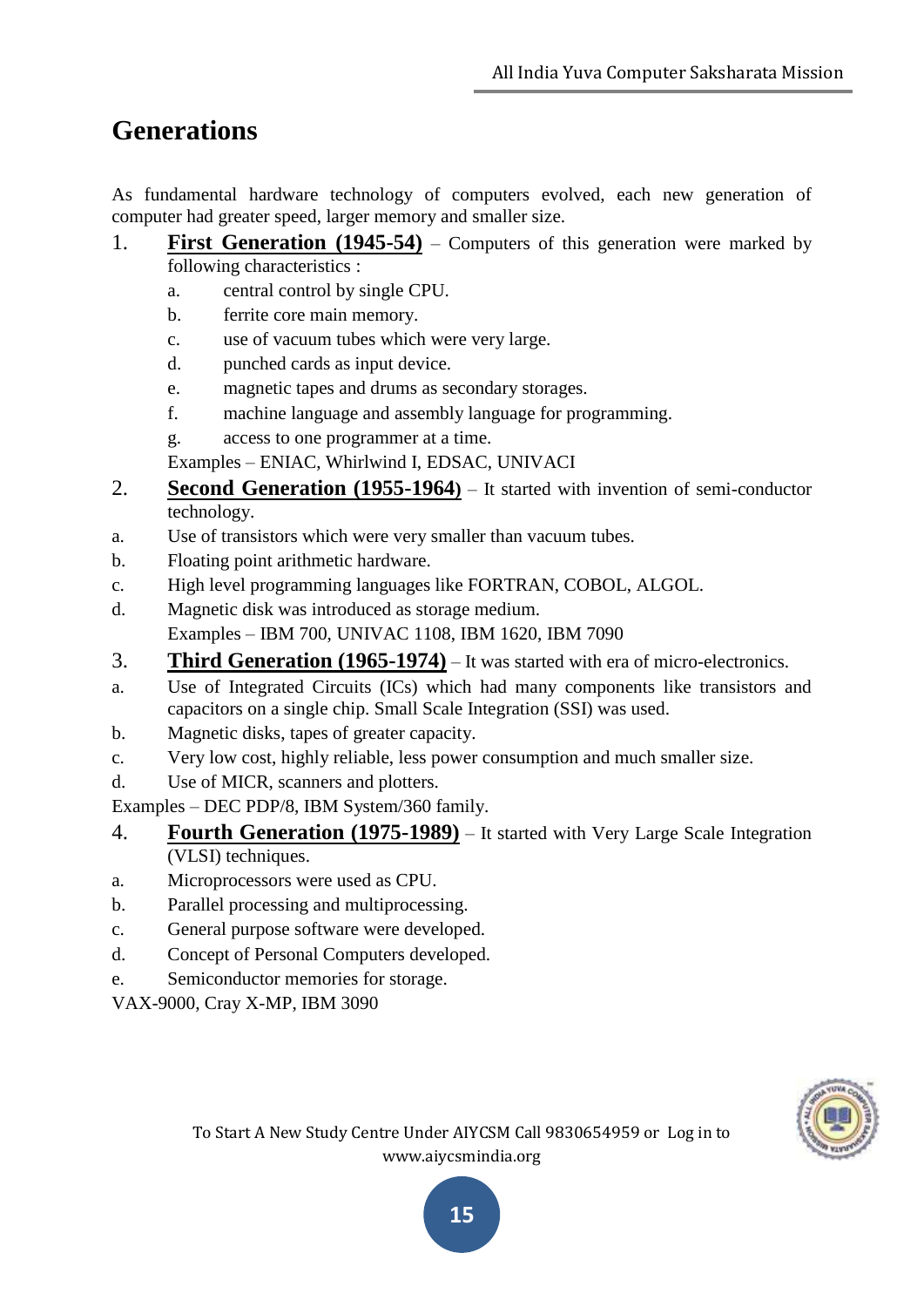# **Generations**

As fundamental hardware technology of computers evolved, each new generation of computer had greater speed, larger memory and smaller size.

- 1. **First Generation** (1945-54) Computers of this generation were marked by following characteristics :
	- a. central control by single CPU.
	- b. ferrite core main memory.
	- c. use of vacuum tubes which were very large.
	- d. punched cards as input device.
	- e. magnetic tapes and drums as secondary storages.
	- f. machine language and assembly language for programming.
	- g. access to one programmer at a time.
	- Examples ENIAC, Whirlwind I, EDSAC, UNIVACI
- 2. **Second Generation (1955-1964)** It started with invention of semi-conductor technology.
- a. Use of transistors which were very smaller than vacuum tubes.
- b. Floating point arithmetic hardware.
- c. High level programming languages like FORTRAN, COBOL, ALGOL.
- d. Magnetic disk was introduced as storage medium. Examples – IBM 700, UNIVAC 1108, IBM 1620, IBM 7090
- 3. **Third Generation (1965-1974)** It was started with era of micro-electronics.
- a. Use of Integrated Circuits (ICs) which had many components like transistors and capacitors on a single chip. Small Scale Integration (SSI) was used.
- b. Magnetic disks, tapes of greater capacity.
- c. Very low cost, highly reliable, less power consumption and much smaller size.
- d. Use of MICR, scanners and plotters.

Examples – DEC PDP/8, IBM System/360 family.

- 4. **Fourth Generation (1975-1989)** It started with Very Large Scale Integration (VLSI) techniques.
- a. Microprocessors were used as CPU.
- b. Parallel processing and multiprocessing.
- c. General purpose software were developed.
- d. Concept of Personal Computers developed.
- e. Semiconductor memories for storage.

VAX-9000, Cray X-MP, IBM 3090



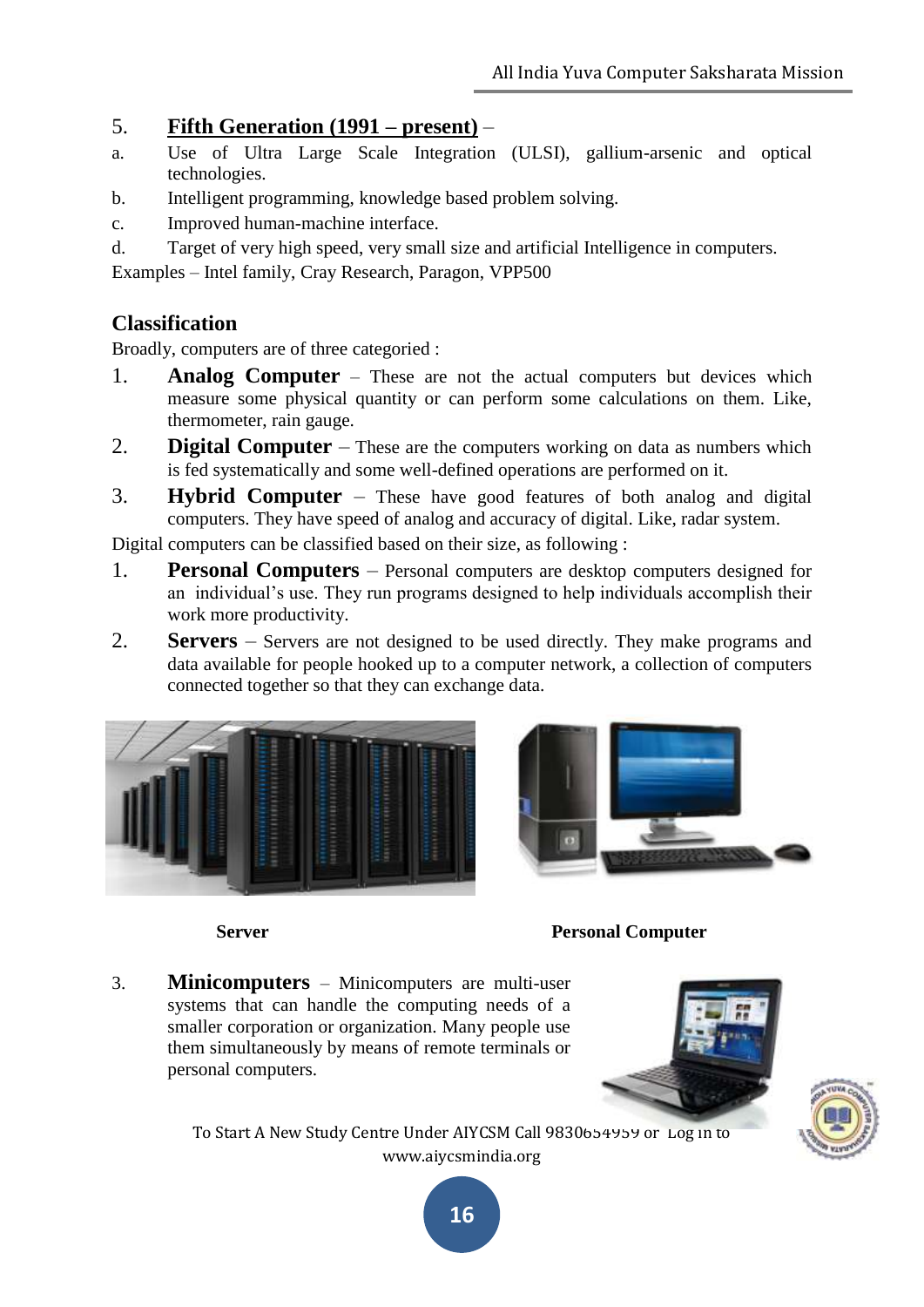### 5. **Fifth Generation (1991 – present)** –

- a. Use of Ultra Large Scale Integration (ULSI), gallium-arsenic and optical technologies.
- b. Intelligent programming, knowledge based problem solving.
- c. Improved human-machine interface.
- d. Target of very high speed, very small size and artificial Intelligence in computers.

Examples – Intel family, Cray Research, Paragon, VPP500

### **Classification**

Broadly, computers are of three categoried :

- 1. **Analog Computer** These are not the actual computers but devices which measure some physical quantity or can perform some calculations on them. Like, thermometer, rain gauge.
- 2. **Digital Computer** These are the computers working on data as numbers which is fed systematically and some well-defined operations are performed on it.
- 3. **Hybrid Computer** These have good features of both analog and digital computers. They have speed of analog and accuracy of digital. Like, radar system.

Digital computers can be classified based on their size, as following :

- 1. **Personal Computers** Personal computers are desktop computers designed for an individual"s use. They run programs designed to help individuals accomplish their work more productivity.
- 2. **Servers** Servers are not designed to be used directly. They make programs and data available for people hooked up to a computer network, a collection of computers connected together so that they can exchange data.





# **Server Personal Computer**

3. **Minicomputers** – Minicomputers are multi-user systems that can handle the computing needs of a smaller corporation or organization. Many people use them simultaneously by means of remote terminals or personal computers.





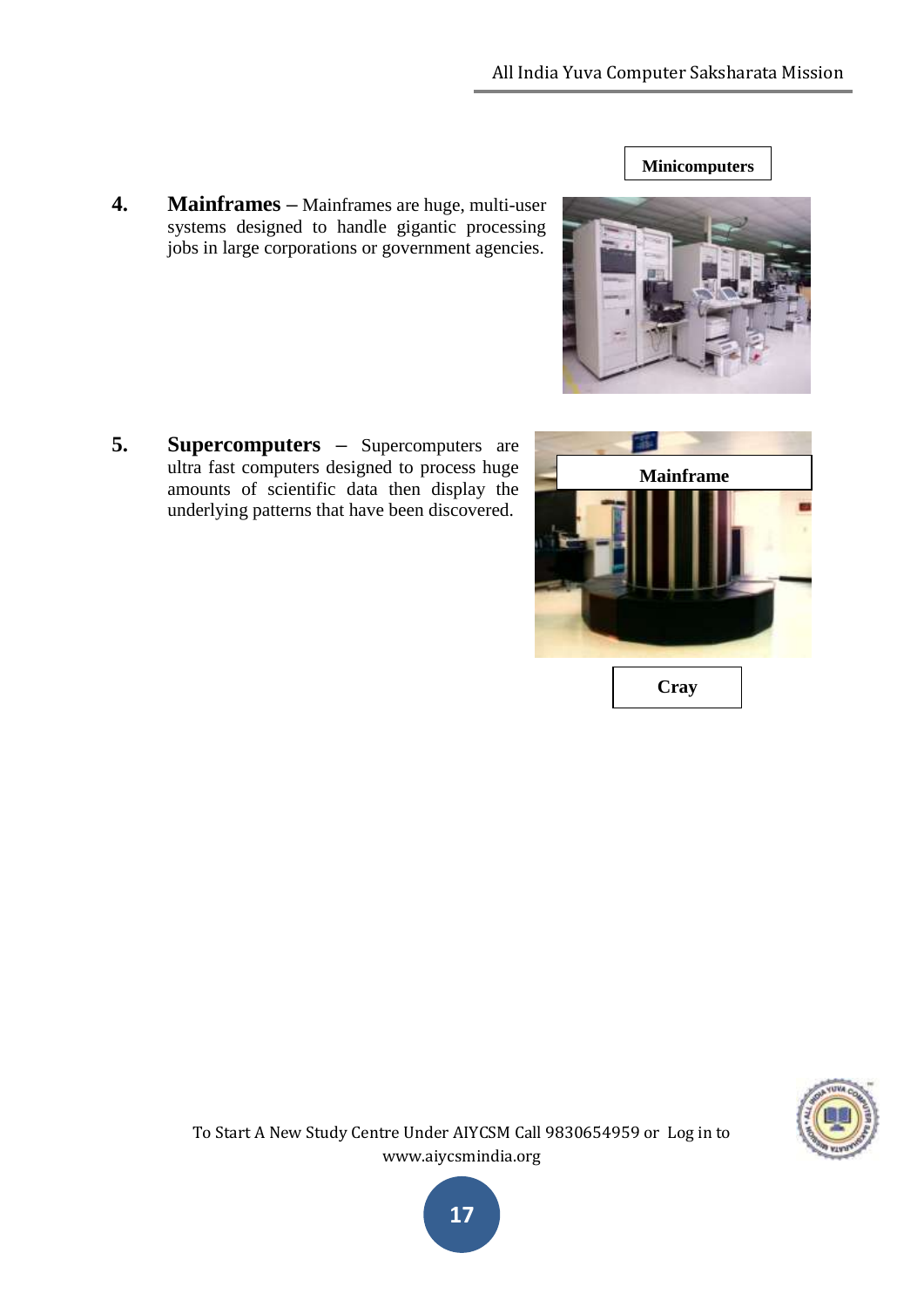**4. Mainframes –** Mainframes are huge, multi-user systems designed to handle gigantic processing jobs in large corporations or government agencies.

**5. Supercomputers –** Supercomputers are ultra fast computers designed to process huge amounts of scientific data then display the underlying patterns that have been discovered.







**Minicomputers**

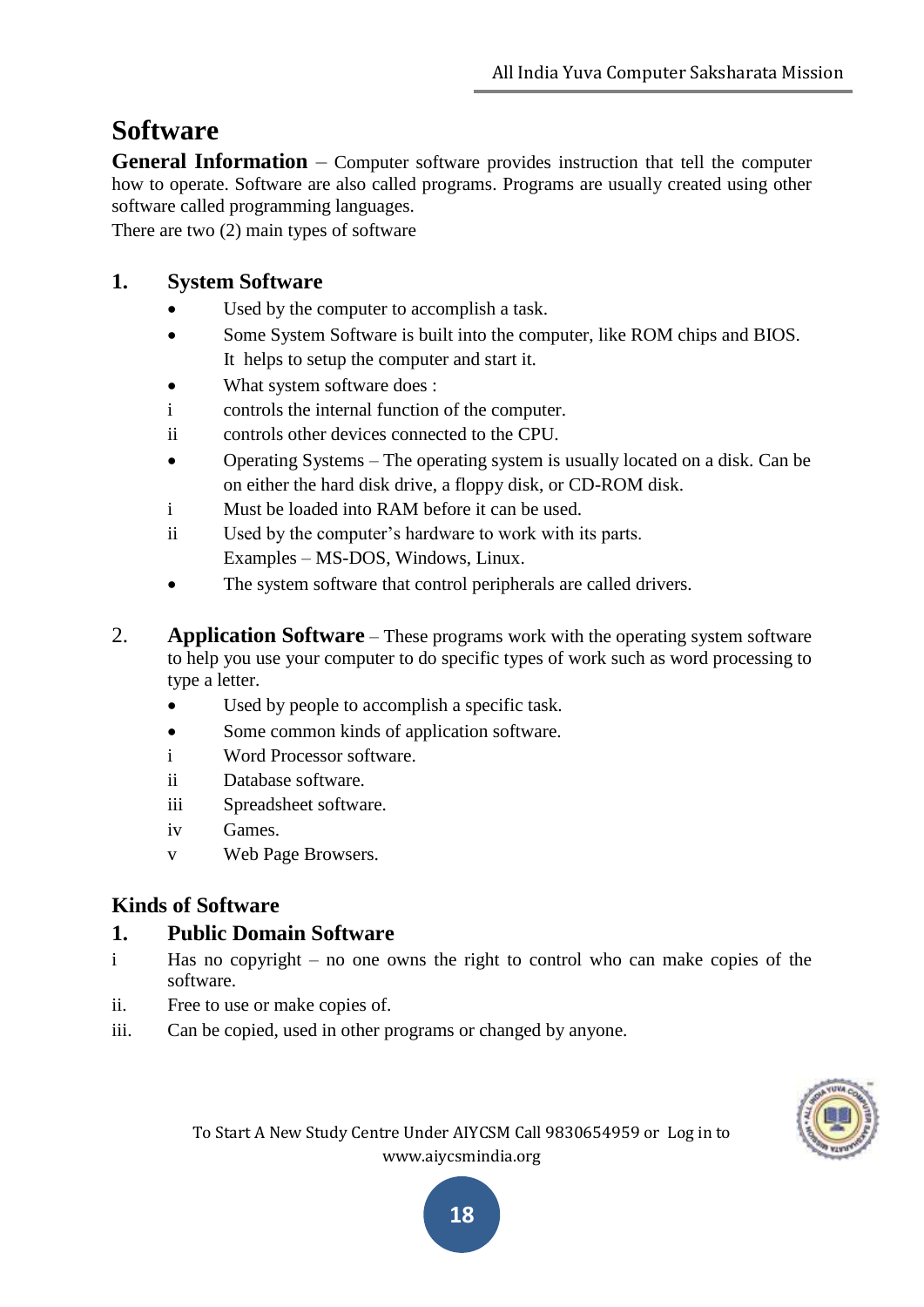# **Software**

**General Information** – Computer software provides instruction that tell the computer how to operate. Software are also called programs. Programs are usually created using other software called programming languages.

There are two (2) main types of software

### **1. System Software**

- Used by the computer to accomplish a task.
- Some System Software is built into the computer, like ROM chips and BIOS. It helps to setup the computer and start it.
- What system software does :
- i controls the internal function of the computer.
- ii controls other devices connected to the CPU.
- Operating Systems The operating system is usually located on a disk. Can be on either the hard disk drive, a floppy disk, or CD-ROM disk.
- i Must be loaded into RAM before it can be used.
- ii Used by the computer"s hardware to work with its parts. Examples – MS-DOS, Windows, Linux.
- The system software that control peripherals are called drivers.
- 2. **Application Software** These programs work with the operating system software to help you use your computer to do specific types of work such as word processing to type a letter.
	- Used by people to accomplish a specific task.
	- Some common kinds of application software.
	- i Word Processor software.
	- ii Database software.
	- iii Spreadsheet software.
	- iv Games.
	- v Web Page Browsers.

# **Kinds of Software**

# **1. Public Domain Software**

- i Has no copyright no one owns the right to control who can make copies of the software.
- ii. Free to use or make copies of.
- iii. Can be copied, used in other programs or changed by anyone.



To Start A New Study Centre Under AIYCSM Call 9830654959 or Log in to www.aiycsmindia.org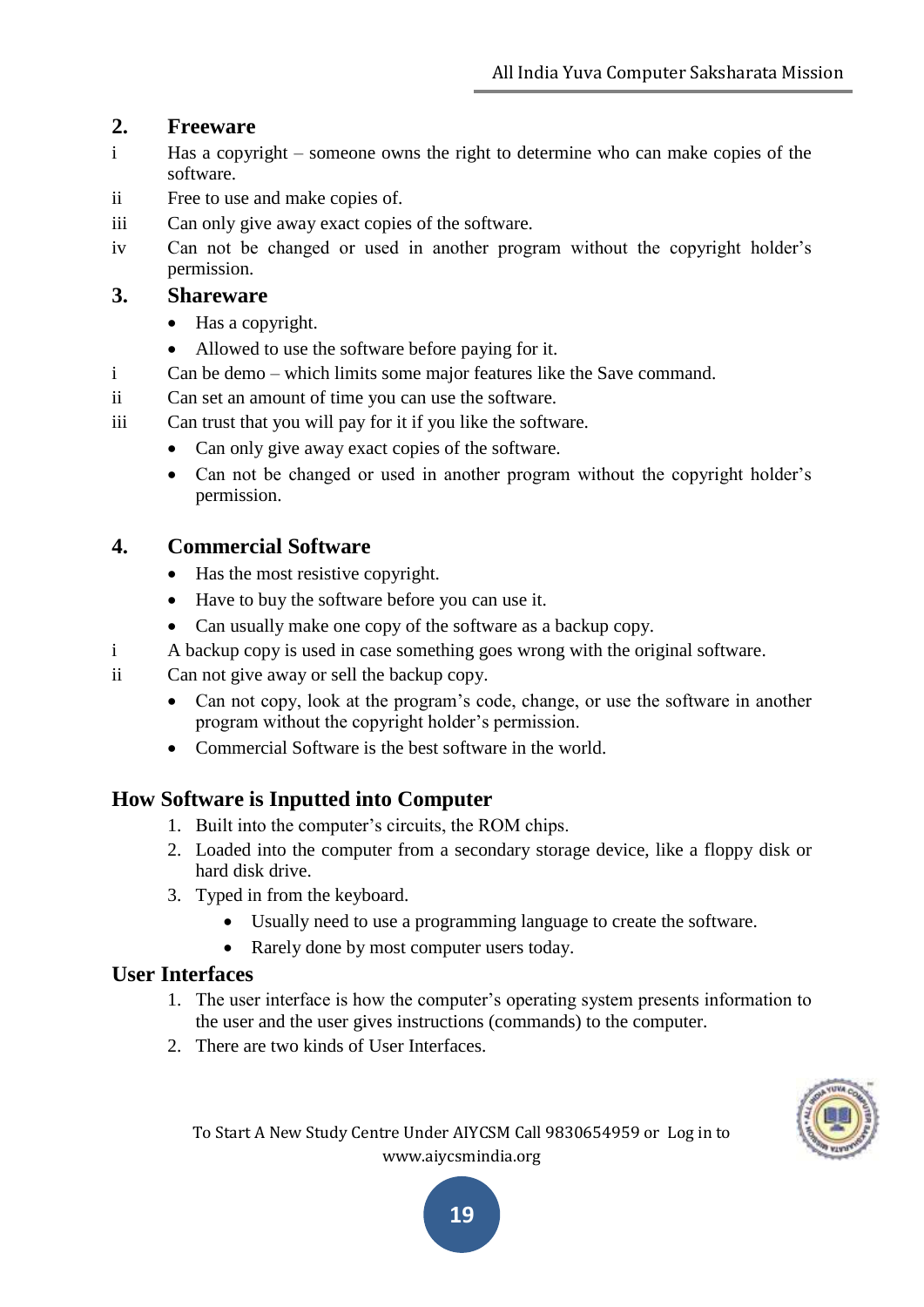#### **2. Freeware**

- i Has a copyright someone owns the right to determine who can make copies of the software.
- ii Free to use and make copies of.
- iii Can only give away exact copies of the software.
- iv Can not be changed or used in another program without the copyright holder"s permission.

#### **3. Shareware**

- Has a copyright.
- Allowed to use the software before paying for it.
- i Can be demo which limits some major features like the Save command.
- ii Can set an amount of time you can use the software.
- iii Can trust that you will pay for it if you like the software.
	- Can only give away exact copies of the software.
	- Can not be changed or used in another program without the copyright holder's permission.

#### **4. Commercial Software**

- Has the most resistive copyright.
- Have to buy the software before you can use it.
- Can usually make one copy of the software as a backup copy.
- i A backup copy is used in case something goes wrong with the original software.
- ii Can not give away or sell the backup copy.
	- Can not copy, look at the program's code, change, or use the software in another program without the copyright holder"s permission.
	- Commercial Software is the best software in the world.

#### **How Software is Inputted into Computer**

- 1. Built into the computer"s circuits, the ROM chips.
- 2. Loaded into the computer from a secondary storage device, like a floppy disk or hard disk drive.
- 3. Typed in from the keyboard.
	- Usually need to use a programming language to create the software.
	- Rarely done by most computer users today.

#### **User Interfaces**

- 1. The user interface is how the computer"s operating system presents information to the user and the user gives instructions (commands) to the computer.
- 2. There are two kinds of User Interfaces.



To Start A New Study Centre Under AIYCSM Call 9830654959 or Log in to www.aiycsmindia.org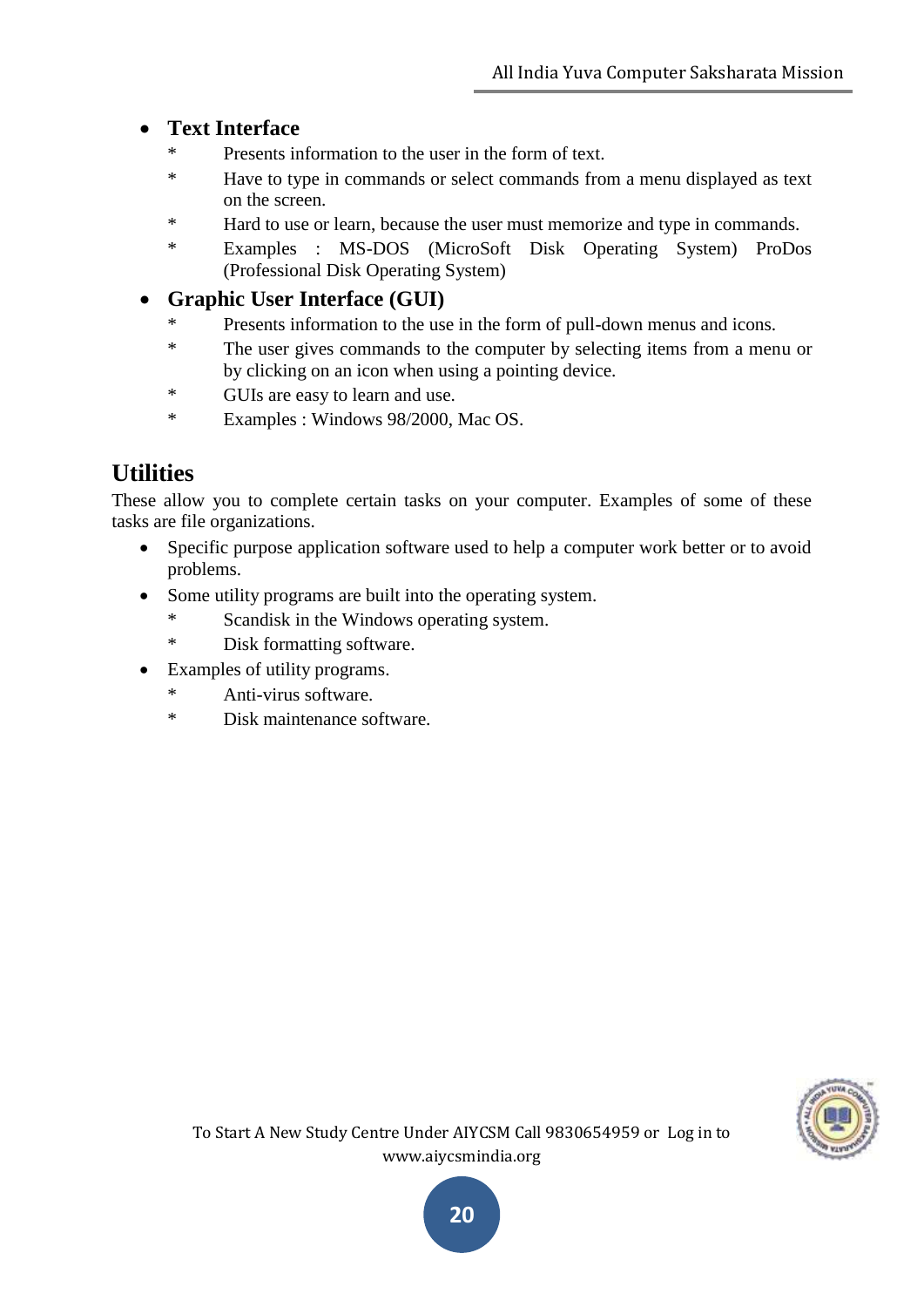# **Text Interface**

- \* Presents information to the user in the form of text.
- \* Have to type in commands or select commands from a menu displayed as text on the screen.
- \* Hard to use or learn, because the user must memorize and type in commands.
- \* Examples : MS-DOS (MicroSoft Disk Operating System) ProDos (Professional Disk Operating System)

### **Graphic User Interface (GUI)**

- Presents information to the use in the form of pull-down menus and icons.
- \* The user gives commands to the computer by selecting items from a menu or by clicking on an icon when using a pointing device.
- \* GUIs are easy to learn and use.
- \* Examples : Windows 98/2000, Mac OS.

# **Utilities**

These allow you to complete certain tasks on your computer. Examples of some of these tasks are file organizations.

- Specific purpose application software used to help a computer work better or to avoid problems.
- Some utility programs are built into the operating system.
	- Scandisk in the Windows operating system.
	- \* Disk formatting software.
- Examples of utility programs.
	- \* Anti-virus software.
	- \* Disk maintenance software.

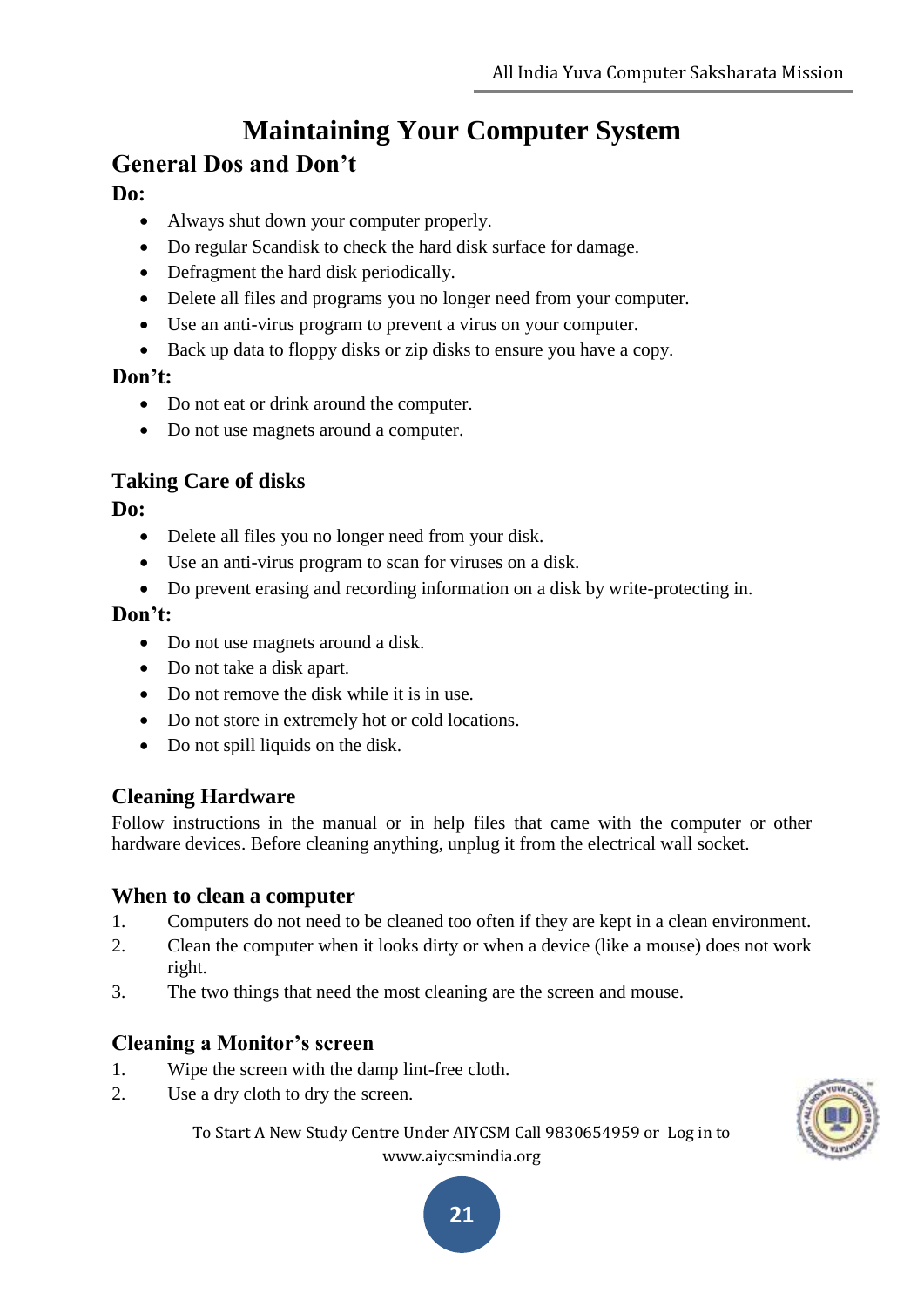# **Maintaining Your Computer System General Dos and Don't**

#### **Do:**

- Always shut down your computer properly.
- Do regular Scandisk to check the hard disk surface for damage.
- Defragment the hard disk periodically.
- Delete all files and programs you no longer need from your computer.
- Use an anti-virus program to prevent a virus on your computer.
- Back up data to floppy disks or zip disks to ensure you have a copy.

#### **Don't:**

- Do not eat or drink around the computer.
- Do not use magnets around a computer.

# **Taking Care of disks**

**Do:**

- Delete all files you no longer need from your disk.
- Use an anti-virus program to scan for viruses on a disk.
- Do prevent erasing and recording information on a disk by write-protecting in.

#### **Don't:**

- Do not use magnets around a disk.
- Do not take a disk apart.
- Do not remove the disk while it is in use.
- Do not store in extremely hot or cold locations.
- Do not spill liquids on the disk.

# **Cleaning Hardware**

Follow instructions in the manual or in help files that came with the computer or other hardware devices. Before cleaning anything, unplug it from the electrical wall socket.

#### **When to clean a computer**

- 1. Computers do not need to be cleaned too often if they are kept in a clean environment.
- 2. Clean the computer when it looks dirty or when a device (like a mouse) does not work right.
- 3. The two things that need the most cleaning are the screen and mouse.

#### **Cleaning a Monitor's screen**

- 1. Wipe the screen with the damp lint-free cloth.
- 2. Use a dry cloth to dry the screen.

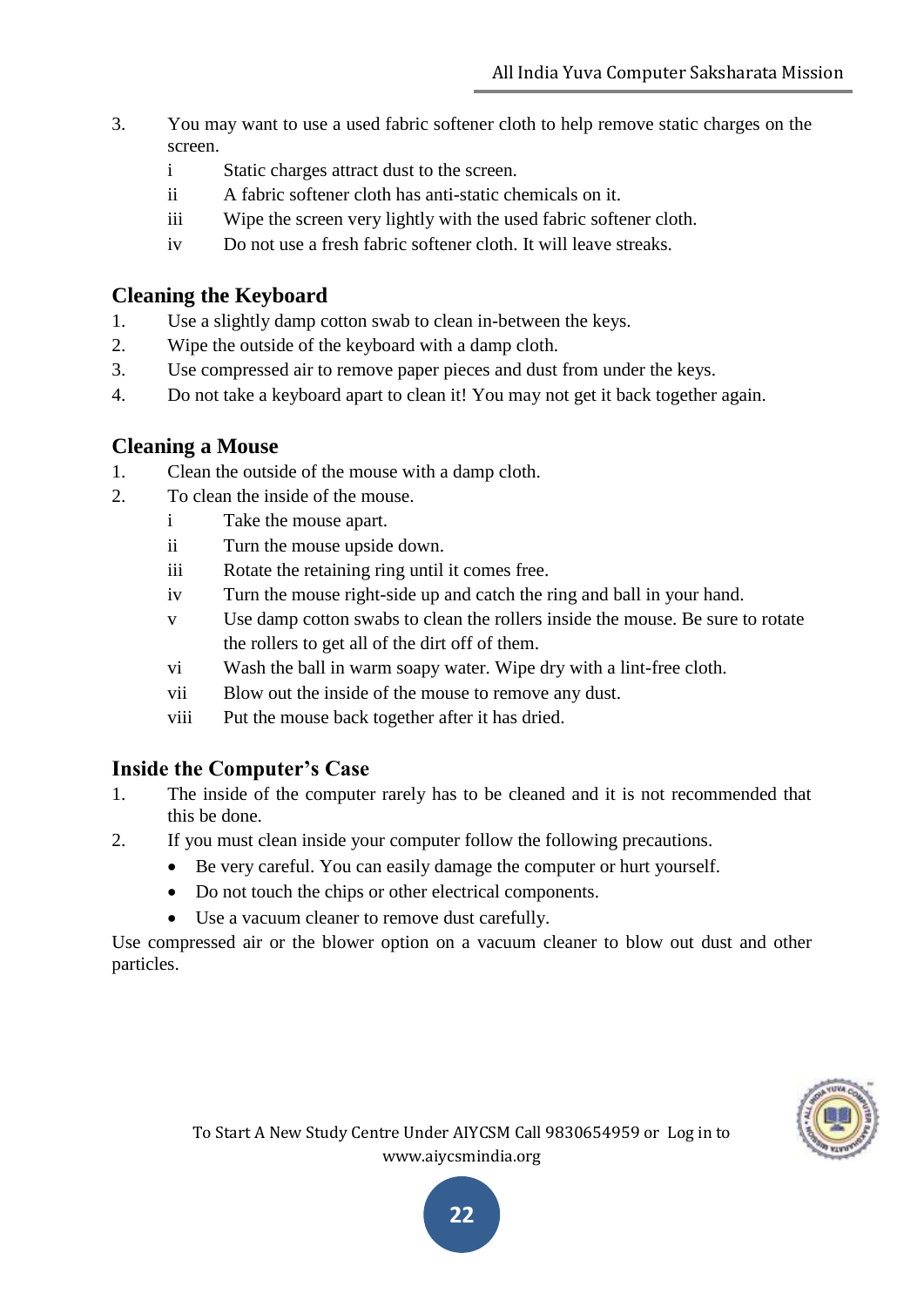- 3. You may want to use a used fabric softener cloth to help remove static charges on the screen.
	- i Static charges attract dust to the screen.
	- ii A fabric softener cloth has anti-static chemicals on it.
	- iii Wipe the screen very lightly with the used fabric softener cloth.
	- iv Do not use a fresh fabric softener cloth. It will leave streaks.

# **Cleaning the Keyboard**

- 1. Use a slightly damp cotton swab to clean in-between the keys.
- 2. Wipe the outside of the keyboard with a damp cloth.
- 3. Use compressed air to remove paper pieces and dust from under the keys.
- 4. Do not take a keyboard apart to clean it! You may not get it back together again.

# **Cleaning a Mouse**

- 1. Clean the outside of the mouse with a damp cloth.
- 2. To clean the inside of the mouse.
	- i Take the mouse apart.
	- ii Turn the mouse upside down.
	- iii Rotate the retaining ring until it comes free.
	- iv Turn the mouse right-side up and catch the ring and ball in your hand.
	- v Use damp cotton swabs to clean the rollers inside the mouse. Be sure to rotate the rollers to get all of the dirt off of them.
	- vi Wash the ball in warm soapy water. Wipe dry with a lint-free cloth.
	- vii Blow out the inside of the mouse to remove any dust.
	- viii Put the mouse back together after it has dried.

# **Inside the Computer's Case**

- 1. The inside of the computer rarely has to be cleaned and it is not recommended that this be done.
- 2. If you must clean inside your computer follow the following precautions.
	- Be very careful. You can easily damage the computer or hurt yourself.
	- Do not touch the chips or other electrical components.
	- Use a vacuum cleaner to remove dust carefully.

Use compressed air or the blower option on a vacuum cleaner to blow out dust and other particles.

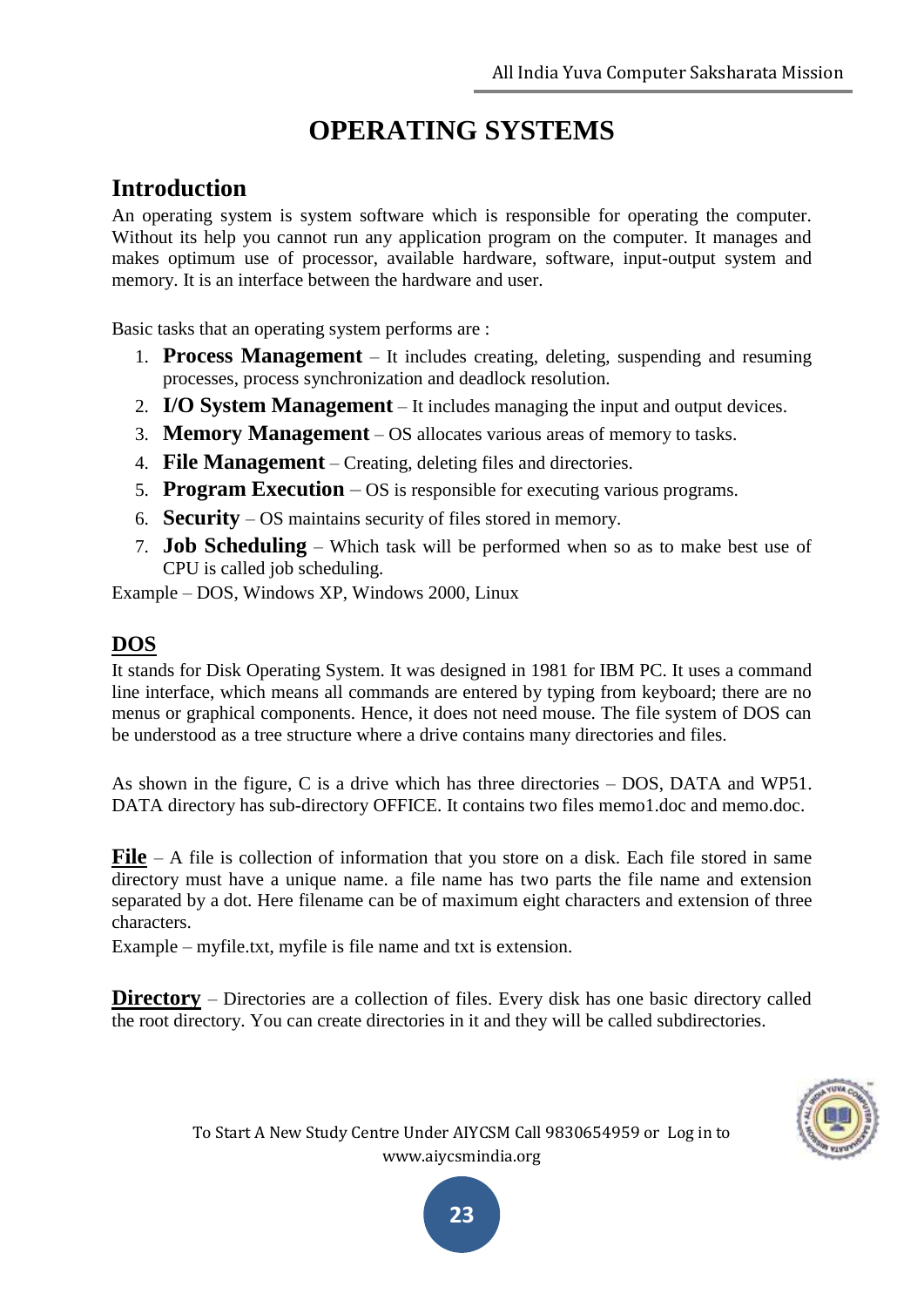# **OPERATING SYSTEMS**

# **Introduction**

An operating system is system software which is responsible for operating the computer. Without its help you cannot run any application program on the computer. It manages and makes optimum use of processor, available hardware, software, input-output system and memory. It is an interface between the hardware and user.

Basic tasks that an operating system performs are :

- 1. **Process Management** It includes creating, deleting, suspending and resuming processes, process synchronization and deadlock resolution.
- 2. **I/O System Management** It includes managing the input and output devices.
- 3. **Memory Management** OS allocates various areas of memory to tasks.
- 4. **File Management** Creating, deleting files and directories.
- 5. **Program Execution** OS is responsible for executing various programs.
- 6. **Security** OS maintains security of files stored in memory.
- 7. **Job Scheduling** Which task will be performed when so as to make best use of CPU is called job scheduling.

Example – DOS, Windows XP, Windows 2000, Linux

# **DOS**

It stands for Disk Operating System. It was designed in 1981 for IBM PC. It uses a command line interface, which means all commands are entered by typing from keyboard; there are no menus or graphical components. Hence, it does not need mouse. The file system of DOS can be understood as a tree structure where a drive contains many directories and files.

As shown in the figure, C is a drive which has three directories – DOS, DATA and WP51. DATA directory has sub-directory OFFICE. It contains two files memo1.doc and memo.doc.

**File** – A file is collection of information that you store on a disk. Each file stored in same directory must have a unique name. a file name has two parts the file name and extension separated by a dot. Here filename can be of maximum eight characters and extension of three characters.

Example – myfile.txt, myfile is file name and txt is extension.

**Directory** – Directories are a collection of files. Every disk has one basic directory called the root directory. You can create directories in it and they will be called subdirectories.

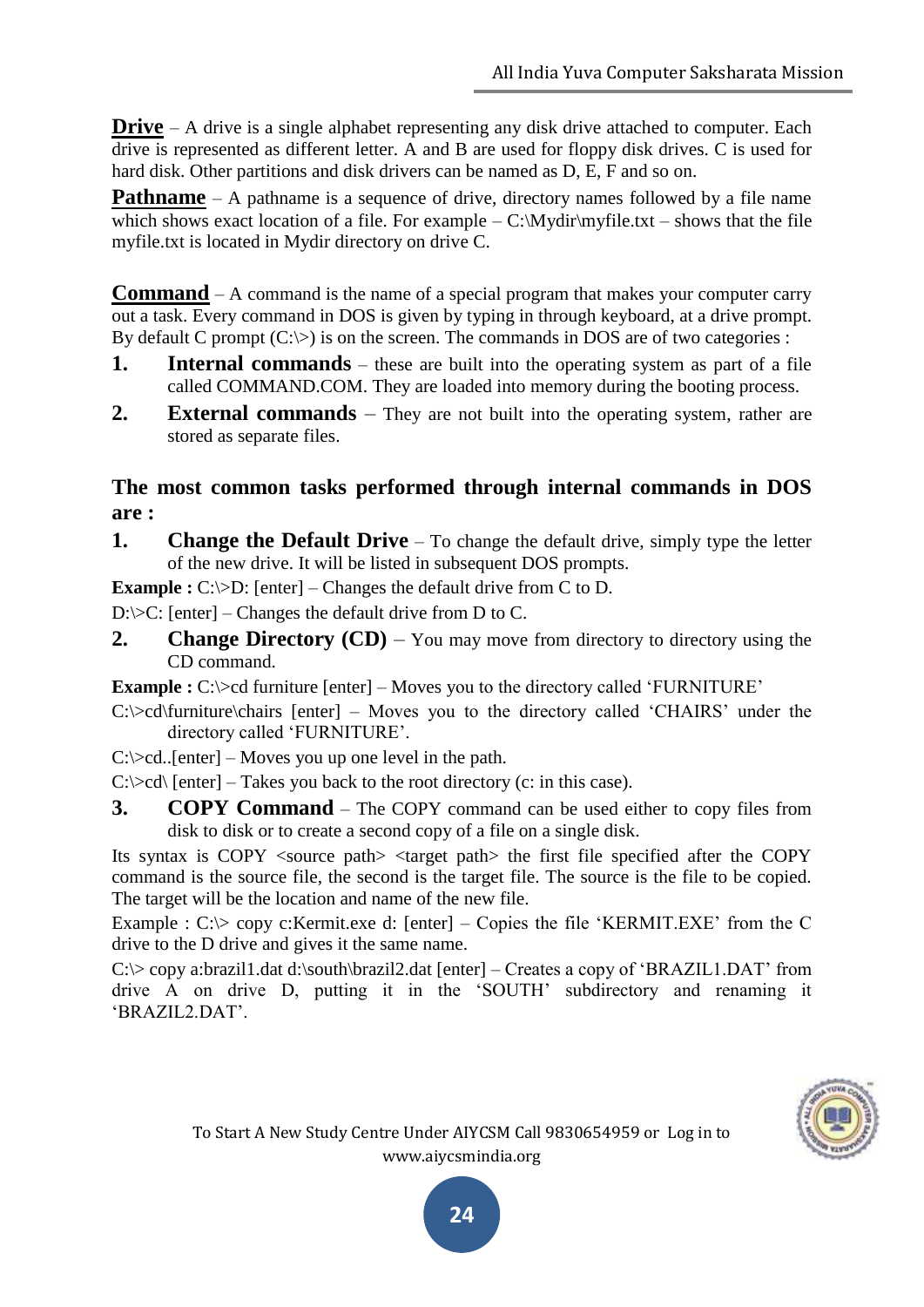**Drive** – A drive is a single alphabet representing any disk drive attached to computer. Each drive is represented as different letter. A and B are used for floppy disk drives. C is used for hard disk. Other partitions and disk drivers can be named as D, E, F and so on.

**Pathname** – A pathname is a sequence of drive, directory names followed by a file name which shows exact location of a file. For example  $-C:\Mydir\myfile.txt - shows that the file$ myfile.txt is located in Mydir directory on drive C.

**Command** – A command is the name of a special program that makes your computer carry out a task. Every command in DOS is given by typing in through keyboard, at a drive prompt. By default C prompt  $(C;\triangleright)$  is on the screen. The commands in DOS are of two categories :

- **1. Internal commands** these are built into the operating system as part of a file called COMMAND.COM. They are loaded into memory during the booting process.
- **2. External commands** They are not built into the operating system, rather are stored as separate files.

### **The most common tasks performed through internal commands in DOS are :**

**1. Change the Default Drive** – To change the default drive, simply type the letter of the new drive. It will be listed in subsequent DOS prompts.

**Example :** C: $\triangleright$ D: [enter] – Changes the default drive from C to D.

D: $\>C$ : [enter] – Changes the default drive from D to C.

**2. Change Directory (CD)** – You may move from directory to directory using the CD command.

**Example :** C:\>cd furniture [enter] – Moves you to the directory called 'FURNITURE'

 $C$ :\>cd\furniture\chairs [enter] – Moves you to the directory called 'CHAIRS' under the directory called "FURNITURE".

 $C:\geq c d$ ..[enter] – Moves you up one level in the path.

 $C:\geq c d$  [enter] – Takes you back to the root directory (c: in this case).

**3. COPY Command** – The COPY command can be used either to copy files from disk to disk or to create a second copy of a file on a single disk.

Its syntax is COPY <source path> <target path> the first file specified after the COPY command is the source file, the second is the target file. The source is the file to be copied. The target will be the location and name of the new file.

Example :  $C:\rangle$  copy c: Kermit.exe d: [enter] – Copies the file 'KERMIT.EXE' from the C drive to the D drive and gives it the same name.

C: $\>$  copy a:brazil1.dat d:\south\brazil2.dat [enter] – Creates a copy of 'BRAZIL1.DAT' from drive A on drive D, putting it in the "SOUTH" subdirectory and renaming it "BRAZIL2.DAT".

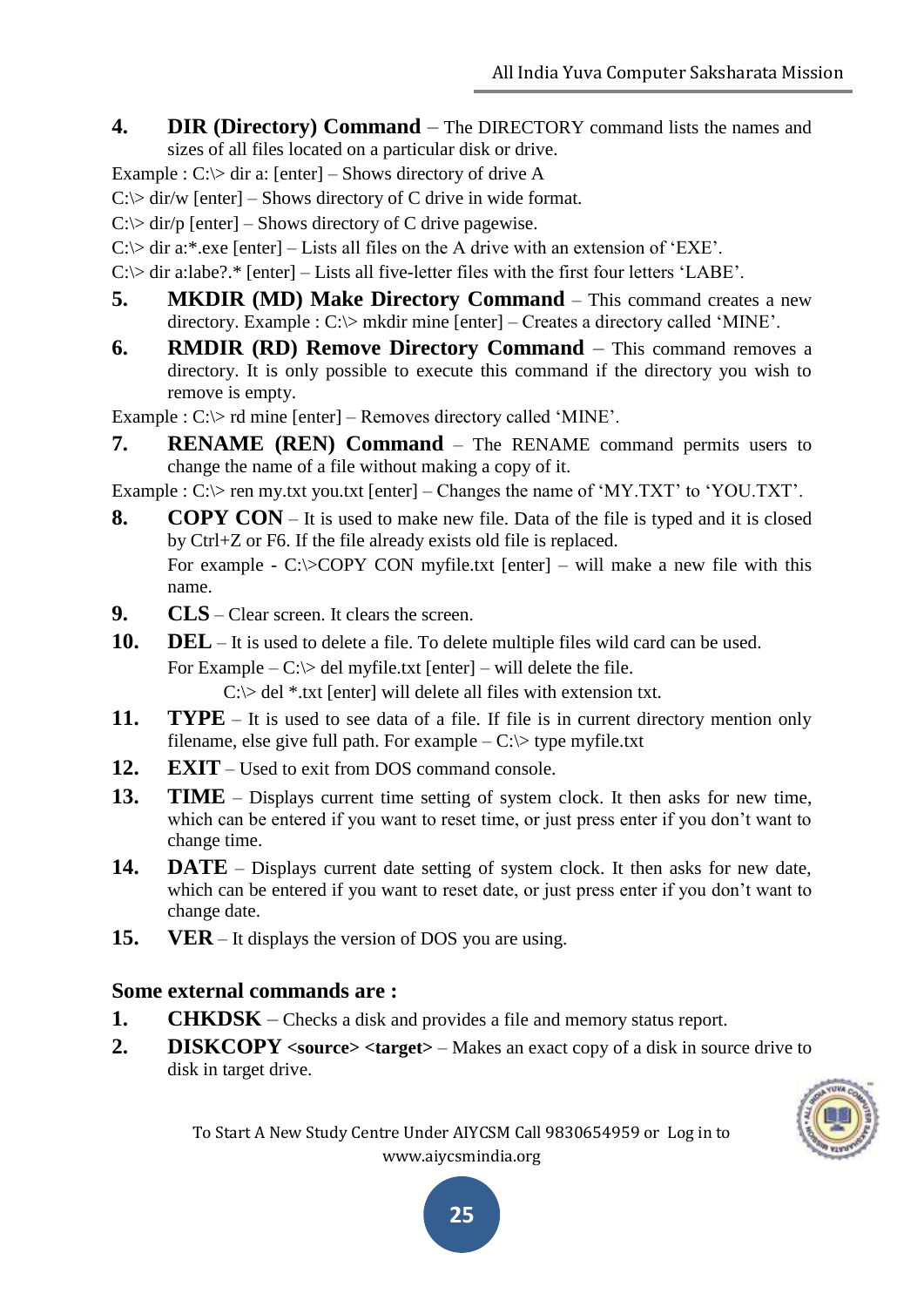**4. DIR (Directory) Command** – The DIRECTORY command lists the names and sizes of all files located on a particular disk or drive.

Example :  $C:\rangle$  dir a: [enter] – Shows directory of drive A

 $C$ : $\triangleright$  dir/w [enter] – Shows directory of C drive in wide format.

 $C$ : $>$  dir/p [enter] – Shows directory of C drive pagewise.

 $C$ : $\triangleright$  dir a:\*.exe [enter] – Lists all files on the A drive with an extension of 'EXE'.

 $C$ : $>$  dir a:labe?.\* [enter] – Lists all five-letter files with the first four letters 'LABE'.

- **5. MKDIR (MD) Make Directory Command** This command creates a new directory. Example : C:\> mkdir mine [enter] – Creates a directory called 'MINE'.
- **6. RMDIR (RD) Remove Directory Command** This command removes a directory. It is only possible to execute this command if the directory you wish to remove is empty.

Example : C: $>$  rd mine [enter] – Removes directory called 'MINE'.

**7. RENAME (REN) Command** – The RENAME command permits users to change the name of a file without making a copy of it.

Example :  $C:\rangle$  ren my.txt you.txt [enter] – Changes the name of 'MY.TXT' to 'YOU.TXT'.

**8. COPY CON** – It is used to make new file. Data of the file is typed and it is closed by Ctrl+Z or F6. If the file already exists old file is replaced. For example - C: $\triangle$ COPY CON myfile.txt [enter] – will make a new file with this

name.

- **9. CLS** Clear screen. It clears the screen.
- **10. DEL** It is used to delete a file. To delete multiple files wild card can be used.

For Example –  $C$ : $>$  del myfile.txt [enter] – will delete the file.

 $C$ : $>$  del \*.txt [enter] will delete all files with extension txt.

- **11. TYPE** It is used to see data of a file. If file is in current directory mention only filename, else give full path. For example  $-C$ : $\triangleright$  type myfile.txt
- **12. EXIT** Used to exit from DOS command console.
- **13. TIME** Displays current time setting of system clock. It then asks for new time, which can be entered if you want to reset time, or just press enter if you don't want to change time.
- **14. DATE** Displays current date setting of system clock. It then asks for new date, which can be entered if you want to reset date, or just press enter if you don't want to change date.
- **15. VER** It displays the version of DOS you are using.

#### **Some external commands are :**

- **1. CHKDSK** Checks a disk and provides a file and memory status report.
- **2. DISKCOPY <source> <target>** Makes an exact copy of a disk in source drive to disk in target drive.



To Start A New Study Centre Under AIYCSM Call 9830654959 or Log in to www.aiycsmindia.org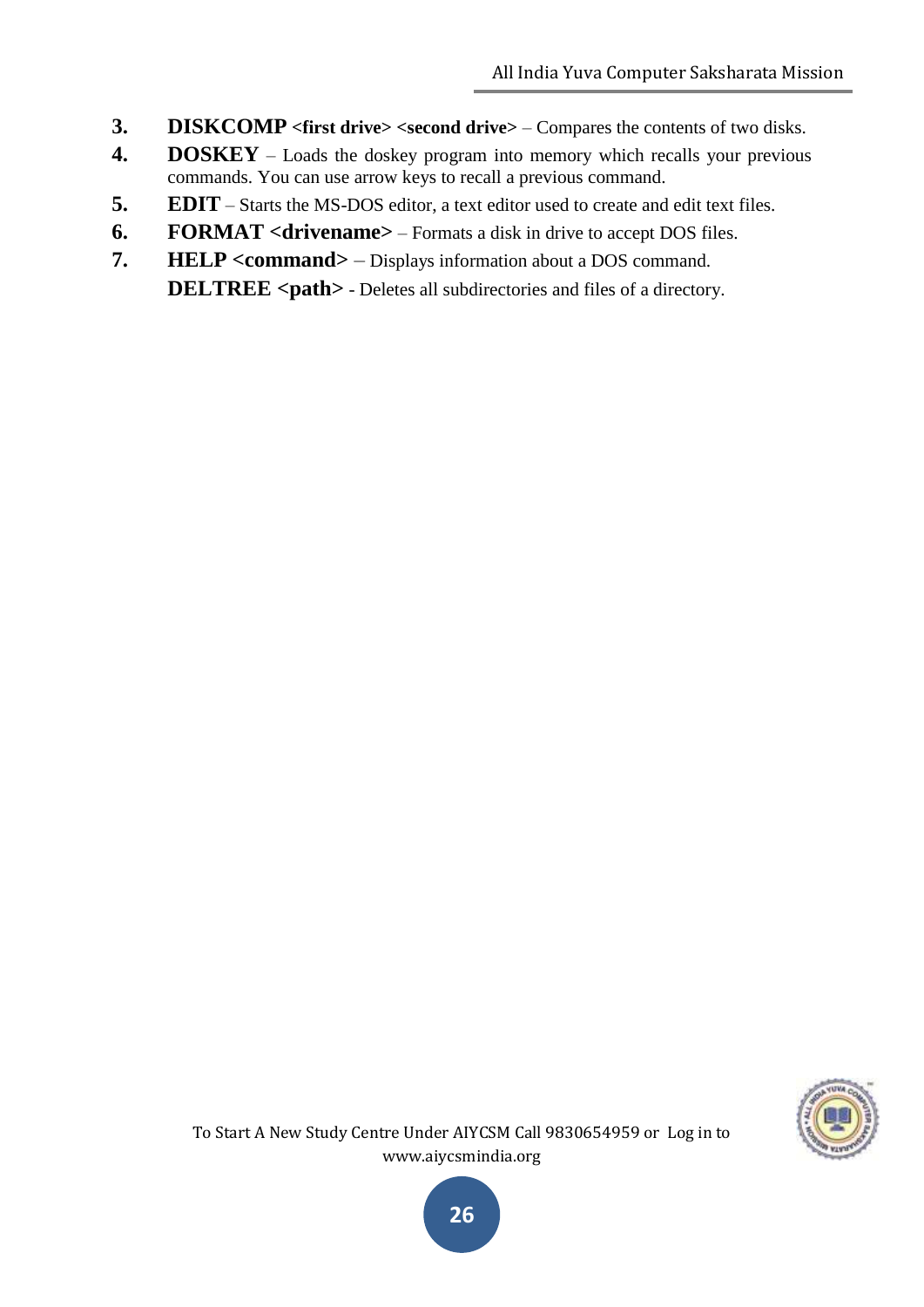- **3. DISKCOMP** <first drive> <second drive> Compares the contents of two disks.
- **4. DOSKEY** Loads the doskey program into memory which recalls your previous commands. You can use arrow keys to recall a previous command.
- **5. EDIT** Starts the MS-DOS editor, a text editor used to create and edit text files.
- **6. FORMAT <drivename>** Formats a disk in drive to accept DOS files.
- **7. HELP <command>** Displays information about a DOS command. **DELTREE** <path> - Deletes all subdirectories and files of a directory.



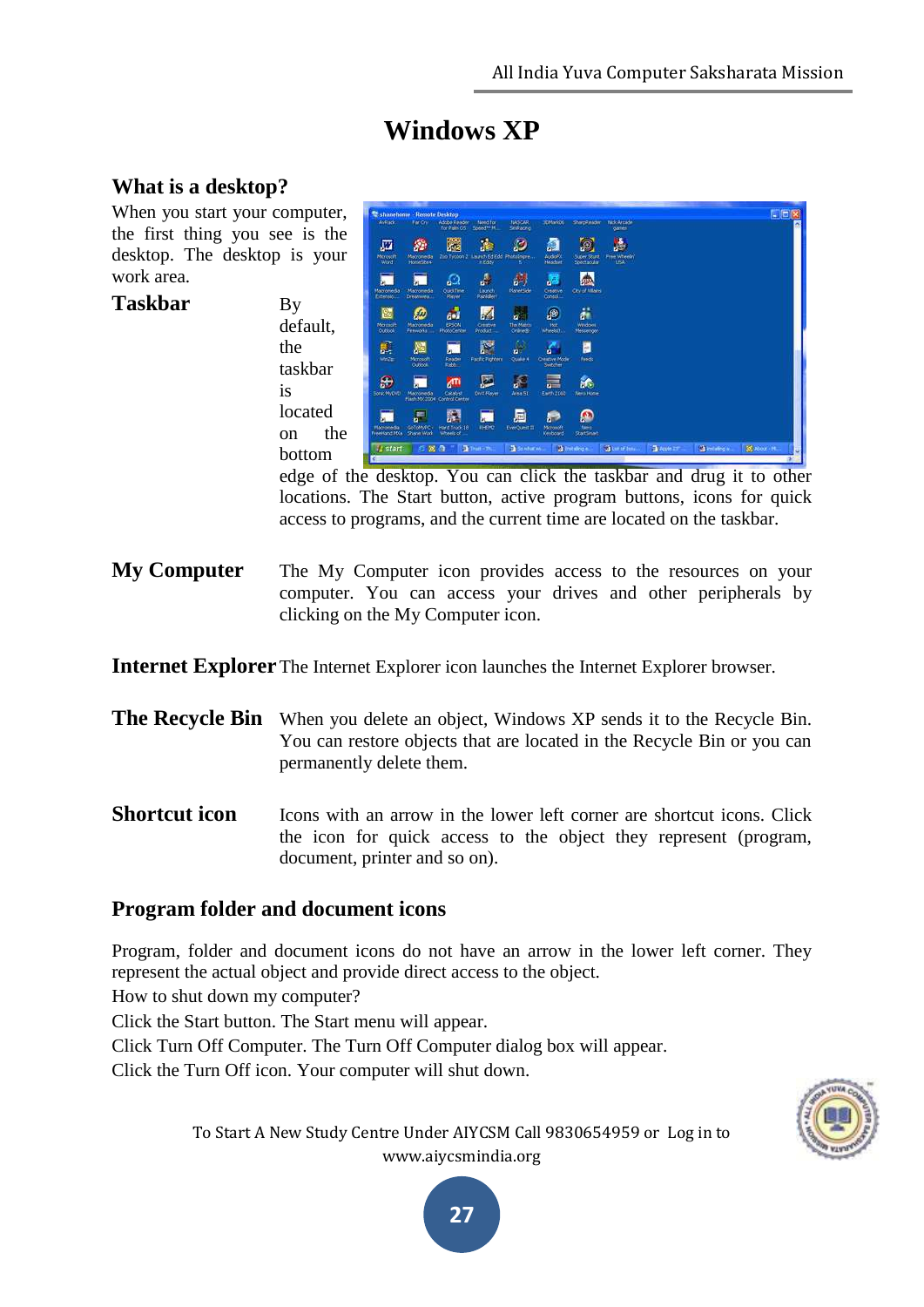**NIGGS** 

# **Windows XP**

#### **What is a desktop?**

When you start your computer, the first thing you see is the desktop. The desktop is your work area.

the

is

Taskbar By

g. 顟  $\vec{k}$ ø 圖 兤 靈 a, Z ä ® default, p taskbar 區 詭 located 霹 on the bottom

edge of the desktop. You can click the taskbar and drug it to other locations. The Start button, active program buttons, icons for quick access to programs, and the current time are located on the taskbar.

**My Computer** The My Computer icon provides access to the resources on your computer. You can access your drives and other peripherals by clicking on the My Computer icon.

**Internet Explorer** The Internet Explorer icon launches the Internet Explorer browser.

- **The Recycle Bin** When you delete an object, Windows XP sends it to the Recycle Bin. You can restore objects that are located in the Recycle Bin or you can permanently delete them.
- **Shortcut icon** Icons with an arrow in the lower left corner are shortcut icons. Click the icon for quick access to the object they represent (program, document, printer and so on).

#### **Program folder and document icons**

Program, folder and document icons do not have an arrow in the lower left corner. They represent the actual object and provide direct access to the object.

How to shut down my computer?

Click the Start button. The Start menu will appear.

Click Turn Off Computer. The Turn Off Computer dialog box will appear.

Click the Turn Off icon. Your computer will shut down.



To Start A New Study Centre Under AIYCSM Call 9830654959 or Log in to www.aiycsmindia.org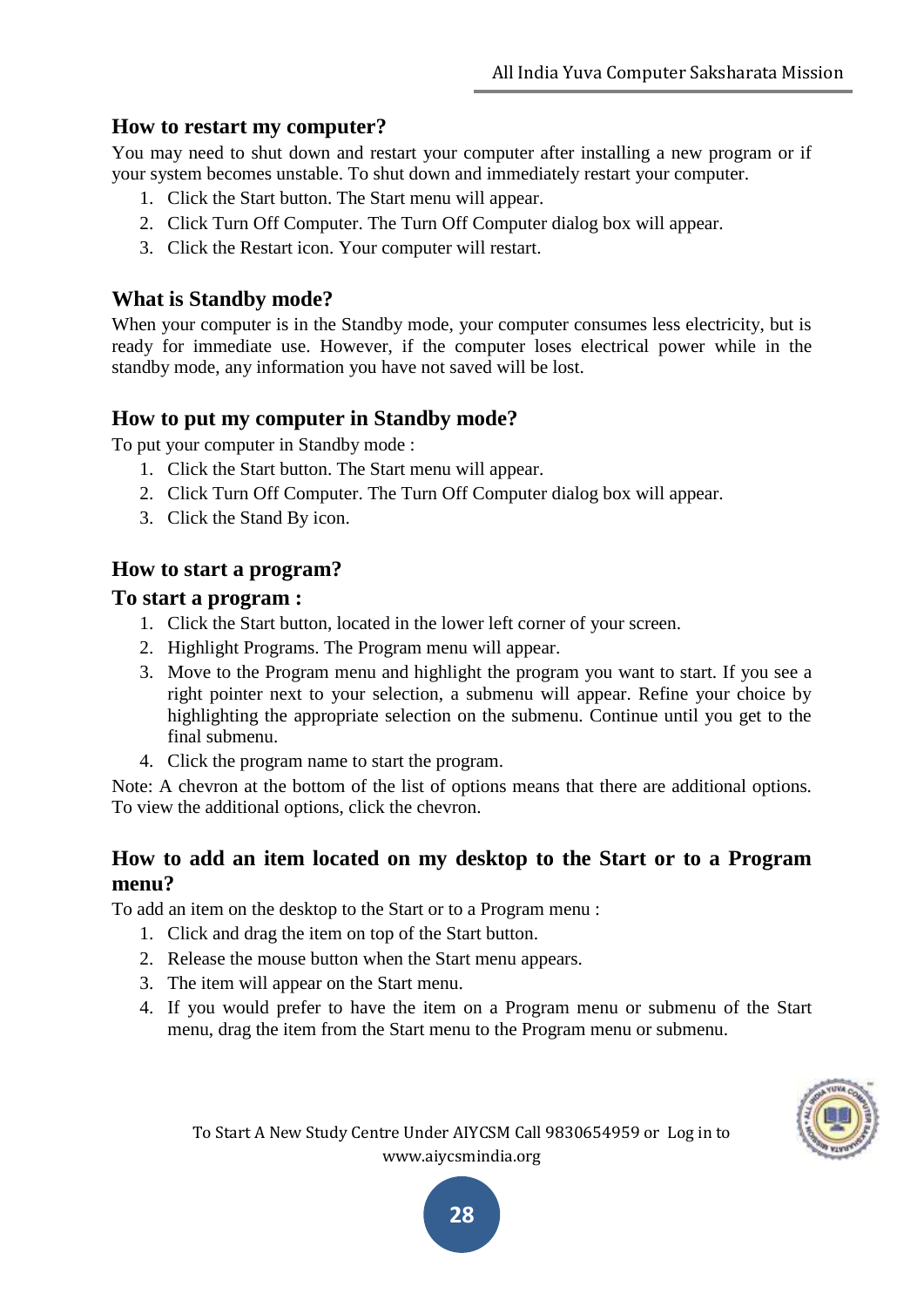#### **How to restart my computer?**

You may need to shut down and restart your computer after installing a new program or if your system becomes unstable. To shut down and immediately restart your computer.

- 1. Click the Start button. The Start menu will appear.
- 2. Click Turn Off Computer. The Turn Off Computer dialog box will appear.
- 3. Click the Restart icon. Your computer will restart.

#### **What is Standby mode?**

When your computer is in the Standby mode, your computer consumes less electricity, but is ready for immediate use. However, if the computer loses electrical power while in the standby mode, any information you have not saved will be lost.

#### **How to put my computer in Standby mode?**

To put your computer in Standby mode :

- 1. Click the Start button. The Start menu will appear.
- 2. Click Turn Off Computer. The Turn Off Computer dialog box will appear.
- 3. Click the Stand By icon.

### **How to start a program?**

#### **To start a program :**

- 1. Click the Start button, located in the lower left corner of your screen.
- 2. Highlight Programs. The Program menu will appear.
- 3. Move to the Program menu and highlight the program you want to start. If you see a right pointer next to your selection, a submenu will appear. Refine your choice by highlighting the appropriate selection on the submenu. Continue until you get to the final submenu.
- 4. Click the program name to start the program.

Note: A chevron at the bottom of the list of options means that there are additional options. To view the additional options, click the chevron.

#### **How to add an item located on my desktop to the Start or to a Program menu?**

To add an item on the desktop to the Start or to a Program menu :

- 1. Click and drag the item on top of the Start button.
- 2. Release the mouse button when the Start menu appears.
- 3. The item will appear on the Start menu.
- 4. If you would prefer to have the item on a Program menu or submenu of the Start menu, drag the item from the Start menu to the Program menu or submenu.



To Start A New Study Centre Under AIYCSM Call 9830654959 or Log in to www.aiycsmindia.org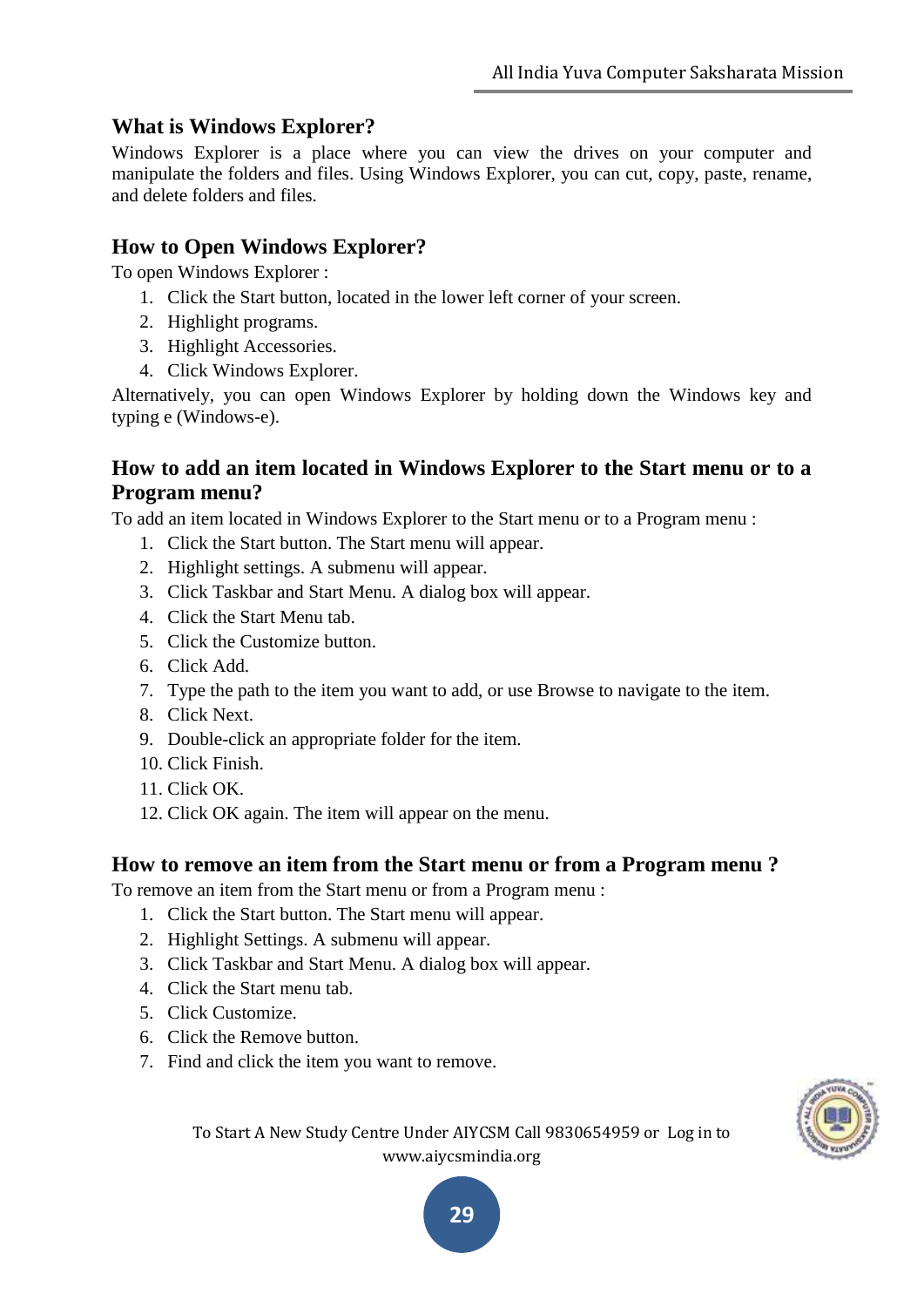### **What is Windows Explorer?**

Windows Explorer is a place where you can view the drives on your computer and manipulate the folders and files. Using Windows Explorer, you can cut, copy, paste, rename, and delete folders and files.

### **How to Open Windows Explorer?**

To open Windows Explorer :

- 1. Click the Start button, located in the lower left corner of your screen.
- 2. Highlight programs.
- 3. Highlight Accessories.
- 4. Click Windows Explorer.

Alternatively, you can open Windows Explorer by holding down the Windows key and typing e (Windows-e).

### **How to add an item located in Windows Explorer to the Start menu or to a Program menu?**

To add an item located in Windows Explorer to the Start menu or to a Program menu :

- 1. Click the Start button. The Start menu will appear.
- 2. Highlight settings. A submenu will appear.
- 3. Click Taskbar and Start Menu. A dialog box will appear.
- 4. Click the Start Menu tab.
- 5. Click the Customize button.
- 6. Click Add.
- 7. Type the path to the item you want to add, or use Browse to navigate to the item.
- 8. Click Next.
- 9. Double-click an appropriate folder for the item.
- 10. Click Finish.
- 11. Click OK.
- 12. Click OK again. The item will appear on the menu.

#### **How to remove an item from the Start menu or from a Program menu ?**

To remove an item from the Start menu or from a Program menu :

- 1. Click the Start button. The Start menu will appear.
- 2. Highlight Settings. A submenu will appear.
- 3. Click Taskbar and Start Menu. A dialog box will appear.
- 4. Click the Start menu tab.
- 5. Click Customize.
- 6. Click the Remove button.
- 7. Find and click the item you want to remove.



To Start A New Study Centre Under AIYCSM Call 9830654959 or Log in to www.aiycsmindia.org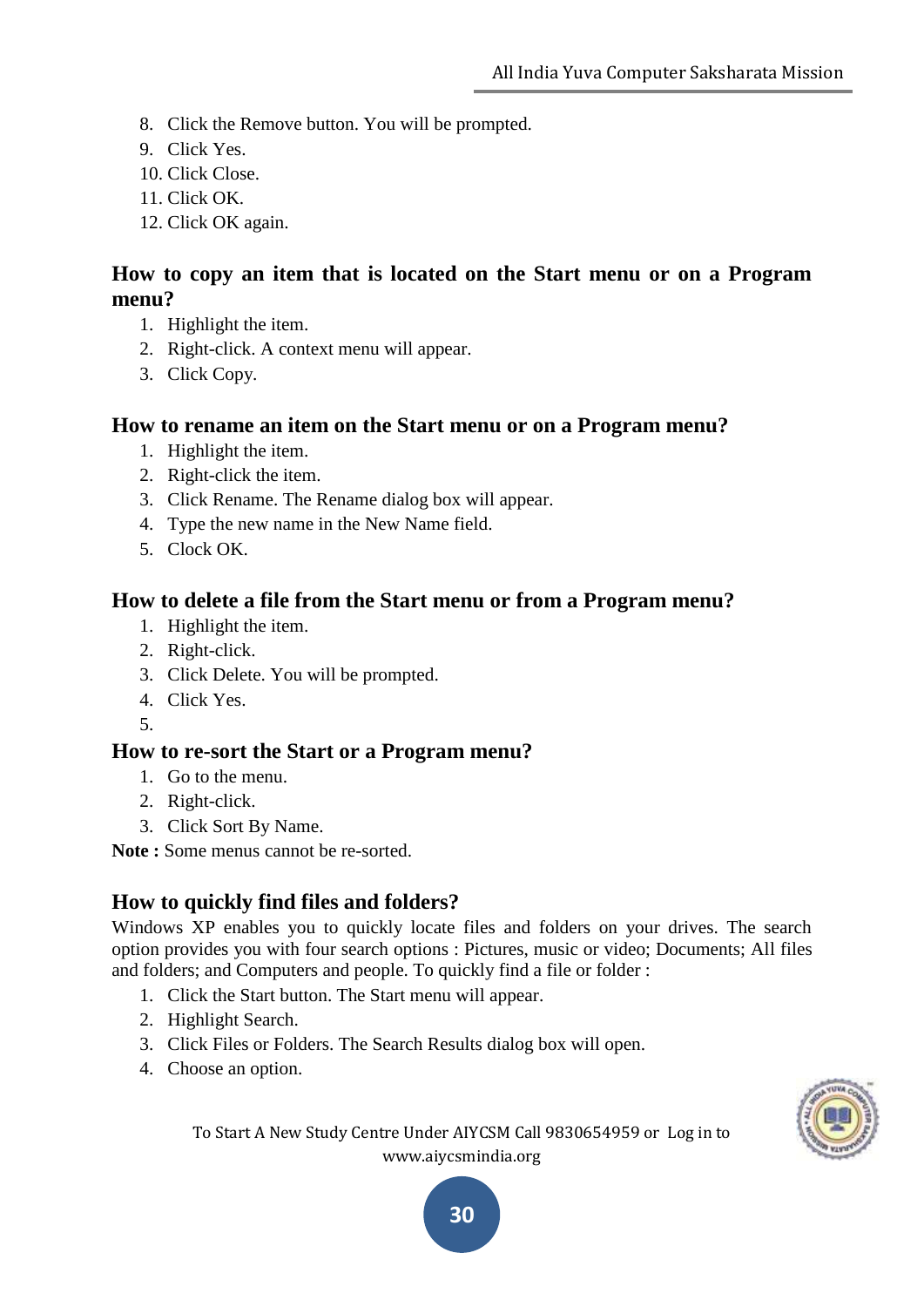- 8. Click the Remove button. You will be prompted.
- 9. Click Yes.
- 10. Click Close.
- 11. Click OK.
- 12. Click OK again.

### **How to copy an item that is located on the Start menu or on a Program menu?**

- 1. Highlight the item.
- 2. Right-click. A context menu will appear.
- 3. Click Copy.

#### **How to rename an item on the Start menu or on a Program menu?**

- 1. Highlight the item.
- 2. Right-click the item.
- 3. Click Rename. The Rename dialog box will appear.
- 4. Type the new name in the New Name field.
- 5. Clock OK.

#### **How to delete a file from the Start menu or from a Program menu?**

- 1. Highlight the item.
- 2. Right-click.
- 3. Click Delete. You will be prompted.
- 4. Click Yes.
- 5.

#### **How to re-sort the Start or a Program menu?**

- 1. Go to the menu.
- 2. Right-click.
- 3. Click Sort By Name.

**Note :** Some menus cannot be re-sorted.

# **How to quickly find files and folders?**

Windows XP enables you to quickly locate files and folders on your drives. The search option provides you with four search options : Pictures, music or video; Documents; All files and folders; and Computers and people. To quickly find a file or folder :

- 1. Click the Start button. The Start menu will appear.
- 2. Highlight Search.
- 3. Click Files or Folders. The Search Results dialog box will open.
- 4. Choose an option.



To Start A New Study Centre Under AIYCSM Call 9830654959 or Log in to www.aiycsmindia.org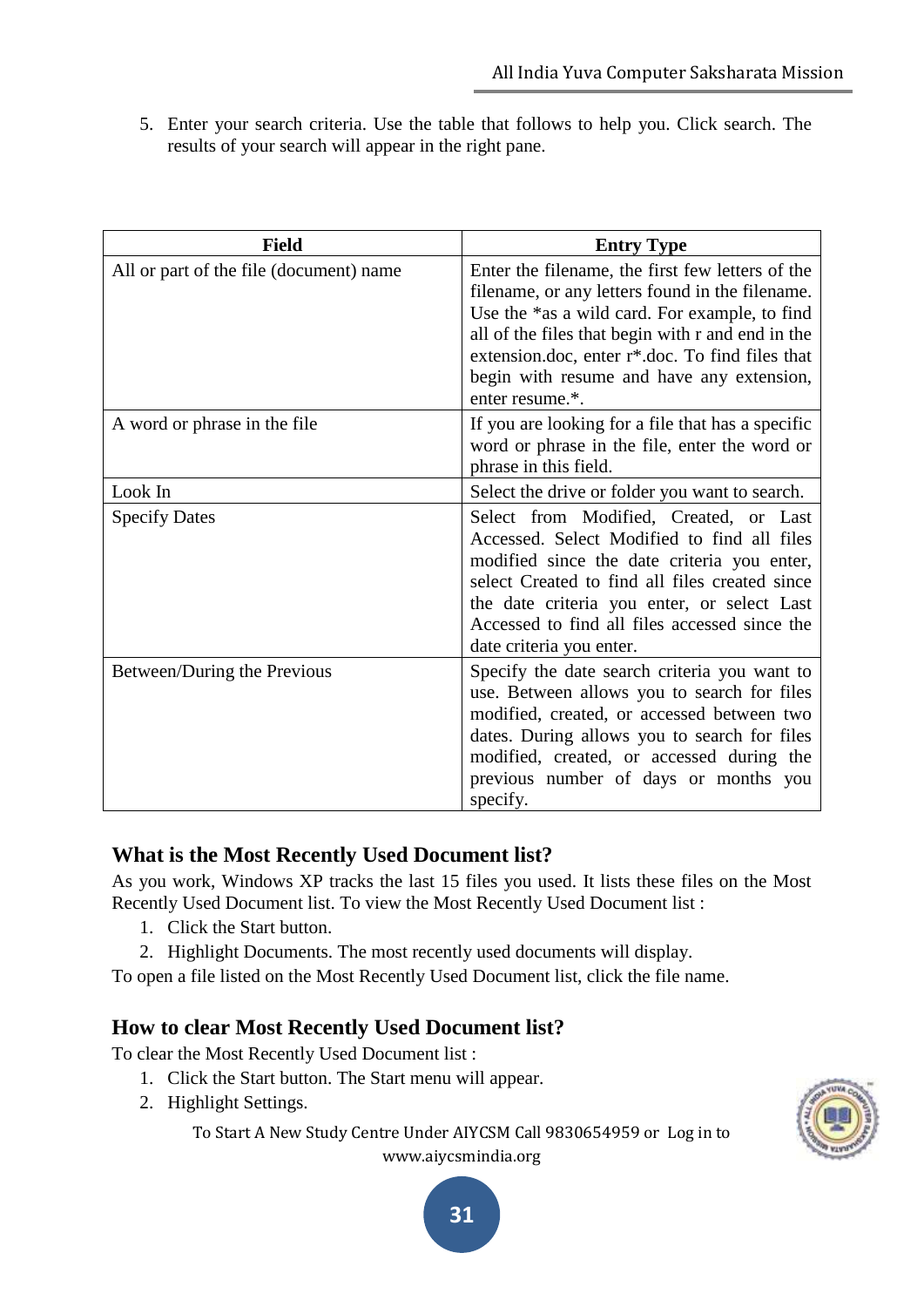5. Enter your search criteria. Use the table that follows to help you. Click search. The results of your search will appear in the right pane.

| <b>Field</b>                            | <b>Entry Type</b>                                                                                                                                                                                                                                                                                                                         |
|-----------------------------------------|-------------------------------------------------------------------------------------------------------------------------------------------------------------------------------------------------------------------------------------------------------------------------------------------------------------------------------------------|
| All or part of the file (document) name | Enter the filename, the first few letters of the<br>filename, or any letters found in the filename.<br>Use the *as a wild card. For example, to find<br>all of the files that begin with r and end in the<br>extension.doc, enter r <sup>*</sup> .doc. To find files that<br>begin with resume and have any extension,<br>enter resume.*. |
| A word or phrase in the file            | If you are looking for a file that has a specific<br>word or phrase in the file, enter the word or<br>phrase in this field.                                                                                                                                                                                                               |
| Look In                                 | Select the drive or folder you want to search.                                                                                                                                                                                                                                                                                            |
| <b>Specify Dates</b>                    | Select from Modified, Created, or Last<br>Accessed. Select Modified to find all files<br>modified since the date criteria you enter,<br>select Created to find all files created since<br>the date criteria you enter, or select Last<br>Accessed to find all files accessed since the<br>date criteria you enter.                        |
| Between/During the Previous             | Specify the date search criteria you want to<br>use. Between allows you to search for files<br>modified, created, or accessed between two<br>dates. During allows you to search for files<br>modified, created, or accessed during the<br>previous number of days or months you<br>specify.                                               |

#### **What is the Most Recently Used Document list?**

As you work, Windows XP tracks the last 15 files you used. It lists these files on the Most Recently Used Document list. To view the Most Recently Used Document list :

- 1. Click the Start button.
- 2. Highlight Documents. The most recently used documents will display.

To open a file listed on the Most Recently Used Document list, click the file name.

#### **How to clear Most Recently Used Document list?**

To clear the Most Recently Used Document list :

- 1. Click the Start button. The Start menu will appear.
- 2. Highlight Settings.

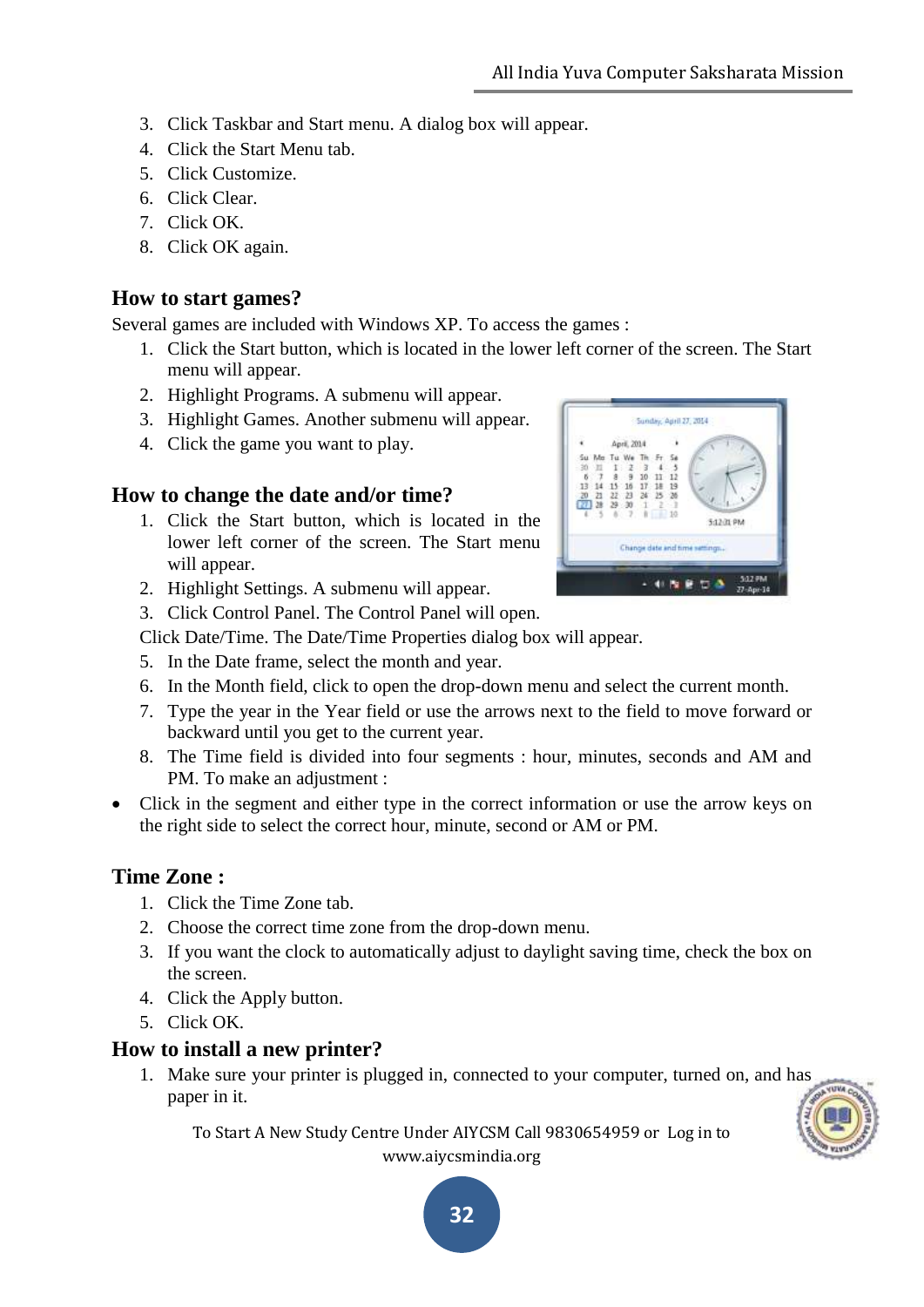- 3. Click Taskbar and Start menu. A dialog box will appear.
- 4. Click the Start Menu tab.
- 5. Click Customize.
- 6. Click Clear.
- 7. Click OK.
- 8. Click OK again.

#### **How to start games?**

Several games are included with Windows XP. To access the games :

- 1. Click the Start button, which is located in the lower left corner of the screen. The Start menu will appear.
- 2. Highlight Programs. A submenu will appear.
- 3. Highlight Games. Another submenu will appear.
- 4. Click the game you want to play.

#### **How to change the date and/or time?**

- 1. Click the Start button, which is located in the lower left corner of the screen. The Start menu will appear.
- 2. Highlight Settings. A submenu will appear.
- 3. Click Control Panel. The Control Panel will open.

Click Date/Time. The Date/Time Properties dialog box will appear.

- 5. In the Date frame, select the month and year.
- 6. In the Month field, click to open the drop-down menu and select the current month.
- 7. Type the year in the Year field or use the arrows next to the field to move forward or backward until you get to the current year.
- 8. The Time field is divided into four segments : hour, minutes, seconds and AM and PM. To make an adjustment :
- Click in the segment and either type in the correct information or use the arrow keys on the right side to select the correct hour, minute, second or AM or PM.

#### **Time Zone :**

- 1. Click the Time Zone tab.
- 2. Choose the correct time zone from the drop-down menu.
- 3. If you want the clock to automatically adjust to daylight saving time, check the box on the screen.
- 4. Click the Apply button.
- 5. Click OK.

#### **How to install a new printer?**

1. Make sure your printer is plugged in, connected to your computer, turned on, and has paper in it.

To Start A New Study Centre Under AIYCSM Call 9830654959 or Log in to www.aiycsmindia.org



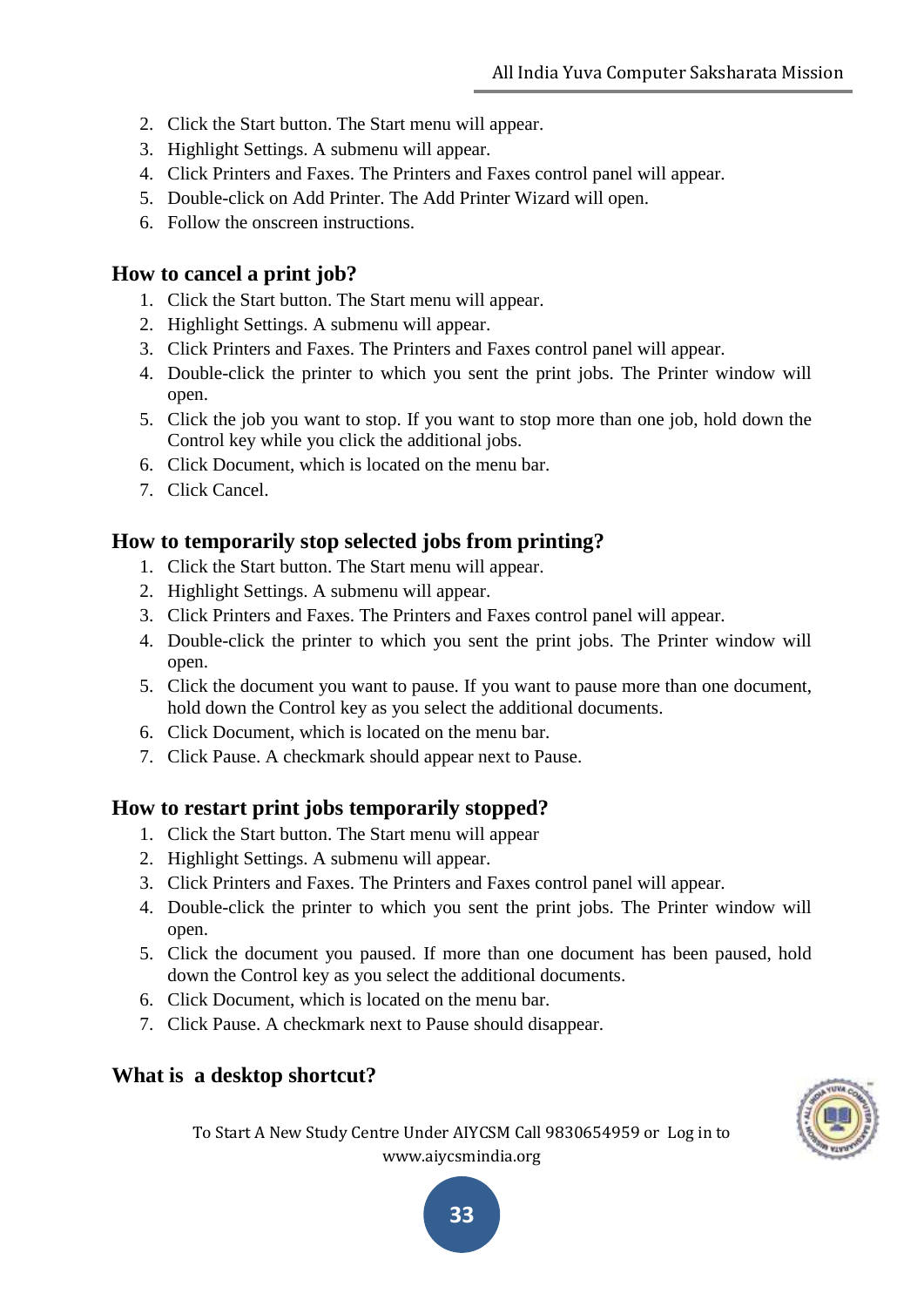- 2. Click the Start button. The Start menu will appear.
- 3. Highlight Settings. A submenu will appear.
- 4. Click Printers and Faxes. The Printers and Faxes control panel will appear.
- 5. Double-click on Add Printer. The Add Printer Wizard will open.
- 6. Follow the onscreen instructions.

#### **How to cancel a print job?**

- 1. Click the Start button. The Start menu will appear.
- 2. Highlight Settings. A submenu will appear.
- 3. Click Printers and Faxes. The Printers and Faxes control panel will appear.
- 4. Double-click the printer to which you sent the print jobs. The Printer window will open.
- 5. Click the job you want to stop. If you want to stop more than one job, hold down the Control key while you click the additional jobs.
- 6. Click Document, which is located on the menu bar.
- 7. Click Cancel.

#### **How to temporarily stop selected jobs from printing?**

- 1. Click the Start button. The Start menu will appear.
- 2. Highlight Settings. A submenu will appear.
- 3. Click Printers and Faxes. The Printers and Faxes control panel will appear.
- 4. Double-click the printer to which you sent the print jobs. The Printer window will open.
- 5. Click the document you want to pause. If you want to pause more than one document, hold down the Control key as you select the additional documents.
- 6. Click Document, which is located on the menu bar.
- 7. Click Pause. A checkmark should appear next to Pause.

#### **How to restart print jobs temporarily stopped?**

- 1. Click the Start button. The Start menu will appear
- 2. Highlight Settings. A submenu will appear.
- 3. Click Printers and Faxes. The Printers and Faxes control panel will appear.
- 4. Double-click the printer to which you sent the print jobs. The Printer window will open.
- 5. Click the document you paused. If more than one document has been paused, hold down the Control key as you select the additional documents.
- 6. Click Document, which is located on the menu bar.
- 7. Click Pause. A checkmark next to Pause should disappear.

#### **What is a desktop shortcut?**



To Start A New Study Centre Under AIYCSM Call 9830654959 or Log in to www.aiycsmindia.org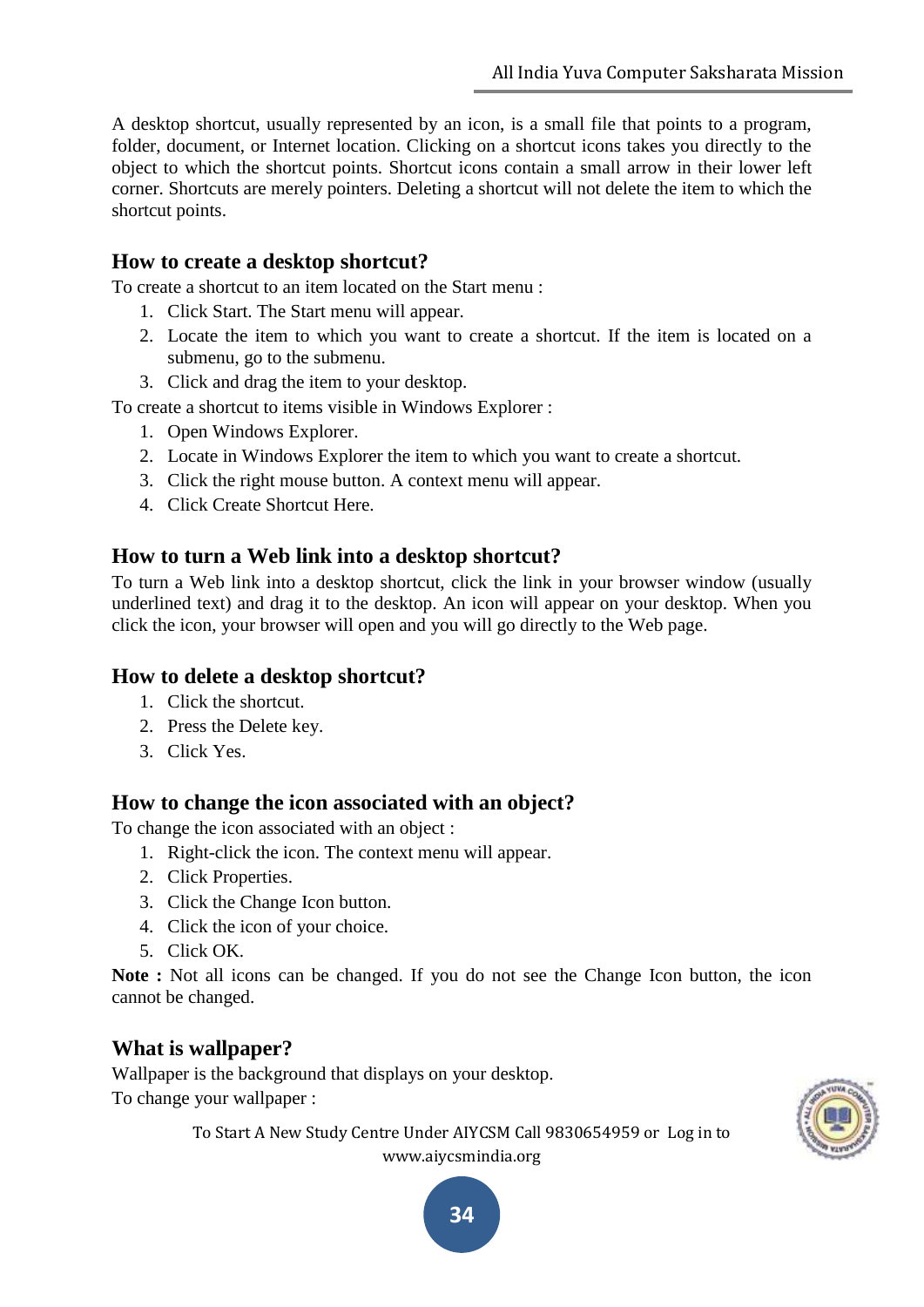A desktop shortcut, usually represented by an icon, is a small file that points to a program, folder, document, or Internet location. Clicking on a shortcut icons takes you directly to the object to which the shortcut points. Shortcut icons contain a small arrow in their lower left corner. Shortcuts are merely pointers. Deleting a shortcut will not delete the item to which the shortcut points.

#### **How to create a desktop shortcut?**

To create a shortcut to an item located on the Start menu :

- 1. Click Start. The Start menu will appear.
- 2. Locate the item to which you want to create a shortcut. If the item is located on a submenu, go to the submenu.
- 3. Click and drag the item to your desktop.

To create a shortcut to items visible in Windows Explorer :

- 1. Open Windows Explorer.
- 2. Locate in Windows Explorer the item to which you want to create a shortcut.
- 3. Click the right mouse button. A context menu will appear.
- 4. Click Create Shortcut Here.

#### **How to turn a Web link into a desktop shortcut?**

To turn a Web link into a desktop shortcut, click the link in your browser window (usually underlined text) and drag it to the desktop. An icon will appear on your desktop. When you click the icon, your browser will open and you will go directly to the Web page.

#### **How to delete a desktop shortcut?**

- 1. Click the shortcut.
- 2. Press the Delete key.
- 3. Click Yes.

#### **How to change the icon associated with an object?**

To change the icon associated with an object :

- 1. Right-click the icon. The context menu will appear.
- 2. Click Properties.
- 3. Click the Change Icon button.
- 4. Click the icon of your choice.
- 5. Click OK.

**Note :** Not all icons can be changed. If you do not see the Change Icon button, the icon cannot be changed.

#### **What is wallpaper?**

Wallpaper is the background that displays on your desktop. To change your wallpaper :

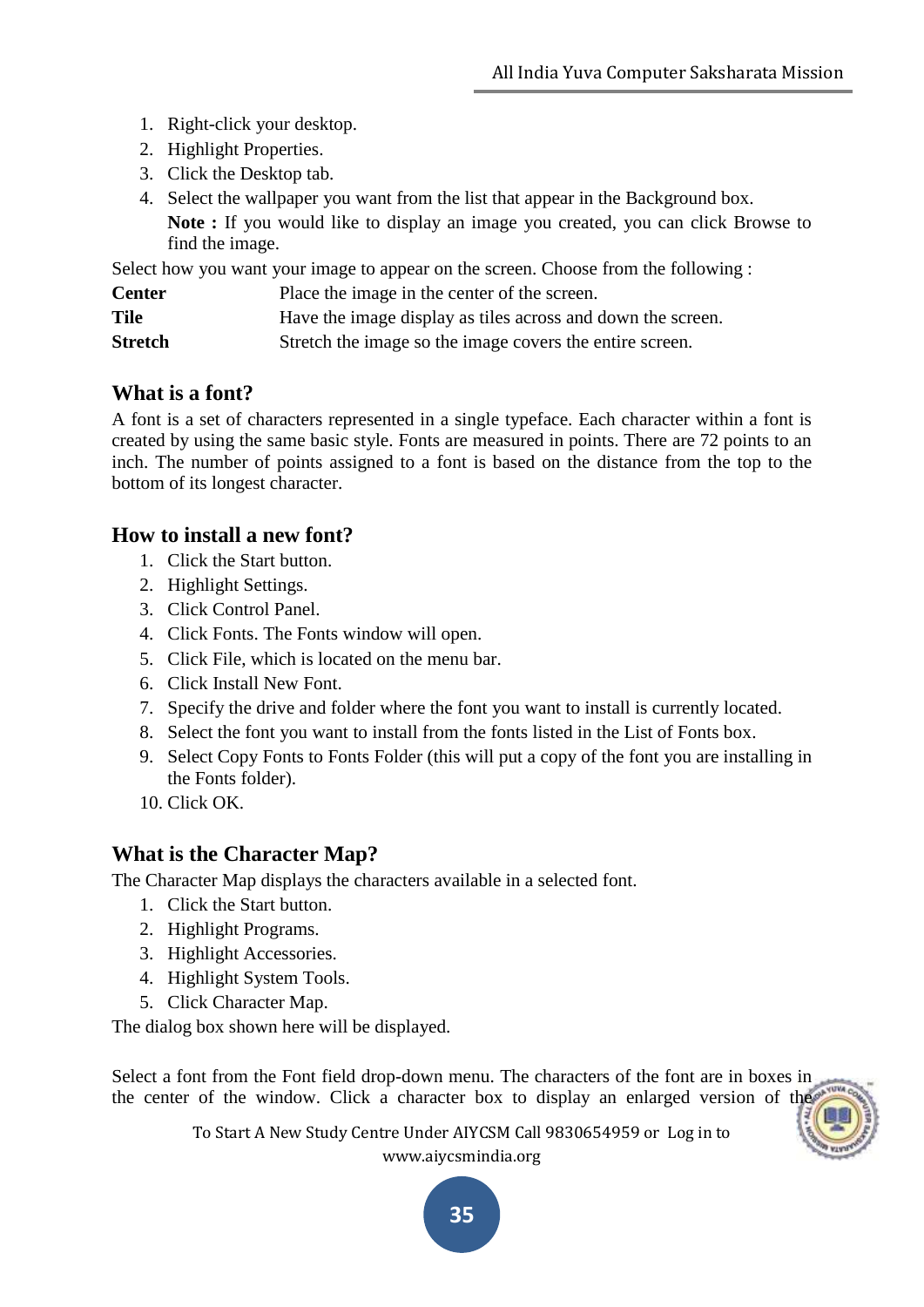- 1. Right-click your desktop.
- 2. Highlight Properties.
- 3. Click the Desktop tab.
- 4. Select the wallpaper you want from the list that appear in the Background box.

**Note :** If you would like to display an image you created, you can click Browse to find the image.

Select how you want your image to appear on the screen. Choose from the following :

| <b>Center</b> | Place the image in the center of the screen.                |
|---------------|-------------------------------------------------------------|
| Tile          | Have the image display as tiles across and down the screen. |
| Stretch       | Stretch the image so the image covers the entire screen.    |

# **What is a font?**

A font is a set of characters represented in a single typeface. Each character within a font is created by using the same basic style. Fonts are measured in points. There are 72 points to an inch. The number of points assigned to a font is based on the distance from the top to the bottom of its longest character.

### **How to install a new font?**

- 1. Click the Start button.
- 2. Highlight Settings.
- 3. Click Control Panel.
- 4. Click Fonts. The Fonts window will open.
- 5. Click File, which is located on the menu bar.
- 6. Click Install New Font.
- 7. Specify the drive and folder where the font you want to install is currently located.
- 8. Select the font you want to install from the fonts listed in the List of Fonts box.
- 9. Select Copy Fonts to Fonts Folder (this will put a copy of the font you are installing in the Fonts folder).
- 10. Click OK.

# **What is the Character Map?**

The Character Map displays the characters available in a selected font.

- 1. Click the Start button.
- 2. Highlight Programs.
- 3. Highlight Accessories.
- 4. Highlight System Tools.
- 5. Click Character Map.

The dialog box shown here will be displayed.

Select a font from the Font field drop-down menu. The characters of the font are in boxes in the center of the window. Click a character box to display an enlarged version of the



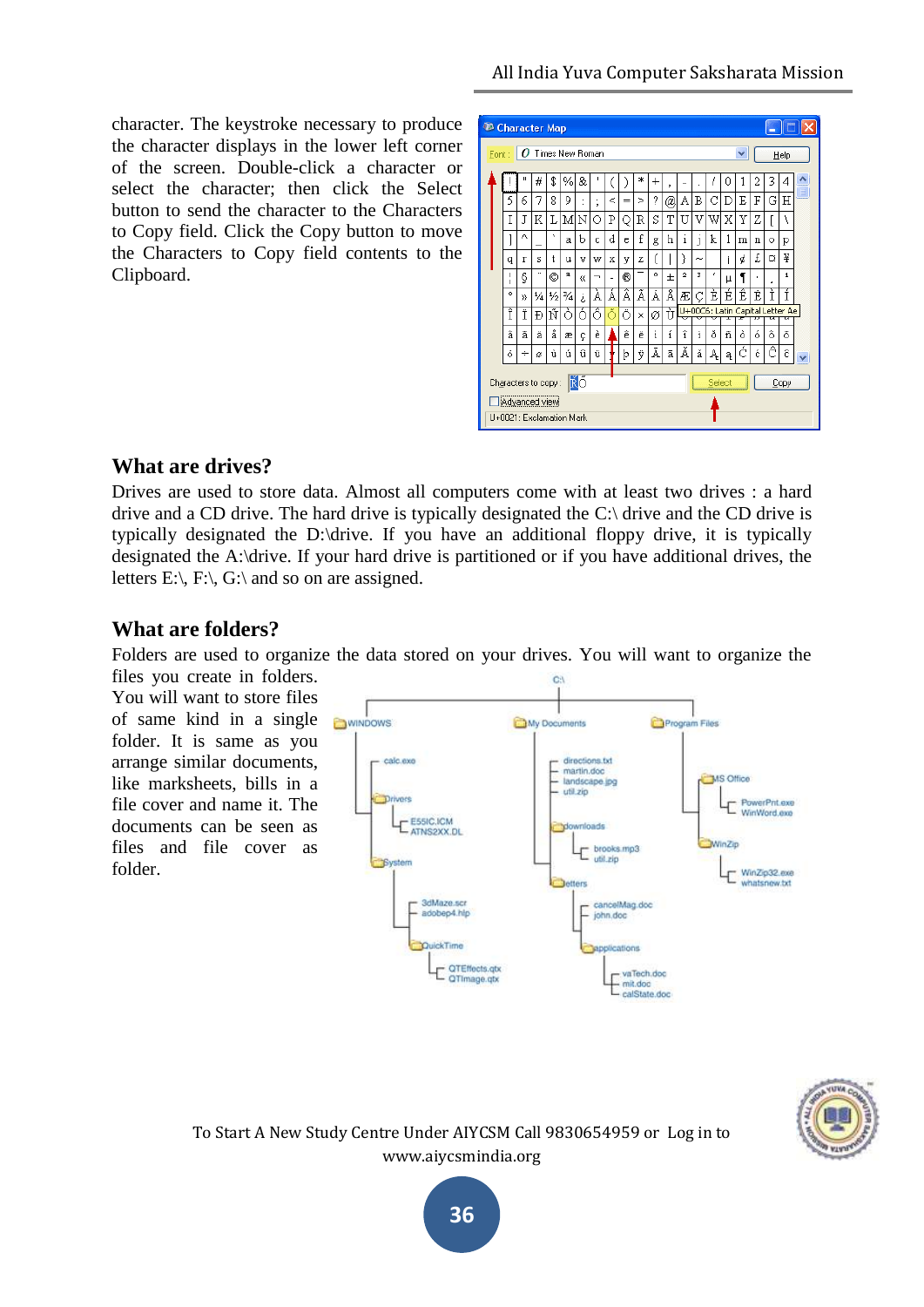character. The keystroke necessary to produce the character displays in the lower left corner of the screen. Double-click a character or select the character; then click the Select button to send the character to the Characters to Copy field. Click the Copy button to move the Characters to Copy field contents to the Clipboard.

|       | <b>43 Character Map</b>                   |        |    |               |                 |    |                          |       |     |        |                |       |              |            |        |   |   |                                 |   |      |   |
|-------|-------------------------------------------|--------|----|---------------|-----------------|----|--------------------------|-------|-----|--------|----------------|-------|--------------|------------|--------|---|---|---------------------------------|---|------|---|
| Font: |                                           | o      |    |               | Times New Roman |    |                          |       |     |        |                |       |              |            |        |   | v |                                 |   | Help |   |
|       |                                           |        | #  | \$            | $\frac{9}{6}$   | &  |                          |       |     | $\ast$ | $\overline{+}$ | ,     | ۰            |            | J      | 0 | 1 | 2                               | 3 | 4    |   |
|       | 5                                         | 6      | 7  | 8             | 9               |    | ٠<br>×                   | $\,<$ | $=$ | ⋗      | ?              | @     | А            | Β          | С      | D | Ε | F                               | Ġ | Η    | ≣ |
|       | T                                         | J      | K  | L             | м               | Ν  | Ω                        | Ρ     | О   | R      | S              | T     | U            | V          | W      | X | Υ | Ζ                               | ſ | Ι    |   |
|       |                                           | Λ      |    | ×,            | a               | b  | c                        | d     | e   | f      | g              | h     | $\mathbf{1}$ | 1          | k      | 1 | m | n                               | Ō | p    |   |
|       | q                                         | r      | s  | t.            | u               | v  | w                        | X     | y   | z      | ſ              |       | ì            | $\tilde{}$ |        |   | ¢ | £                               | o | ¥    |   |
|       | L                                         | Ş      | ×. | O             | а               | u  | $\overline{\phantom{0}}$ | ٠     | ®   |        | $\circ$        | $\pm$ | $\mathbf{2}$ | 3          | ٠      | μ | 1 | ٠                               | ٠ | 1    |   |
|       | ۰                                         | уу     | ¼  | $\frac{1}{2}$ | 3⁄4             | έ  | À                        | Á     | Â   | Ã      | Ä              | Å     | Æ            |            | È      | É | Ê | Ë                               | Ì | Í    |   |
|       | Î                                         | Ï      | Đ  | Ñ             | ò               | ó  | ô                        |       | Ő   | ×      | ø              | Ù     |              |            |        |   |   | U+00C6: Latin Capital Letter Ae |   |      |   |
|       | â                                         | ã      | ä  | å             | æ               | ç  | è                        |       | ê   | ë      | ì              | í     | î            | ï          | ă      | ñ | ò | ó                               | ô | ő    |   |
|       | ő                                         | $\div$ | ø  | ù             | ú               | û  | ü                        |       | þ   | ÿ      | Ā              | ā     | Ă            | ă          | Ą      | ą | á | ć                               | ê | ĉ    |   |
|       | Characters to copy:                       |        |    |               |                 | ÑŐ |                          |       |     |        |                |       |              |            | Select |   |   |                                 |   | Copy |   |
|       | Advanced view<br>U+0021: Exclamation Mark |        |    |               |                 |    |                          |       |     |        |                |       |              |            |        |   |   |                                 |   |      |   |

#### **What are drives?**

Drives are used to store data. Almost all computers come with at least two drives : a hard drive and a CD drive. The hard drive is typically designated the  $C$ : drive and the CD drive is typically designated the D:\drive. If you have an additional floppy drive, it is typically designated the A:\drive. If your hard drive is partitioned or if you have additional drives, the letters E:\, F:\, G:\ and so on are assigned.

### **What are folders?**

Folders are used to organize the data stored on your drives. You will want to organize the

files you create in folders. You will want to store files of same kind in a single folder. It is same as you arrange similar documents, like marksheets, bills in a file cover and name it. The documents can be seen as files and file cover as folder.





To Start A New Study Centre Under AIYCSM Call 9830654959 or Log in to www.aiycsmindia.org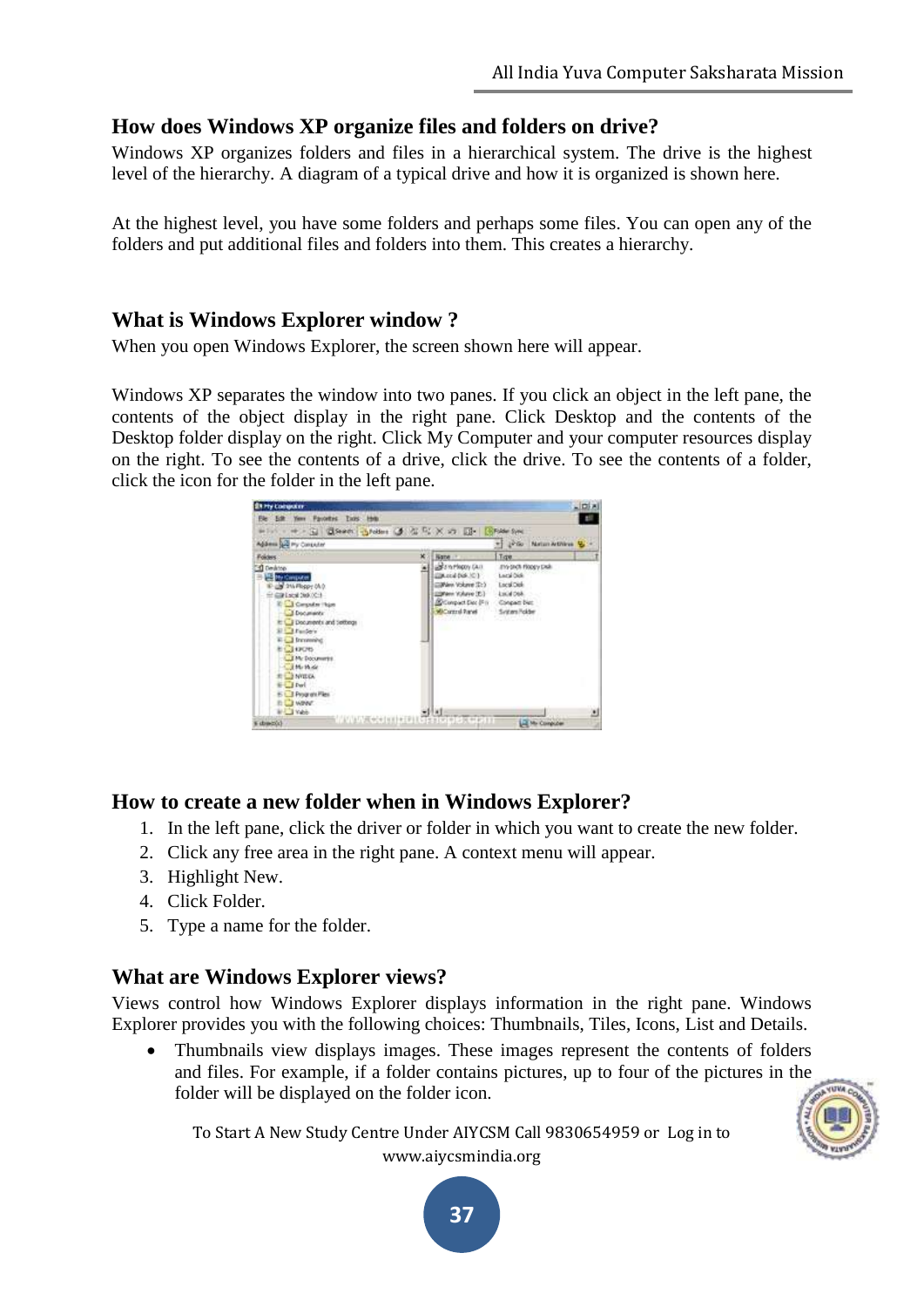#### **How does Windows XP organize files and folders on drive?**

Windows XP organizes folders and files in a hierarchical system. The drive is the highest level of the hierarchy. A diagram of a typical drive and how it is organized is shown here.

At the highest level, you have some folders and perhaps some files. You can open any of the folders and put additional files and folders into them. This creates a hierarchy.

#### **What is Windows Explorer window ?**

When you open Windows Explorer, the screen shown here will appear.

Windows XP separates the window into two panes. If you click an object in the left pane, the contents of the object display in the right pane. Click Desktop and the contents of the Desktop folder display on the right. Click My Computer and your computer resources display on the right. To see the contents of a drive, click the drive. To see the contents of a folder, click the icon for the folder in the left pane.



#### **How to create a new folder when in Windows Explorer?**

- 1. In the left pane, click the driver or folder in which you want to create the new folder.
- 2. Click any free area in the right pane. A context menu will appear.
- 3. Highlight New.
- 4. Click Folder.
- 5. Type a name for the folder.

#### **What are Windows Explorer views?**

Views control how Windows Explorer displays information in the right pane. Windows Explorer provides you with the following choices: Thumbnails, Tiles, Icons, List and Details.

 Thumbnails view displays images. These images represent the contents of folders and files. For example, if a folder contains pictures, up to four of the pictures in the folder will be displayed on the folder icon.



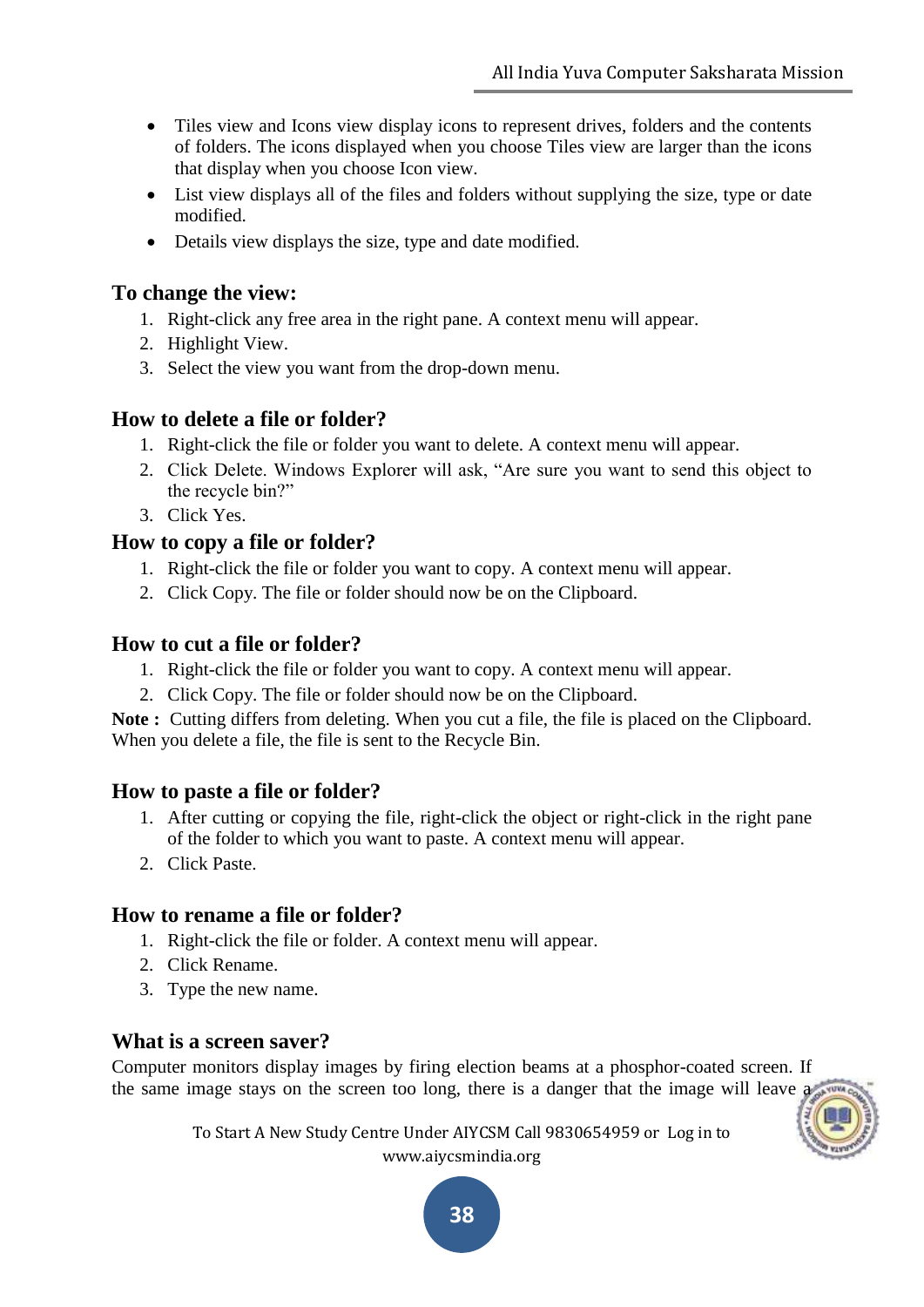- Tiles view and Icons view display icons to represent drives, folders and the contents of folders. The icons displayed when you choose Tiles view are larger than the icons that display when you choose Icon view.
- List view displays all of the files and folders without supplying the size, type or date modified.
- Details view displays the size, type and date modified.

#### **To change the view:**

- 1. Right-click any free area in the right pane. A context menu will appear.
- 2. Highlight View.
- 3. Select the view you want from the drop-down menu.

#### **How to delete a file or folder?**

- 1. Right-click the file or folder you want to delete. A context menu will appear.
- 2. Click Delete. Windows Explorer will ask, "Are sure you want to send this object to the recycle bin?"
- 3. Click Yes.

#### **How to copy a file or folder?**

- 1. Right-click the file or folder you want to copy. A context menu will appear.
- 2. Click Copy. The file or folder should now be on the Clipboard.

#### **How to cut a file or folder?**

- 1. Right-click the file or folder you want to copy. A context menu will appear.
- 2. Click Copy. The file or folder should now be on the Clipboard.

**Note :** Cutting differs from deleting. When you cut a file, the file is placed on the Clipboard. When you delete a file, the file is sent to the Recycle Bin.

#### **How to paste a file or folder?**

- 1. After cutting or copying the file, right-click the object or right-click in the right pane of the folder to which you want to paste. A context menu will appear.
- 2. Click Paste.

#### **How to rename a file or folder?**

- 1. Right-click the file or folder. A context menu will appear.
- 2. Click Rename.
- 3. Type the new name.

#### **What is a screen saver?**

Computer monitors display images by firing election beams at a phosphor-coated screen. If the same image stays on the screen too long, there is a danger that the image will leave a

> To Start A New Study Centre Under AIYCSM Call 9830654959 or Log in to www.aiycsmindia.org

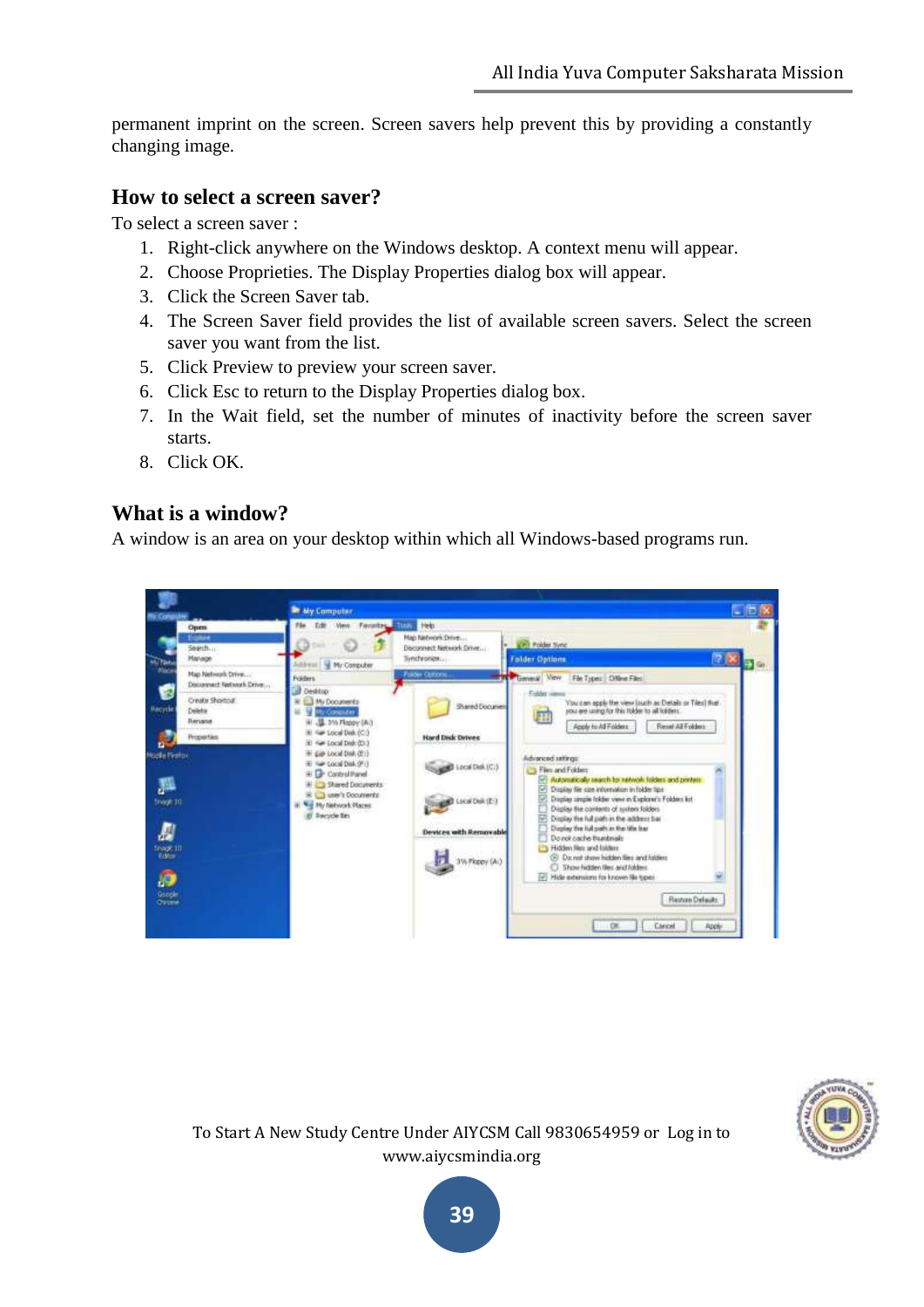permanent imprint on the screen. Screen savers help prevent this by providing a constantly changing image.

#### **How to select a screen saver?**

To select a screen saver :

- 1. Right-click anywhere on the Windows desktop. A context menu will appear.
- 2. Choose Proprieties. The Display Properties dialog box will appear.
- 3. Click the Screen Saver tab.
- 4. The Screen Saver field provides the list of available screen savers. Select the screen saver you want from the list.
- 5. Click Preview to preview your screen saver.
- 6. Click Esc to return to the Display Properties dialog box.
- 7. In the Wait field, set the number of minutes of inactivity before the screen saver starts.
- 8. Click OK.

#### **What is a window?**

A window is an area on your desktop within which all Windows-based programs run.





To Start A New Study Centre Under AIYCSM Call 9830654959 or Log in to www.aiycsmindia.org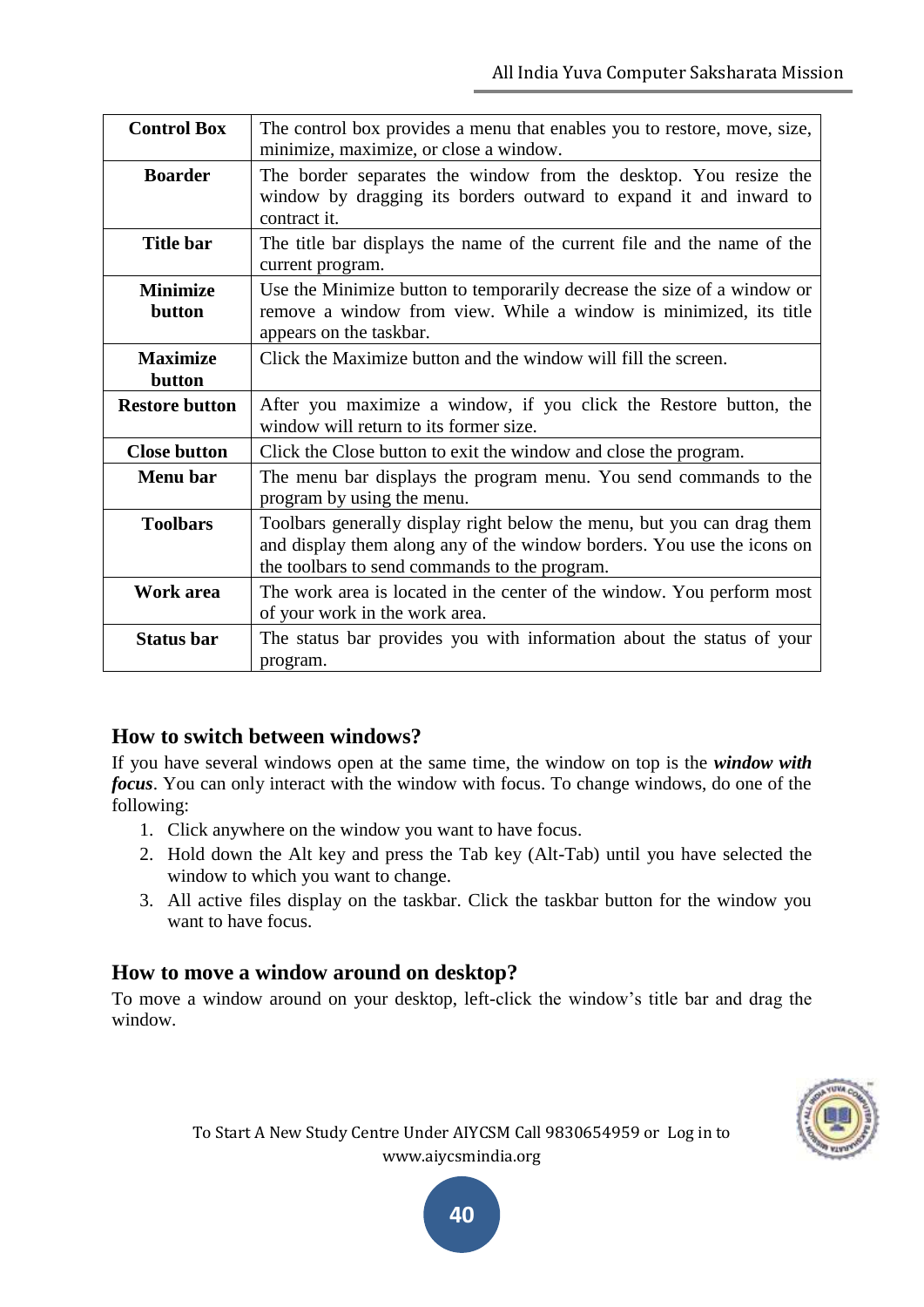| <b>Control Box</b>        | The control box provides a menu that enables you to restore, move, size,<br>minimize, maximize, or close a window.                                                                                |
|---------------------------|---------------------------------------------------------------------------------------------------------------------------------------------------------------------------------------------------|
| <b>Boarder</b>            | The border separates the window from the desktop. You resize the<br>window by dragging its borders outward to expand it and inward to<br>contract it.                                             |
| <b>Title bar</b>          | The title bar displays the name of the current file and the name of the<br>current program.                                                                                                       |
| <b>Minimize</b><br>button | Use the Minimize button to temporarily decrease the size of a window or<br>remove a window from view. While a window is minimized, its title<br>appears on the taskbar.                           |
| <b>Maximize</b><br>button | Click the Maximize button and the window will fill the screen.                                                                                                                                    |
| <b>Restore button</b>     | After you maximize a window, if you click the Restore button, the<br>window will return to its former size.                                                                                       |
| <b>Close button</b>       | Click the Close button to exit the window and close the program.                                                                                                                                  |
| Menu bar                  | The menu bar displays the program menu. You send commands to the<br>program by using the menu.                                                                                                    |
| <b>Toolbars</b>           | Toolbars generally display right below the menu, but you can drag them<br>and display them along any of the window borders. You use the icons on<br>the toolbars to send commands to the program. |
| Work area                 | The work area is located in the center of the window. You perform most<br>of your work in the work area.                                                                                          |
| <b>Status bar</b>         | The status bar provides you with information about the status of your<br>program.                                                                                                                 |

#### **How to switch between windows?**

If you have several windows open at the same time, the window on top is the *window with focus*. You can only interact with the window with focus. To change windows, do one of the following:

- 1. Click anywhere on the window you want to have focus.
- 2. Hold down the Alt key and press the Tab key (Alt-Tab) until you have selected the window to which you want to change.
- 3. All active files display on the taskbar. Click the taskbar button for the window you want to have focus.

#### **How to move a window around on desktop?**

To move a window around on your desktop, left-click the window"s title bar and drag the window.

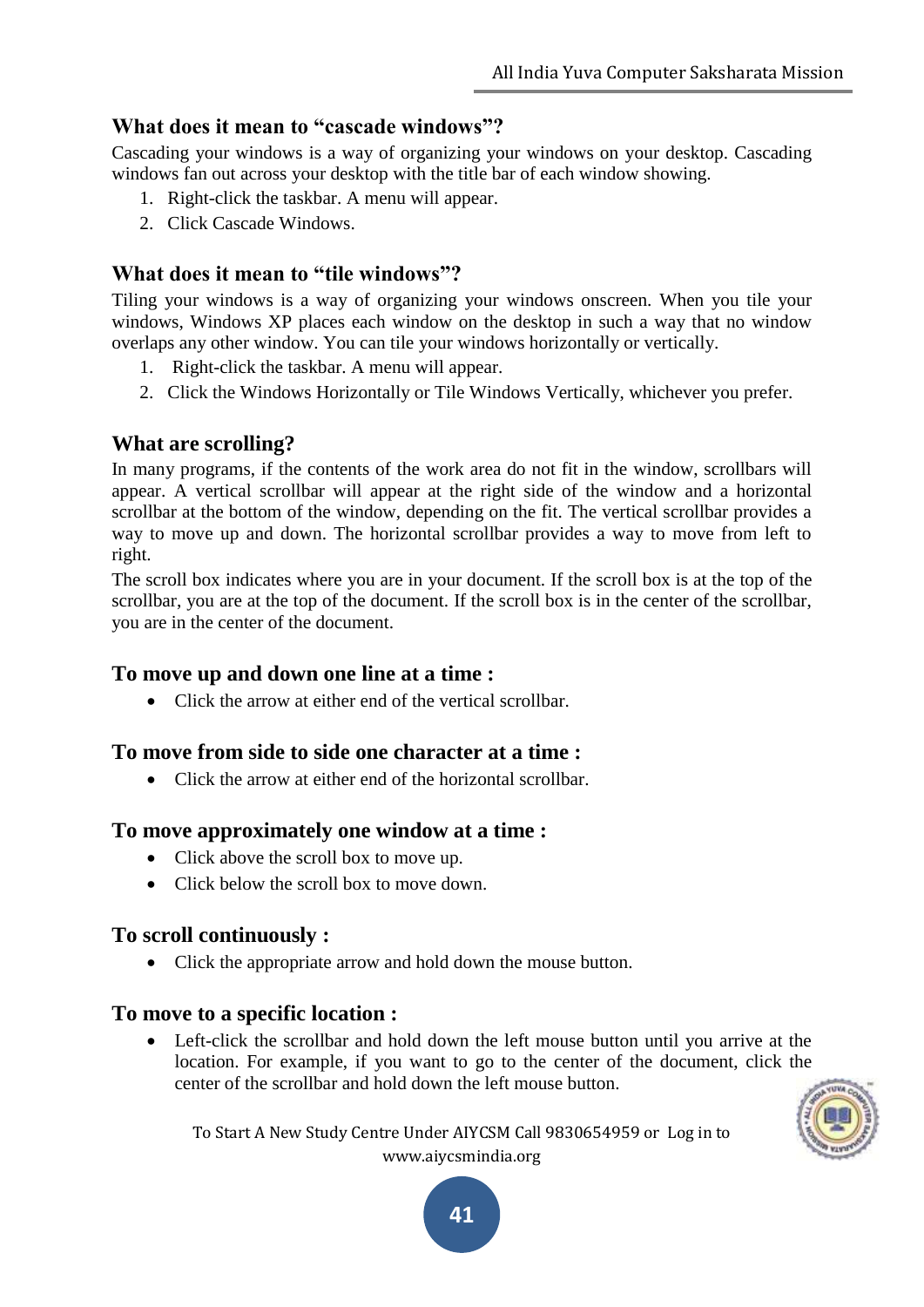#### **What does it mean to "cascade windows"?**

Cascading your windows is a way of organizing your windows on your desktop. Cascading windows fan out across your desktop with the title bar of each window showing.

- 1. Right-click the taskbar. A menu will appear.
- 2. Click Cascade Windows.

#### **What does it mean to "tile windows"?**

Tiling your windows is a way of organizing your windows onscreen. When you tile your windows, Windows XP places each window on the desktop in such a way that no window overlaps any other window. You can tile your windows horizontally or vertically.

- 1. Right-click the taskbar. A menu will appear.
- 2. Click the Windows Horizontally or Tile Windows Vertically, whichever you prefer.

#### **What are scrolling?**

In many programs, if the contents of the work area do not fit in the window, scrollbars will appear. A vertical scrollbar will appear at the right side of the window and a horizontal scrollbar at the bottom of the window, depending on the fit. The vertical scrollbar provides a way to move up and down. The horizontal scrollbar provides a way to move from left to right.

The scroll box indicates where you are in your document. If the scroll box is at the top of the scrollbar, you are at the top of the document. If the scroll box is in the center of the scrollbar, you are in the center of the document.

#### **To move up and down one line at a time :**

Click the arrow at either end of the vertical scrollbar.

#### **To move from side to side one character at a time :**

• Click the arrow at either end of the horizontal scrollbar.

#### **To move approximately one window at a time :**

- Click above the scroll box to move up.
- Click below the scroll box to move down.

#### **To scroll continuously :**

Click the appropriate arrow and hold down the mouse button.

#### **To move to a specific location :**

 Left-click the scrollbar and hold down the left mouse button until you arrive at the location. For example, if you want to go to the center of the document, click the center of the scrollbar and hold down the left mouse button.



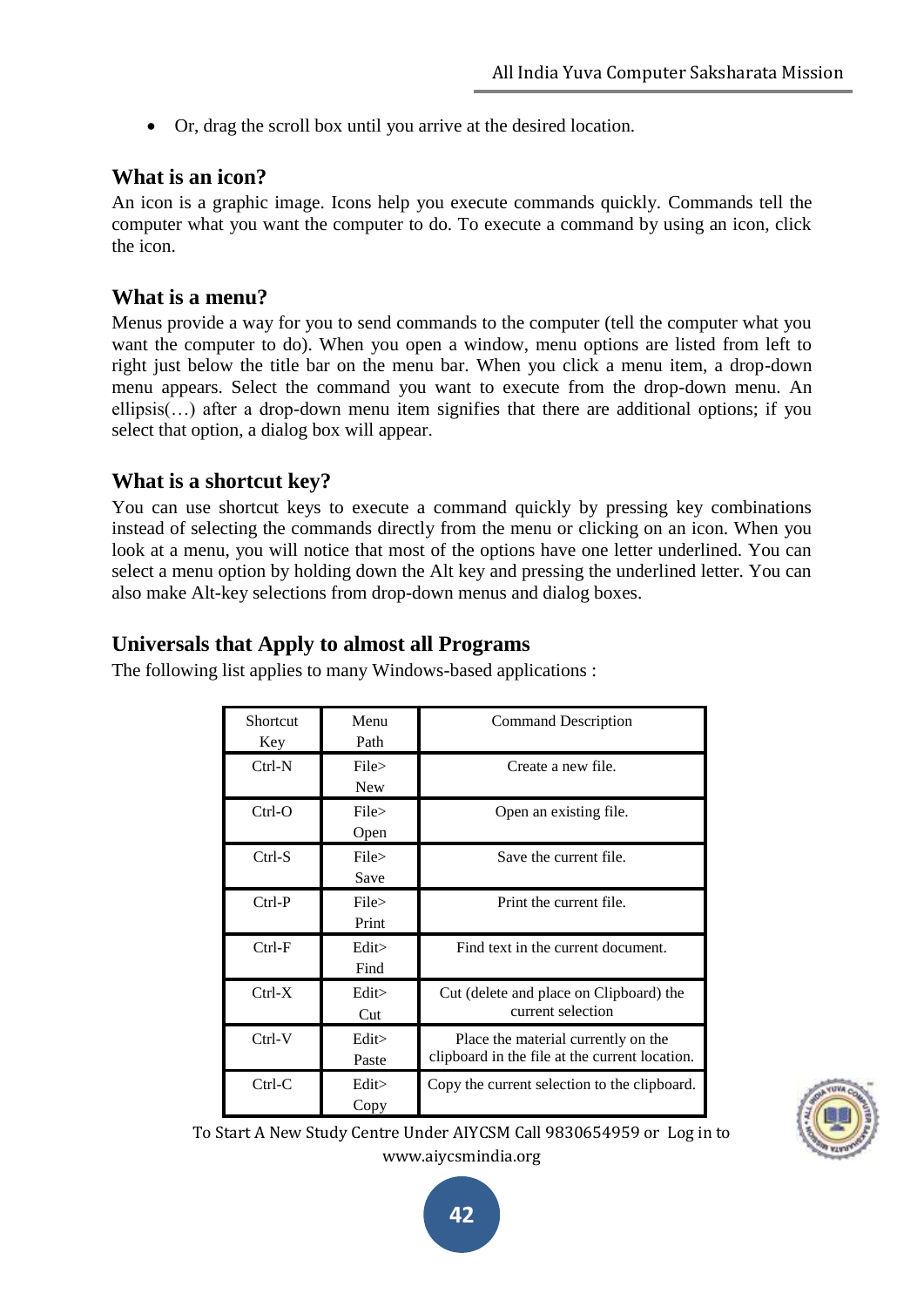Or, drag the scroll box until you arrive at the desired location.

#### **What is an icon?**

An icon is a graphic image. Icons help you execute commands quickly. Commands tell the computer what you want the computer to do. To execute a command by using an icon, click the icon.

#### **What is a menu?**

Menus provide a way for you to send commands to the computer (tell the computer what you want the computer to do). When you open a window, menu options are listed from left to right just below the title bar on the menu bar. When you click a menu item, a drop-down menu appears. Select the command you want to execute from the drop-down menu. An ellipsis(…) after a drop-down menu item signifies that there are additional options; if you select that option, a dialog box will appear.

#### **What is a shortcut key?**

You can use shortcut keys to execute a command quickly by pressing key combinations instead of selecting the commands directly from the menu or clicking on an icon. When you look at a menu, you will notice that most of the options have one letter underlined. You can select a menu option by holding down the Alt key and pressing the underlined letter. You can also make Alt-key selections from drop-down menus and dialog boxes.

#### **Universals that Apply to almost all Programs**

| Shortcut<br>Key | Menu<br>Path        | <b>Command Description</b>                                                            |
|-----------------|---------------------|---------------------------------------------------------------------------------------|
| $Ctrl-N$        | File><br><b>New</b> | Create a new file.                                                                    |
| $Ctrl-O$        | File><br>Open       | Open an existing file.                                                                |
| $Ctrl-S$        | File ><br>Save      | Save the current file.                                                                |
| $Ctrl-P$        | File ><br>Print     | Print the current file.                                                               |
| $Ctrl-F$        | Edit<br>Find        | Find text in the current document.                                                    |
| $Ctrl-X$        | Edit<br>Cut         | Cut (delete and place on Clipboard) the<br>current selection                          |
| $Ctrl-V$        | Edit<br>Paste       | Place the material currently on the<br>clipboard in the file at the current location. |
| $Ctrl-C$        | Edit<br>Copy        | Copy the current selection to the clipboard.                                          |

The following list applies to many Windows-based applications :

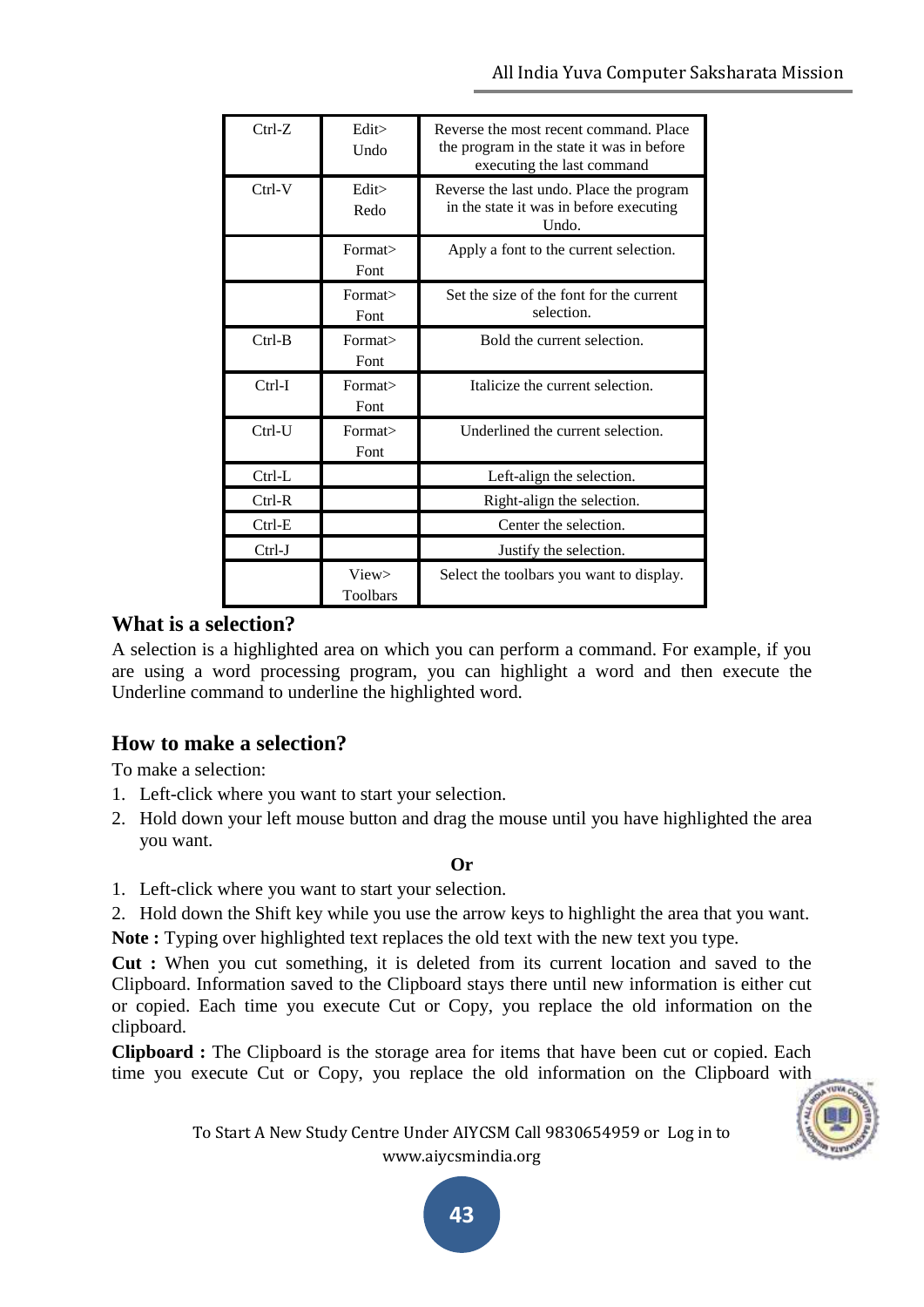| $Ctrl-Z$  | Edit<br>Undo      | Reverse the most recent command. Place<br>the program in the state it was in before<br>executing the last command |
|-----------|-------------------|-------------------------------------------------------------------------------------------------------------------|
| $Ctrl-V$  | Edit<br>Redo      | Reverse the last undo. Place the program<br>in the state it was in before executing<br>Undo.                      |
|           | Format><br>Font   | Apply a font to the current selection.                                                                            |
|           | Format><br>Font   | Set the size of the font for the current<br>selection.                                                            |
| $Ctrl-B$  | Format><br>Font   | Bold the current selection.                                                                                       |
| $Ctrl-I$  | Format><br>Font   | Italicize the current selection.                                                                                  |
| $Ctrl-IJ$ | Format><br>Font   | Underlined the current selection.                                                                                 |
| $Ctrl-L$  |                   | Left-align the selection.                                                                                         |
| $Ctrl-R$  |                   | Right-align the selection.                                                                                        |
| $Ctrl-E$  |                   | Center the selection.                                                                                             |
| $Ctrl-J$  |                   | Justify the selection.                                                                                            |
|           | View><br>Toolbars | Select the toolbars you want to display.                                                                          |

#### **What is a selection?**

A selection is a highlighted area on which you can perform a command. For example, if you are using a word processing program, you can highlight a word and then execute the Underline command to underline the highlighted word.

# **How to make a selection?**

To make a selection:

- 1. Left-click where you want to start your selection.
- 2. Hold down your left mouse button and drag the mouse until you have highlighted the area you want.

#### **Or**

- 1. Left-click where you want to start your selection.
- 2. Hold down the Shift key while you use the arrow keys to highlight the area that you want.

**Note :** Typing over highlighted text replaces the old text with the new text you type.

**Cut :** When you cut something, it is deleted from its current location and saved to the Clipboard. Information saved to the Clipboard stays there until new information is either cut or copied. Each time you execute Cut or Copy, you replace the old information on the clipboard.

**Clipboard :** The Clipboard is the storage area for items that have been cut or copied. Each time you execute Cut or Copy, you replace the old information on the Clipboard with

> To Start A New Study Centre Under AIYCSM Call 9830654959 or Log in to www.aiycsmindia.org

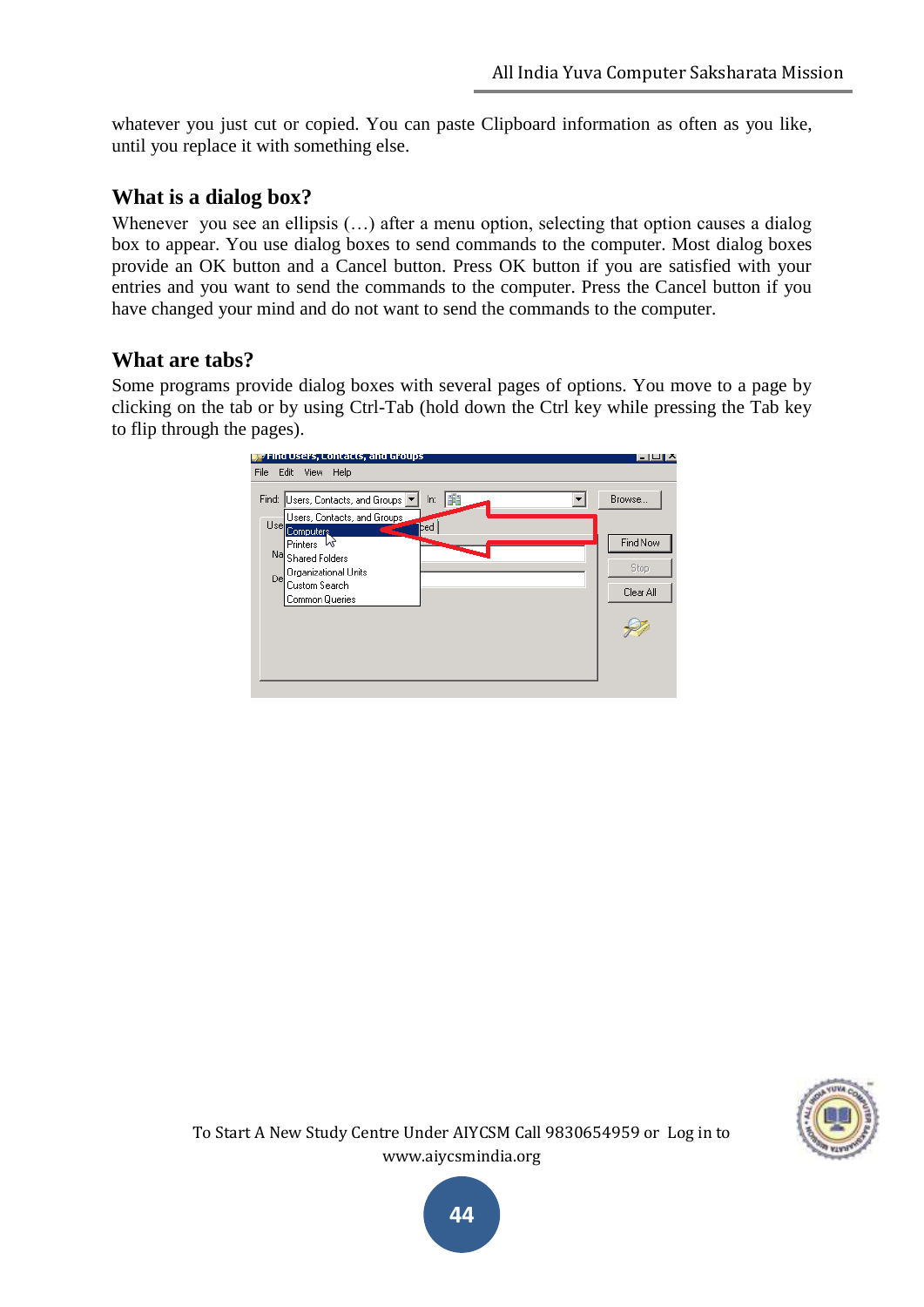whatever you just cut or copied. You can paste Clipboard information as often as you like, until you replace it with something else.

#### **What is a dialog box?**

Whenever you see an ellipsis (...) after a menu option, selecting that option causes a dialog box to appear. You use dialog boxes to send commands to the computer. Most dialog boxes provide an OK button and a Cancel button. Press OK button if you are satisfied with your entries and you want to send the commands to the computer. Press the Cancel button if you have changed your mind and do not want to send the commands to the computer.

#### **What are tabs?**

Some programs provide dialog boxes with several pages of options. You move to a page by clicking on the tab or by using Ctrl-Tab (hold down the Ctrl key while pressing the Tab key to flip through the pages).



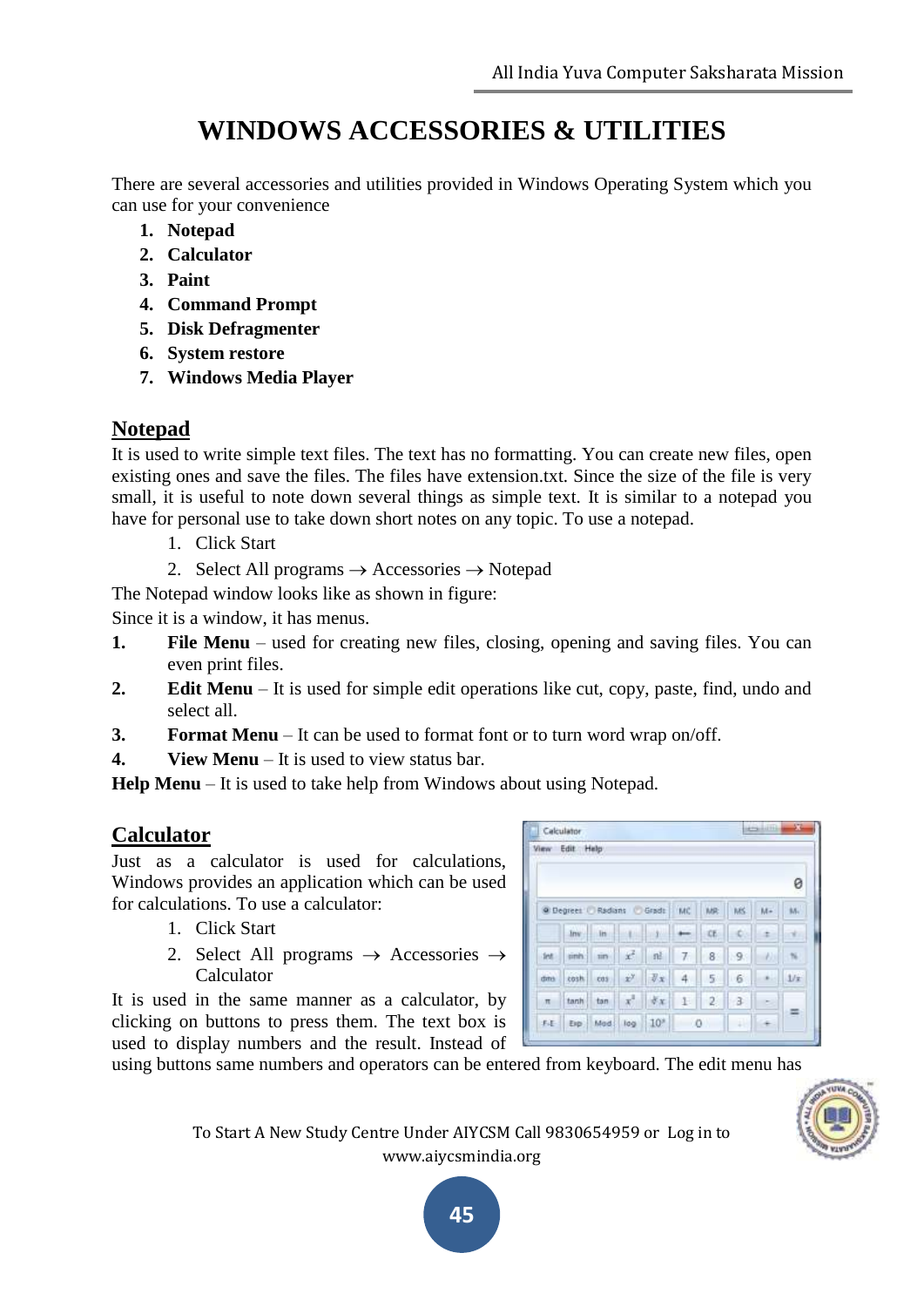# **WINDOWS ACCESSORIES & UTILITIES**

There are several accessories and utilities provided in Windows Operating System which you can use for your convenience

- **1. Notepad**
- **2. Calculator**
- **3. Paint**
- **4. Command Prompt**
- **5. Disk Defragmenter**
- **6. System restore**
- **7. Windows Media Player**

# **Notepad**

It is used to write simple text files. The text has no formatting. You can create new files, open existing ones and save the files. The files have extension.txt. Since the size of the file is very small, it is useful to note down several things as simple text. It is similar to a notepad you have for personal use to take down short notes on any topic. To use a notepad.

- 1. Click Start
- 2. Select All programs  $\rightarrow$  Accessories  $\rightarrow$  Notepad
- The Notepad window looks like as shown in figure:

Since it is a window, it has menus.

- **1. File Menu** used for creating new files, closing, opening and saving files. You can even print files.
- **2. Edit Menu** It is used for simple edit operations like cut, copy, paste, find, undo and select all.
- **3. Format Menu** It can be used to format font or to turn word wrap on/off.
- **4. View Menu** It is used to view status bar.

**Help Menu** – It is used to take help from Windows about using Notepad.

# **Calculator**

Just as a calculator is used for calculations, Windows provides an application which can be used for calculations. To use a calculator:

- 1. Click Start
- 2. Select All programs  $\rightarrow$  Accessories  $\rightarrow$ Calculator

It is used in the same manner as a calculator, by clicking on buttons to press them. The text box is used to display numbers and the result. Instead of

| View  | Edit                | Help |                |                 |              |       |     |    |      |
|-------|---------------------|------|----------------|-----------------|--------------|-------|-----|----|------|
|       |                     |      |                |                 |              |       |     |    | 0    |
|       | C Degrees   Radians |      |                | Gradt           | <b>MC</b>    | MR.   | MS: | M- | 84.  |
|       | <b>Inv</b>          | în   | $\sim$ 1 $\pm$ | w<br>m          |              | CE:   | C.  | ٠  |      |
| -fet  | sinh:               | m    | 式              | ně              | 7            |       | 8 9 | W  |      |
| ditti | costs.              | cas  | $x^y$          | $\n  x\n$       | 4            | $5 -$ | 6   |    | 1/x  |
| $\pi$ | tanh                | tan  | x,             | $\frac{N}{2}X$  | $\mathbf{1}$ | 2     | -3  |    |      |
| 不正    | Exp.                | Mad  | log            | 10 <sup>s</sup> | $\circ$      |       | 9H  |    | - 22 |

using buttons same numbers and operators can be entered from keyboard. The edit menu has

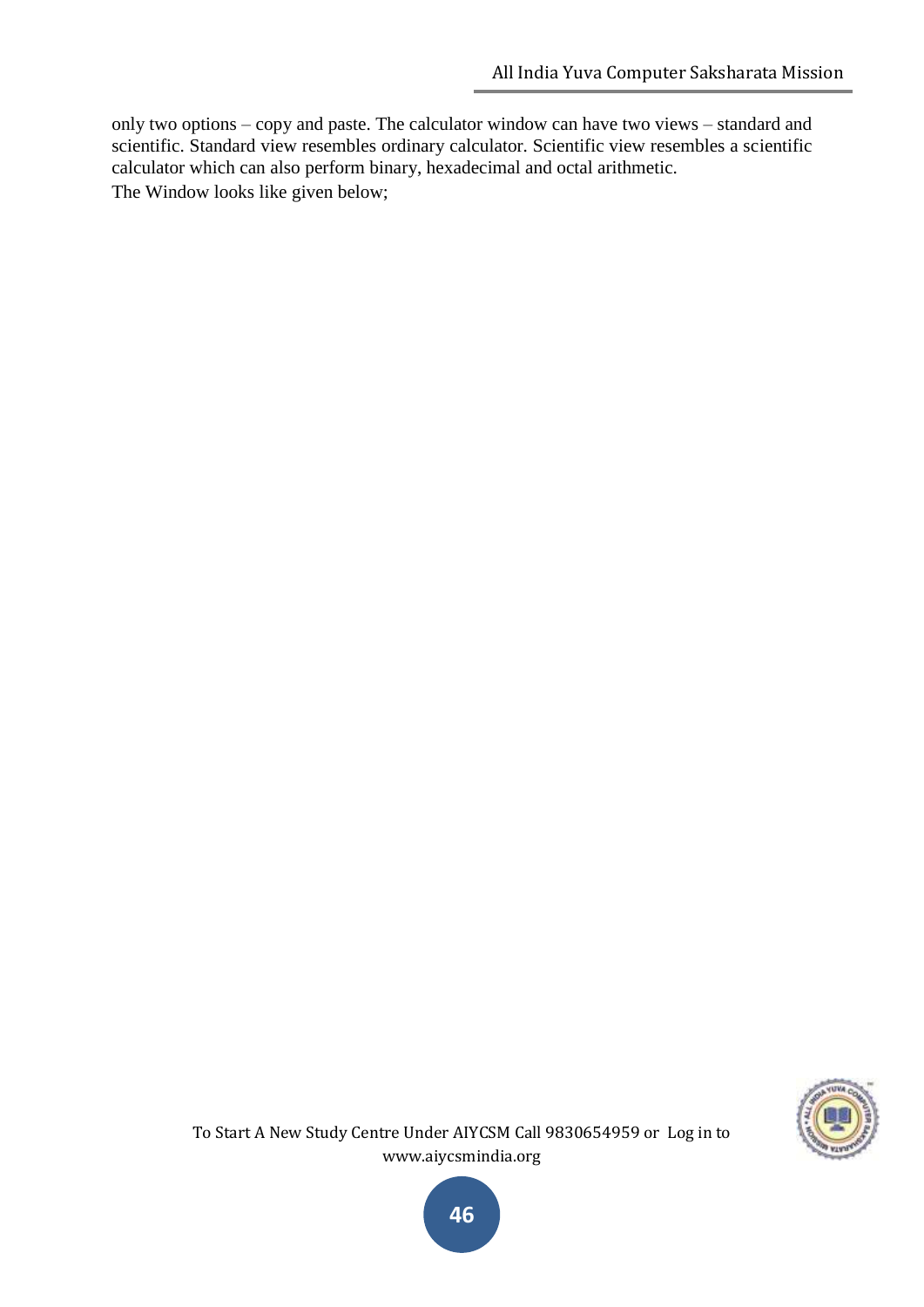only two options – copy and paste. The calculator window can have two views – standard and scientific. Standard view resembles ordinary calculator. Scientific view resembles a scientific calculator which can also perform binary, hexadecimal and octal arithmetic. The Window looks like given below;



To Start A New Study Centre Under AIYCSM Call 9830654959 or Log in to www.aiycsmindia.org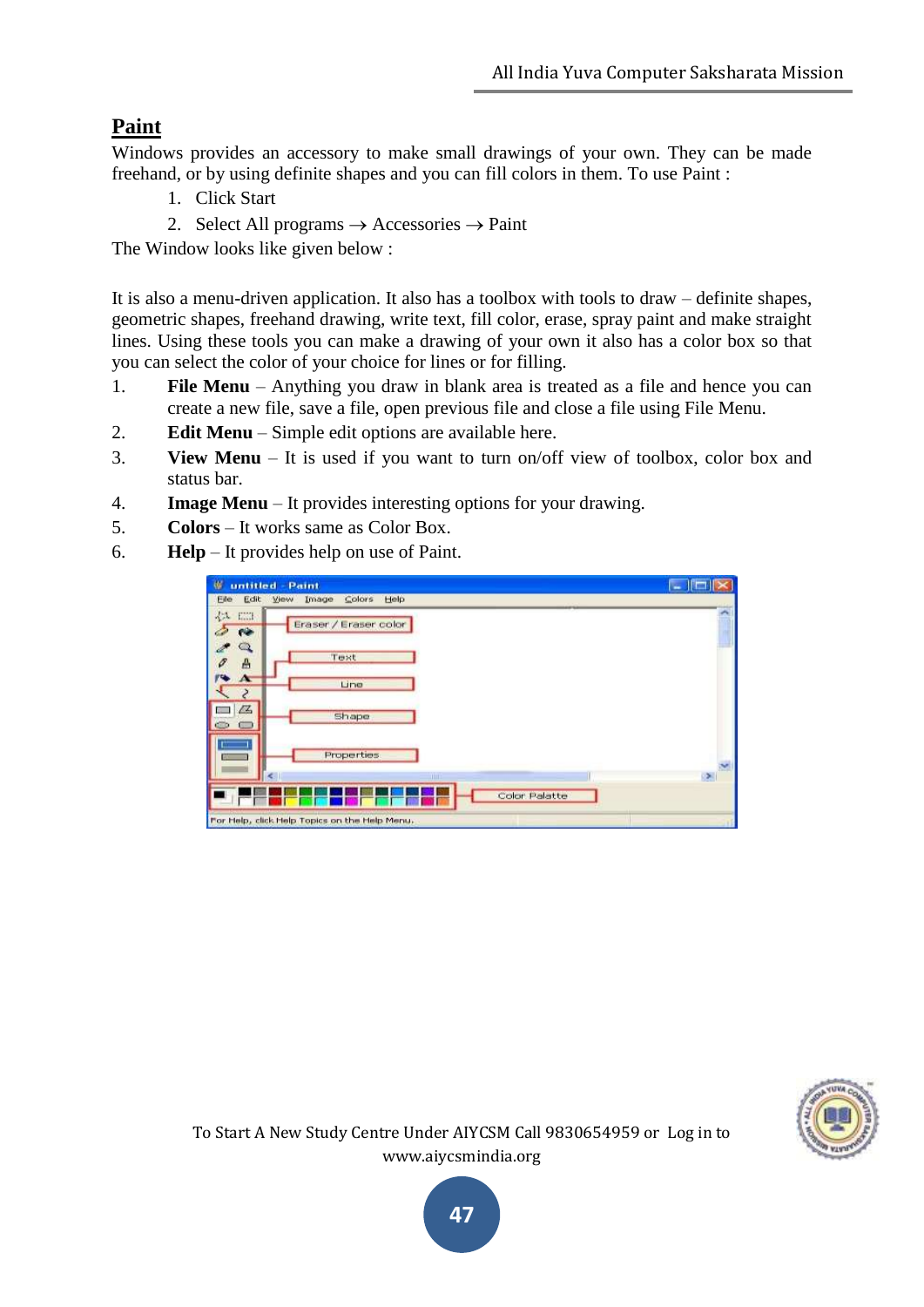# **Paint**

Windows provides an accessory to make small drawings of your own. They can be made freehand, or by using definite shapes and you can fill colors in them. To use Paint :

- 1. Click Start
- 2. Select All programs  $\rightarrow$  Accessories  $\rightarrow$  Paint

The Window looks like given below :

It is also a menu-driven application. It also has a toolbox with tools to draw – definite shapes, geometric shapes, freehand drawing, write text, fill color, erase, spray paint and make straight lines. Using these tools you can make a drawing of your own it also has a color box so that you can select the color of your choice for lines or for filling.

- 1. **File Menu** Anything you draw in blank area is treated as a file and hence you can create a new file, save a file, open previous file and close a file using File Menu.
- 2. **Edit Menu** Simple edit options are available here.
- 3. **View Menu** It is used if you want to turn on/off view of toolbox, color box and status bar.
- 4. **Image Menu** It provides interesting options for your drawing.
- 5. **Colors** It works same as Color Box.
- 6. **Help** It provides help on use of Paint.

| ₩<br>untitled - Paint                                            | ×      |
|------------------------------------------------------------------|--------|
| Image<br>Colors<br>Help<br>Eile<br>Edit<br><b>Yjew</b>           |        |
| EEH<br>4A<br>Eraser / Eraser color<br><b>Card</b><br><b>Pipe</b> |        |
| Q<br>$\mathbb{Z}^n$<br>Text<br>$\mathcal O$<br>$\triangle$       |        |
| <b>PS</b><br>$\Lambda$<br>Line<br>$\mathcal{S}_{\mathcal{S}}$    |        |
| $\mathbb{Z}$<br>Shape<br>a.                                      |        |
| <b>Properties</b>                                                | ×      |
| K.<br><b>TILL</b>                                                | $\geq$ |
| Color Palatte                                                    |        |
| For Help, click Help Topics on the Help Menu.                    |        |

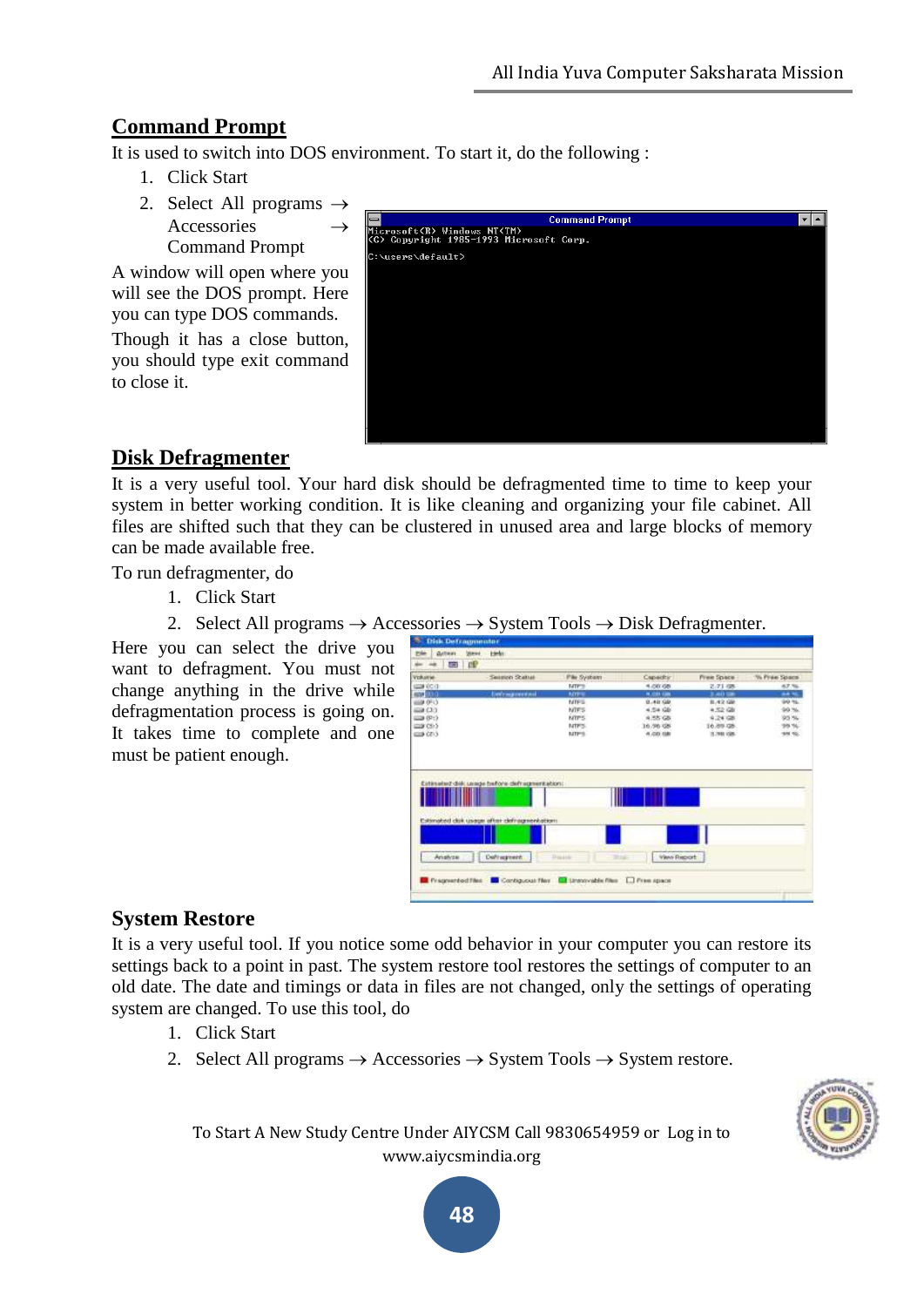# **Command Prompt**

It is used to switch into DOS environment. To start it, do the following :

- 1. Click Start
- 2. Select All programs  $\rightarrow$ Accessories Command Prompt

A window will open where you will see the DOS prompt. Here you can type DOS commands.

Though it has a close button, you should type exit command to close it.

|                             | <b>Command Prompt</b>                   |  |
|-----------------------------|-----------------------------------------|--|
| Microsoft(R) Windows NT(TM) | (C) Copyright 1985-1993 Microsoft Corp. |  |
| C:\users\default>           |                                         |  |
|                             |                                         |  |
|                             |                                         |  |
|                             |                                         |  |
|                             |                                         |  |
|                             |                                         |  |
|                             |                                         |  |
|                             |                                         |  |
|                             |                                         |  |
|                             |                                         |  |

# **Disk Defragmenter**

It is a very useful tool. Your hard disk should be defragmented time to time to keep your system in better working condition. It is like cleaning and organizing your file cabinet. All files are shifted such that they can be clustered in unused area and large blocks of memory can be made available free.

To run defragmenter, do

- 1. Click Start
- 2. Select All programs  $\rightarrow$  Accessories  $\rightarrow$  System Tools  $\rightarrow$  Disk Defragmenter.

Here you can select the drive you want to defragment. You must not change anything in the drive while defragmentation process is going on. It takes time to complete and one must be patient enough.

| <b>nP</b><br>国<br>in the<br><b>AB</b>       |                            |                  |            |                      |
|---------------------------------------------|----------------------------|------------------|------------|----------------------|
| Volume.<br>Season Status                    | Pile System                | Capachic         | Free Space | <b>Vs Free Space</b> |
| <b>GON OC (3)</b>                           | <b>MTFS</b>                | 4,00.08          | 2.71.08    | 67.%                 |
| 62,010<br><b>Liverpoor and the district</b> | <b>KOTHER</b>              | <b>NUCES CAN</b> | 2,4039     | 6476.                |
| ilia 093                                    | NTPS:                      | 0.49.98          | 8.42.68    | 99%                  |
| $-22$                                       | <b>NTFS</b>                | 4.54 (4)         | 4,52.68    | 99.56.               |
| <b>GOD 09:5</b>                             | <b>NTPS</b>                | 4,55.65          | 4.24108    | 95.54                |
| <b>EDITOR</b>                               | NTPS-                      | 16.96 08         | 16,89.08   | 99.96                |
| <b>GUS</b> CELS                             | turns.                     | 4.00.08          | 3,981,085  | 99.92                |
| Estimated del usage before defragmentation: |                            |                  |            |                      |
|                                             |                            |                  |            |                      |
| Estimated dak usage after defnagmentations. |                            |                  |            |                      |
|                                             |                            |                  |            |                      |
|                                             |                            |                  |            |                      |
| Defragment.<br>Arvatyze                     | Trau Links<br><b>Shape</b> | View Report      |            |                      |

# **System Restore**

It is a very useful tool. If you notice some odd behavior in your computer you can restore its settings back to a point in past. The system restore tool restores the settings of computer to an old date. The date and timings or data in files are not changed, only the settings of operating system are changed. To use this tool, do

- 1. Click Start
- 2. Select All programs  $\rightarrow$  Accessories  $\rightarrow$  System Tools  $\rightarrow$  System restore.